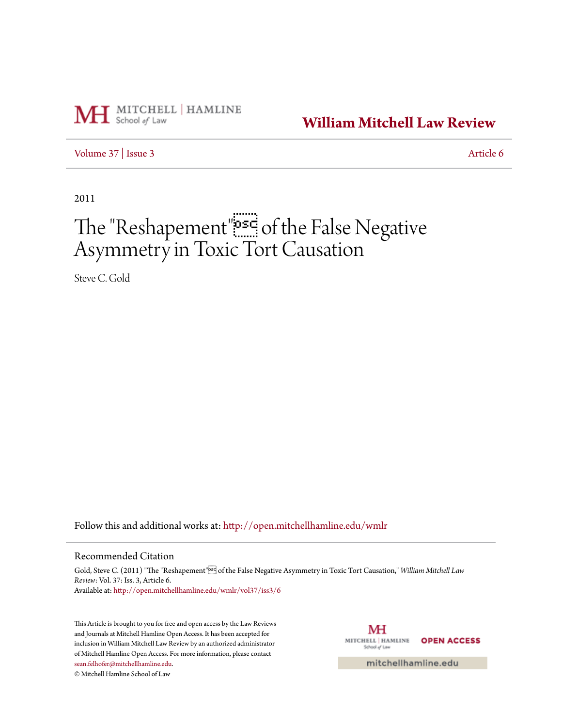

**[William Mitchell Law Review](http://open.mitchellhamline.edu/wmlr?utm_source=open.mitchellhamline.edu%2Fwmlr%2Fvol37%2Fiss3%2F6&utm_medium=PDF&utm_campaign=PDFCoverPages)**

[Volume 37](http://open.mitchellhamline.edu/wmlr/vol37?utm_source=open.mitchellhamline.edu%2Fwmlr%2Fvol37%2Fiss3%2F6&utm_medium=PDF&utm_campaign=PDFCoverPages) | [Issue 3](http://open.mitchellhamline.edu/wmlr/vol37/iss3?utm_source=open.mitchellhamline.edu%2Fwmlr%2Fvol37%2Fiss3%2F6&utm_medium=PDF&utm_campaign=PDFCoverPages) [Article 6](http://open.mitchellhamline.edu/wmlr/vol37/iss3/6?utm_source=open.mitchellhamline.edu%2Fwmlr%2Fvol37%2Fiss3%2F6&utm_medium=PDF&utm_campaign=PDFCoverPages)

2011

# The "Reshapement" of the False Negative Asymmetry in Toxic Tort Causation

Steve C. Gold

Follow this and additional works at: [http://open.mitchellhamline.edu/wmlr](http://open.mitchellhamline.edu/wmlr?utm_source=open.mitchellhamline.edu%2Fwmlr%2Fvol37%2Fiss3%2F6&utm_medium=PDF&utm_campaign=PDFCoverPages)

#### Recommended Citation

Gold, Steve C. (2011) "The "Reshapement"<sup>552</sup> of the False Negative Asymmetry in Toxic Tort Causation," *William Mitchell Law Review*: Vol. 37: Iss. 3, Article 6. Available at: [http://open.mitchellhamline.edu/wmlr/vol37/iss3/6](http://open.mitchellhamline.edu/wmlr/vol37/iss3/6?utm_source=open.mitchellhamline.edu%2Fwmlr%2Fvol37%2Fiss3%2F6&utm_medium=PDF&utm_campaign=PDFCoverPages)

This Article is brought to you for free and open access by the Law Reviews and Journals at Mitchell Hamline Open Access. It has been accepted for inclusion in William Mitchell Law Review by an authorized administrator of Mitchell Hamline Open Access. For more information, please contact [sean.felhofer@mitchellhamline.edu](mailto:sean.felhofer@mitchellhamline.edu).

© Mitchell Hamline School of Law



mitchellhamline.edu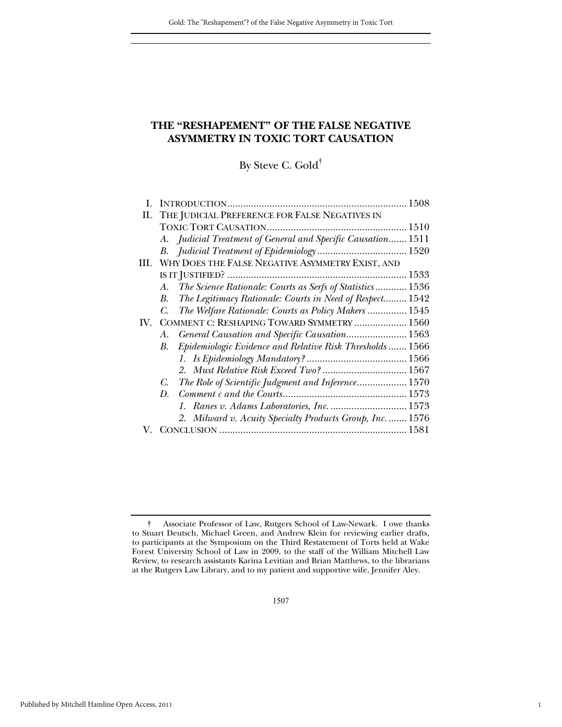## **THE "RESHAPEMENT" OF THE FALSE NEGATIVE ASYMMETRY IN TOXIC TORT CAUSATION**

By Steve C. Gold†

| П.  | THE JUDICIAL PREFERENCE FOR FALSE NEGATIVES IN                  |  |
|-----|-----------------------------------------------------------------|--|
|     |                                                                 |  |
|     | A. Judicial Treatment of General and Specific Causation 1511    |  |
|     |                                                                 |  |
|     | III. WHY DOES THE FALSE NEGATIVE ASYMMETRY EXIST, AND           |  |
|     |                                                                 |  |
|     | The Science Rationale: Courts as Serfs of Statistics 1536<br>A. |  |
|     | The Legitimacy Rationale: Courts in Need of Respect 1542<br>В.  |  |
|     | The Welfare Rationale: Courts as Policy Makers  1545<br>C.      |  |
| IV. | COMMENT C: RESHAPING TOWARD SYMMETRY  1560                      |  |
|     | General Causation and Specific Causation 1563<br>А.             |  |
|     | Epidemiologic Evidence and Relative Risk Thresholds  1566<br>В. |  |
|     |                                                                 |  |
|     | 2. Must Relative Risk Exceed Two?  1567                         |  |
|     | The Role of Scientific Judgment and Inference 1570<br>C.        |  |
|     | D.                                                              |  |
|     | 1. Ranes v. Adams Laboratories, Inc.  1573                      |  |
|     | 2. Milward v. Acuity Specialty Products Group, Inc.  1576       |  |
|     |                                                                 |  |

1

† Associate Professor of Law, Rutgers School of Law-Newark. I owe thanks to Stuart Deutsch, Michael Green, and Andrew Klein for reviewing earlier drafts, to participants at the Symposium on the Third Restatement of Torts held at Wake Forest University School of Law in 2009, to the staff of the William Mitchell Law Review, to research assistants Karina Levitian and Brian Matthews, to the librarians at the Rutgers Law Library, and to my patient and supportive wife, Jennifer Aley.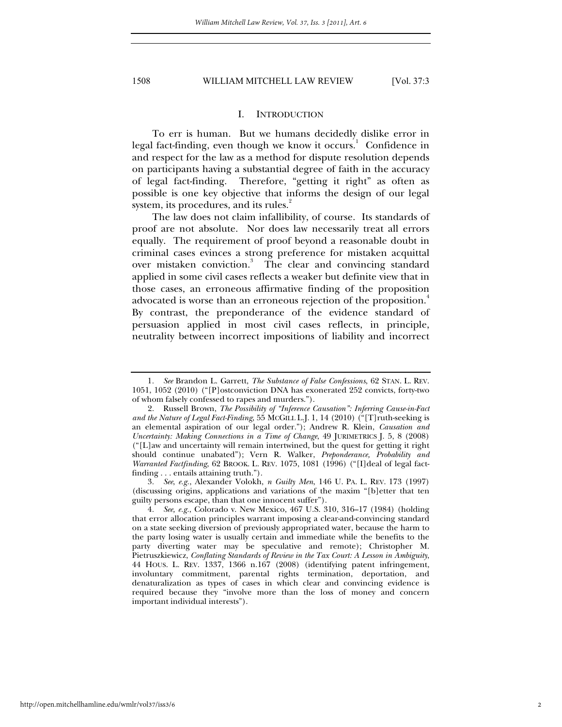#### I. INTRODUCTION

To err is human. But we humans decidedly dislike error in legal fact-finding, even though we know it occurs.<sup>1</sup> Confidence in and respect for the law as a method for dispute resolution depends on participants having a substantial degree of faith in the accuracy of legal fact-finding. Therefore, "getting it right" as often as possible is one key objective that informs the design of our legal system, its procedures, and its rules.<sup>2</sup>

The law does not claim infallibility, of course. Its standards of proof are not absolute. Nor does law necessarily treat all errors equally. The requirement of proof beyond a reasonable doubt in criminal cases evinces a strong preference for mistaken acquittal over mistaken conviction.<sup>3</sup> The clear and convincing standard applied in some civil cases reflects a weaker but definite view that in those cases, an erroneous affirmative finding of the proposition advocated is worse than an erroneous rejection of the proposition.<sup>4</sup> By contrast, the preponderance of the evidence standard of persuasion applied in most civil cases reflects, in principle, neutrality between incorrect impositions of liability and incorrect

3*. See*, *e.g.*, Alexander Volokh, *n Guilty Men*, 146 U. PA. L. REV. 173 (1997) (discussing origins, applications and variations of the maxim "[b]etter that ten guilty persons escape, than that one innocent suffer").

<sup>1</sup>*. See* Brandon L. Garrett, *The Substance of False Confessions*, 62 STAN. L. REV. 1051, 1052 (2010) ("[P]ostconviction DNA has exonerated 252 convicts, forty-two of whom falsely confessed to rapes and murders.").

 <sup>2.</sup> Russell Brown, *The Possibility of "Inference Causation": Inferring Cause-in-Fact and the Nature of Legal Fact-Finding*, 55 MCGILL L.J. 1, 14 (2010) ("[T]ruth-seeking is an elemental aspiration of our legal order."); Andrew R. Klein, *Causation and Uncertainty: Making Connections in a Time of Change*, 49 JURIMETRICS J. 5, 8 (2008)  $("L]$ aw and uncertainty will remain intertwined, but the quest for getting it right should continue unabated"); Vern R. Walker, *Preponderance, Probability and Warranted Factfinding*, 62 BROOK. L. REV. 1075, 1081 (1996) ("[I]deal of legal factfinding . . . entails attaining truth.").

<sup>4</sup>*. See, e.g.*, Colorado v. New Mexico, 467 U.S. 310, 316–17 (1984) (holding that error allocation principles warrant imposing a clear-and-convincing standard on a state seeking diversion of previously appropriated water, because the harm to the party losing water is usually certain and immediate while the benefits to the party diverting water may be speculative and remote); Christopher M. Pietruszkiewicz, *Conflating Standards of Review in the Tax Court: A Lesson in Ambiguity*, 44 HOUS. L. REV. 1337, 1366 n.167 (2008) (identifying patent infringement, involuntary commitment, parental rights termination, deportation, and denaturalization as types of cases in which clear and convincing evidence is required because they "involve more than the loss of money and concern important individual interests").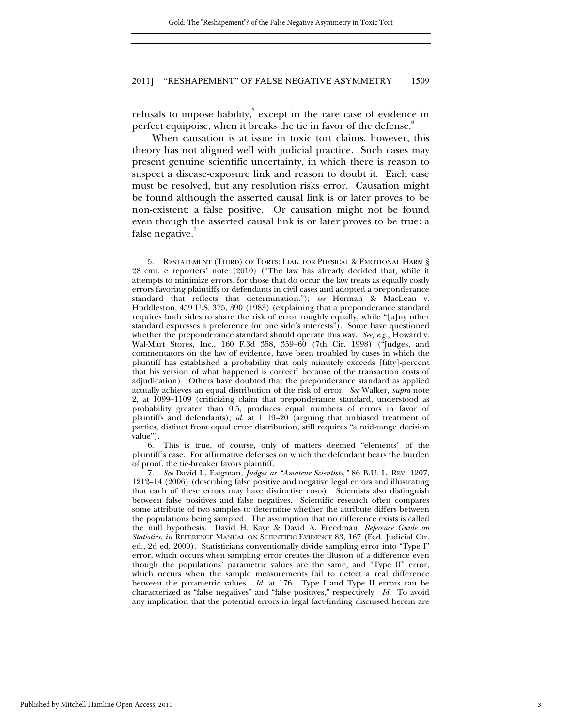refusals to impose liability, except in the rare case of evidence in perfect equipoise, when it breaks the tie in favor of the defense.<sup>6</sup>

When causation is at issue in toxic tort claims, however, this theory has not aligned well with judicial practice. Such cases may present genuine scientific uncertainty, in which there is reason to suspect a disease-exposure link and reason to doubt it. Each case must be resolved, but any resolution risks error. Causation might be found although the asserted causal link is or later proves to be non-existent: a false positive. Or causation might not be found even though the asserted causal link is or later proves to be true: a false negative.

 6. This is true, of course, only of matters deemed "elements" of the plaintiff's case. For affirmative defenses on which the defendant bears the burden of proof, the tie-breaker favors plaintiff.

7*. See* David L. Faigman, *Judges as "Amateur Scientists*,*"* 86 B.U. L. REV. 1207, 1212–14 (2006) (describing false positive and negative legal errors and illustrating that each of these errors may have distinctive costs). Scientists also distinguish between false positives and false negatives. Scientific research often compares some attribute of two samples to determine whether the attribute differs between the populations being sampled. The assumption that no difference exists is called the null hypothesis. David H. Kaye & David A. Freedman, *Reference Guide on Statistics*, *in* REFERENCE MANUAL ON SCIENTIFIC EVIDENCE 83, 167 (Fed. Judicial Ctr. ed., 2d ed. 2000). Statisticians conventionally divide sampling error into "Type I" error, which occurs when sampling error creates the illusion of a difference even though the populations' parametric values are the same, and "Type II" error, which occurs when the sample measurements fail to detect a real difference between the parametric values. *Id.* at 176. Type I and Type II errors can be characterized as "false negatives" and "false positives," respectively. *Id.* To avoid any implication that the potential errors in legal fact-finding discussed herein are

 <sup>5.</sup> RESTATEMENT (THIRD) OF TORTS: LIAB. FOR PHYSICAL & EMOTIONAL HARM § 28 cmt. e reporters' note (2010) ("The law has already decided that, while it attempts to minimize errors, for those that do occur the law treats as equally costly errors favoring plaintiffs or defendants in civil cases and adopted a preponderance standard that reflects that determination."); *see* Herman & MacLean v. Huddleston, 459 U.S. 375, 390 (1983) (explaining that a preponderance standard requires both sides to share the risk of error roughly equally, while "[a]ny other standard expresses a preference for one side's interests"). Some have questioned whether the preponderance standard should operate this way. *See, e.g.*, Howard v. Wal-Mart Stores, Inc., 160 F.3d 358, 359–60 (7th Cir. 1998) ("Judges, and commentators on the law of evidence, have been troubled by cases in which the plaintiff has established a probability that only minutely exceeds [fifty]-percent that his version of what happened is correct" because of the transaction costs of adjudication). Others have doubted that the preponderance standard as applied actually achieves an equal distribution of the risk of error. *See* Walker, *supra* note 2, at 1099–1109 (criticizing claim that preponderance standard, understood as probability greater than 0.5, produces equal numbers of errors in favor of plaintiffs and defendants); *id.* at 1119–20 (arguing that unbiased treatment of parties, distinct from equal error distribution, still requires "a mid-range decision value").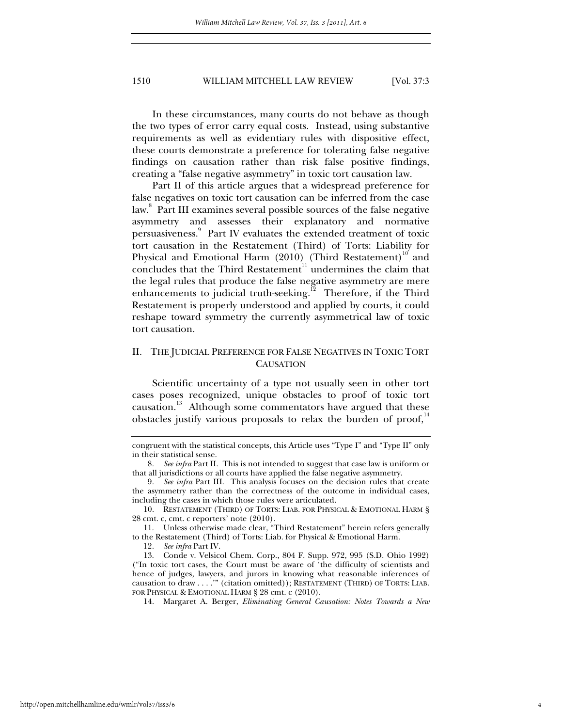In these circumstances, many courts do not behave as though the two types of error carry equal costs. Instead, using substantive requirements as well as evidentiary rules with dispositive effect, these courts demonstrate a preference for tolerating false negative findings on causation rather than risk false positive findings, creating a "false negative asymmetry" in toxic tort causation law.

Part II of this article argues that a widespread preference for false negatives on toxic tort causation can be inferred from the case law.<sup>8</sup> Part III examines several possible sources of the false negative asymmetry and assesses their explanatory and normative persuasiveness.<sup>9</sup> Part IV evaluates the extended treatment of toxic tort causation in the Restatement (Third) of Torts: Liability for Physical and Emotional Harm  $(2010)$  (Third Restatement)<sup>10</sup> and concludes that the Third Restatement<sup>11</sup> undermines the claim that the legal rules that produce the false negative asymmetry are mere enhancements to judicial truth-seeking.<sup>12</sup> Therefore, if the Third Restatement is properly understood and applied by courts, it could reshape toward symmetry the currently asymmetrical law of toxic tort causation.

## II. THE JUDICIAL PREFERENCE FOR FALSE NEGATIVES IN TOXIC TORT **CAUSATION**

Scientific uncertainty of a type not usually seen in other tort cases poses recognized, unique obstacles to proof of toxic tort causation.<sup>13</sup> Although some commentators have argued that these obstacles justify various proposals to relax the burden of proof, $14$ 

congruent with the statistical concepts, this Article uses "Type I" and "Type II" only in their statistical sense.

<sup>8</sup>*. See infra* Part II. This is not intended to suggest that case law is uniform or that all jurisdictions or all courts have applied the false negative asymmetry.

<sup>9</sup>*. See infra* Part III. This analysis focuses on the decision rules that create the asymmetry rather than the correctness of the outcome in individual cases, including the cases in which those rules were articulated.

 <sup>10.</sup> RESTATEMENT (THIRD) OF TORTS: LIAB. FOR PHYSICAL & EMOTIONAL HARM § 28 cmt. c, cmt. c reporters' note (2010).

 <sup>11.</sup> Unless otherwise made clear, "Third Restatement" herein refers generally to the Restatement (Third) of Torts: Liab. for Physical & Emotional Harm.

<sup>12</sup>*. See infra* Part IV.

 <sup>13.</sup> Conde v. Velsicol Chem. Corp., 804 F. Supp. 972, 995 (S.D. Ohio 1992) ("In toxic tort cases, the Court must be aware of 'the difficulty of scientists and hence of judges, lawyers, and jurors in knowing what reasonable inferences of causation to draw . . . .'" (citation omitted)); RESTATEMENT (THIRD) OF TORTS: LIAB. FOR PHYSICAL & EMOTIONAL HARM § 28 cmt. c (2010).

 <sup>14.</sup> Margaret A. Berger, *Eliminating General Causation: Notes Towards a New*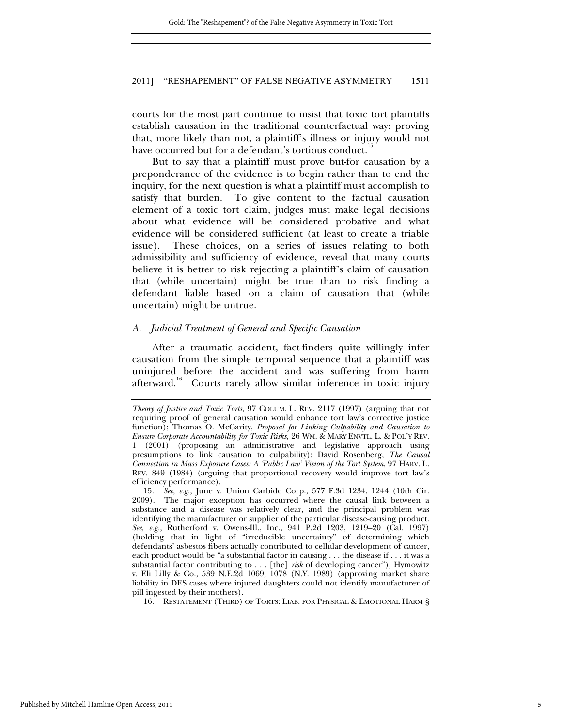courts for the most part continue to insist that toxic tort plaintiffs establish causation in the traditional counterfactual way: proving that, more likely than not, a plaintiff's illness or injury would not have occurred but for a defendant's tortious conduct.<sup>1</sup>

But to say that a plaintiff must prove but-for causation by a preponderance of the evidence is to begin rather than to end the inquiry, for the next question is what a plaintiff must accomplish to satisfy that burden. To give content to the factual causation element of a toxic tort claim, judges must make legal decisions about what evidence will be considered probative and what evidence will be considered sufficient (at least to create a triable issue). These choices, on a series of issues relating to both admissibility and sufficiency of evidence, reveal that many courts believe it is better to risk rejecting a plaintiff's claim of causation that (while uncertain) might be true than to risk finding a defendant liable based on a claim of causation that (while uncertain) might be untrue.

#### *A. Judicial Treatment of General and Specific Causation*

After a traumatic accident, fact-finders quite willingly infer causation from the simple temporal sequence that a plaintiff was uninjured before the accident and was suffering from harm afterward.<sup>16</sup> Courts rarely allow similar inference in toxic injury

16. RESTATEMENT (THIRD) OF TORTS: LIAB. FOR PHYSICAL & EMOTIONAL HARM §

*Theory of Justice and Toxic Torts*, 97 COLUM. L. REV. 2117 (1997) (arguing that not requiring proof of general causation would enhance tort law's corrective justice function); Thomas O. McGarity, *Proposal for Linking Culpability and Causation to Ensure Corporate Accountability for Toxic Risks*, 26 WM. & MARY ENVTL. L. & POL'Y REV. 1 (2001) (proposing an administrative and legislative approach using presumptions to link causation to culpability); David Rosenberg, *The Causal Connection in Mass Exposure Cases: A 'Public Law' Vision of the Tort System*, 97 HARV. L. REV. 849 (1984) (arguing that proportional recovery would improve tort law's efficiency performance).

<sup>15</sup>*. See, e.g.*, June v. Union Carbide Corp., 577 F.3d 1234, 1244 (10th Cir. 2009). The major exception has occurred where the causal link between a substance and a disease was relatively clear, and the principal problem was identifying the manufacturer or supplier of the particular disease-causing product. *See, e.g.*, Rutherford v. Owens-Ill., Inc., 941 P.2d 1203, 1219–20 (Cal. 1997) (holding that in light of "irreducible uncertainty" of determining which defendants' asbestos fibers actually contributed to cellular development of cancer, each product would be "a substantial factor in causing . . . the disease if . . . it was a substantial factor contributing to . . . [the] *risk* of developing cancer"); Hymowitz v. Eli Lilly & Co., 539 N.E.2d 1069, 1078 (N.Y. 1989) (approving market share liability in DES cases where injured daughters could not identify manufacturer of pill ingested by their mothers).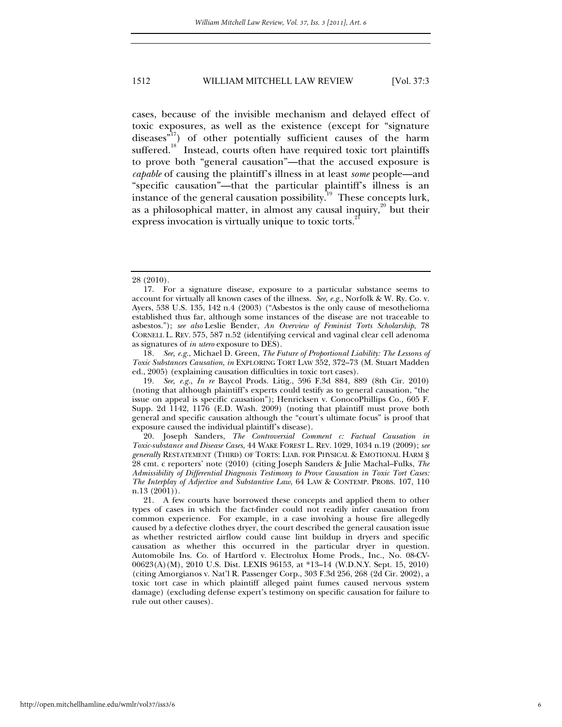cases, because of the invisible mechanism and delayed effect of toxic exposures, as well as the existence (except for "signature  $diseases<sup>17</sup>$  of other potentially sufficient causes of the harm suffered.<sup>18</sup> Instead, courts often have required toxic tort plaintiffs to prove both "general causation"—that the accused exposure is *capable* of causing the plaintiff's illness in at least *some* people—and "specific causation"—that the particular plaintiff's illness is an instance of the general causation possibility.<sup>19</sup> These concepts lurk, as a philosophical matter, in almost any causal inquiry, $\frac{20}{x}$  but their express invocation is virtually unique to toxic torts.<sup>21</sup>

18*. See, e.g.*, Michael D. Green, *The Future of Proportional Liability: The Lessons of Toxic Substances Causation*, *in* EXPLORING TORT LAW 352, 372–73 (M. Stuart Madden ed., 2005) (explaining causation difficulties in toxic tort cases).

19*. See, e.g.*, *In re* Baycol Prods. Litig., 596 F.3d 884, 889 (8th Cir. 2010) (noting that although plaintiff's experts could testify as to general causation, "the issue on appeal is specific causation"); Henricksen v. ConocoPhillips Co.*,* 605 F. Supp. 2d 1142, 1176 (E.D. Wash. 2009) (noting that plaintiff must prove both general and specific causation although the "court's ultimate focus" is proof that exposure caused the individual plaintiff's disease).

 20. Joseph Sanders, *The Controversial Comment c: Factual Causation in Toxic-substance and Disease Cases*, 44 WAKE FOREST L. REV. 1029, 1034 n.19 (2009); *see generally* RESTATEMENT (THIRD) OF TORTS: LIAB. FOR PHYSICAL & EMOTIONAL HARM § 28 cmt. c reporters' note (2010) (citing Joseph Sanders & Julie Machal–Fulks, *The Admissibility of Differential Diagnosis Testimony to Prove Causation in Toxic Tort Cases: The Interplay of Adjective and Substantive Law*, 64 LAW & CONTEMP. PROBS. 107, 110 n.13 (2001)).

 21. A few courts have borrowed these concepts and applied them to other types of cases in which the fact-finder could not readily infer causation from common experience. For example, in a case involving a house fire allegedly caused by a defective clothes dryer, the court described the general causation issue as whether restricted airflow could cause lint buildup in dryers and specific causation as whether this occurred in the particular dryer in question. Automobile Ins. Co. of Hartford v. Electrolux Home Prods., Inc., No. 08-CV-00623(A)(M), 2010 U.S. Dist. LEXIS 96153, at \*13–14 (W.D.N.Y. Sept. 15, 2010) (citing Amorgianos v. Nat'l R. Passenger Corp., 303 F.3d 256, 268 (2d Cir. 2002), a toxic tort case in which plaintiff alleged paint fumes caused nervous system damage) (excluding defense expert's testimony on specific causation for failure to rule out other causes).

<sup>28 (2010).</sup> 

 <sup>17.</sup> For a signature disease, exposure to a particular substance seems to account for virtually all known cases of the illness. *See, e.g.*, Norfolk & W. Ry. Co. v. Ayers, 538 U.S. 135, 142 n.4 (2003) ("Asbestos is the only cause of mesothelioma established thus far, although some instances of the disease are not traceable to asbestos."); *see also* Leslie Bender, *An Overview of Feminist Torts Scholarship*, 78 CORNELL L. REV. 575, 587 n.52 (identifying cervical and vaginal clear cell adenoma as signatures of *in utero* exposure to DES).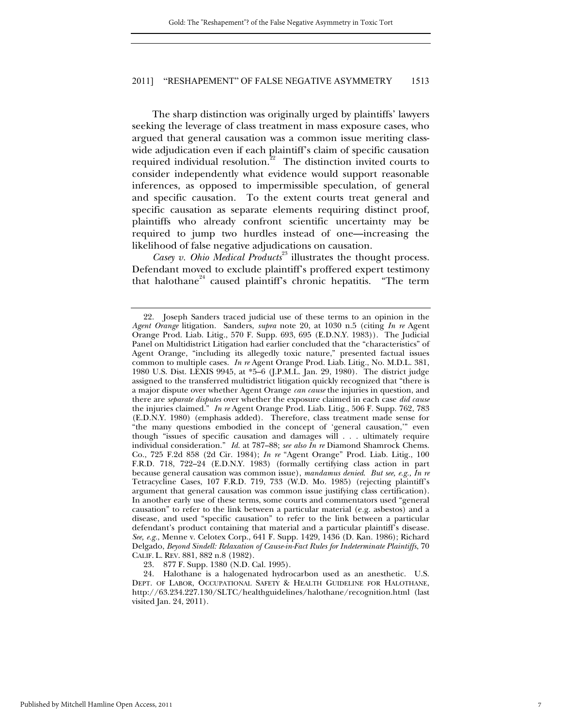The sharp distinction was originally urged by plaintiffs' lawyers seeking the leverage of class treatment in mass exposure cases, who argued that general causation was a common issue meriting classwide adjudication even if each plaintiff's claim of specific causation required individual resolution.<sup>22</sup> The distinction invited courts to consider independently what evidence would support reasonable inferences, as opposed to impermissible speculation, of general and specific causation. To the extent courts treat general and specific causation as separate elements requiring distinct proof, plaintiffs who already confront scientific uncertainty may be required to jump two hurdles instead of one—increasing the likelihood of false negative adjudications on causation.

Casey v. Ohio Medical Products<sup>23</sup> illustrates the thought process. Defendant moved to exclude plaintiff's proffered expert testimony that halothane<sup>24</sup> caused plaintiff's chronic hepatitis. "The term

 <sup>22.</sup> Joseph Sanders traced judicial use of these terms to an opinion in the *Agent Orange* litigation. Sanders, *supra* note 20, at 1030 n.5 (citing *In re* Agent Orange Prod. Liab. Litig., 570 F. Supp. 693, 695 (E.D.N.Y. 1983)). The Judicial Panel on Multidistrict Litigation had earlier concluded that the "characteristics" of Agent Orange, "including its allegedly toxic nature," presented factual issues common to multiple cases. *In re* Agent Orange Prod. Liab. Litig., No. M.D.L. 381, 1980 U.S. Dist. LEXIS 9945, at \*5–6 (J.P.M.L. Jan. 29, 1980). The district judge assigned to the transferred multidistrict litigation quickly recognized that "there is a major dispute over whether Agent Orange *can cause* the injuries in question, and there are *separate disputes* over whether the exposure claimed in each case *did cause* the injuries claimed." *In re* Agent Orange Prod. Liab. Litig., 506 F. Supp. 762, 783 (E.D.N.Y. 1980) (emphasis added). Therefore, class treatment made sense for "the many questions embodied in the concept of 'general causation,'" even though "issues of specific causation and damages will . . . ultimately require individual consideration." *Id.* at 787–88; *see also In re* Diamond Shamrock Chems. Co., 725 F.2d 858 (2d Cir. 1984); *In re* "Agent Orange" Prod. Liab. Litig., 100 F.R.D. 718, 722–24 (E.D.N.Y. 1983) (formally certifying class action in part because general causation was common issue), *mandamus denied*. *But see, e.g., In re* Tetracycline Cases, 107 F.R.D. 719, 733 (W.D. Mo. 1985) (rejecting plaintiff's argument that general causation was common issue justifying class certification). In another early use of these terms, some courts and commentators used "general causation" to refer to the link between a particular material (e.g. asbestos) and a disease, and used "specific causation" to refer to the link between a particular defendant's product containing that material and a particular plaintiff's disease. *See, e.g.*, Menne v. Celotex Corp., 641 F. Supp. 1429, 1436 (D. Kan. 1986); Richard Delgado, *Beyond Sindell: Relaxation of Cause-in-Fact Rules for Indeterminate Plaintiffs*, 70 CALIF. L. REV. 881, 882 n.8 (1982).

 <sup>23. 877</sup> F. Supp. 1380 (N.D. Cal. 1995).

 <sup>24.</sup> Halothane is a halogenated hydrocarbon used as an anesthetic. U.S. DEPT. OF LABOR, OCCUPATIONAL SAFETY & HEALTH GUIDELINE FOR HALOTHANE, http://63.234.227.130/SLTC/healthguidelines/halothane/recognition.html (last visited Jan. 24, 2011).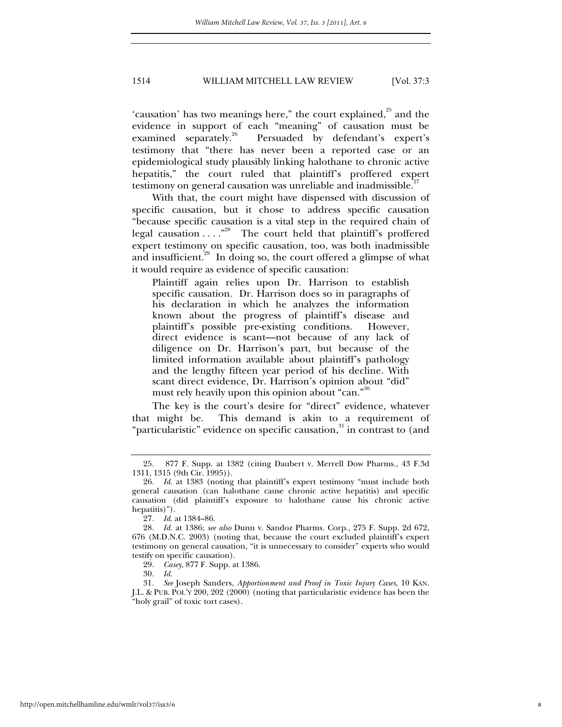'causation' has two meanings here," the court explained, $25$  and the evidence in support of each "meaning" of causation must be examined separately.<sup>26</sup> Persuaded by defendant's expert's testimony that "there has never been a reported case or an epidemiological study plausibly linking halothane to chronic active hepatitis," the court ruled that plaintiff's proffered expert testimony on general causation was unreliable and inadmissible.<sup>27</sup>

With that, the court might have dispensed with discussion of specific causation, but it chose to address specific causation "because specific causation is a vital step in the required chain of legal causation . . . . "<sup>28</sup> The court held that plaintiff's proffered expert testimony on specific causation, too, was both inadmissible and insufficient.<sup>29</sup> In doing so, the court offered a glimpse of what it would require as evidence of specific causation:

Plaintiff again relies upon Dr. Harrison to establish specific causation. Dr. Harrison does so in paragraphs of his declaration in which he analyzes the information known about the progress of plaintiff's disease and plaintiff's possible pre-existing conditions. However, direct evidence is scant—not because of any lack of diligence on Dr. Harrison's part, but because of the limited information available about plaintiff's pathology and the lengthy fifteen year period of his decline. With scant direct evidence, Dr. Harrison's opinion about "did" must rely heavily upon this opinion about "can."<sup>30</sup>

The key is the court's desire for "direct" evidence, whatever that might be. This demand is akin to a requirement of "particularistic" evidence on specific causation,<sup>31</sup> in contrast to (and

30*. Id.*

<sup>25</sup>*.* 877 F. Supp. at 1382 (citing Daubert v. Merrell Dow Pharms., 43 F.3d 1311, 1315 (9th Cir. 1995)).

<sup>26</sup>*. Id*. at 1383 (noting that plaintiff's expert testimony "must include both general causation (can halothane cause chronic active hepatitis) and specific causation (did plaintiff's exposure to halothane cause his chronic active hepatitis)").

<sup>27</sup>*. Id*. at 1384–86.

<sup>28</sup>*. Id.* at 1386; *see also* Dunn v. Sandoz Pharms. Corp., 275 F. Supp. 2d 672, 676 (M.D.N.C. 2003) (noting that, because the court excluded plaintiff's expert testimony on general causation, "it is unnecessary to consider" experts who would testify on specific causation).

<sup>29</sup>*. Casey*, 877 F. Supp. at 1386.

<sup>31</sup>*. See* Joseph Sanders, *Apportionment and Proof in Toxic Injury Cases*, 10 KAN. J.L. & PUB. POL'Y 200, 202 (2000) (noting that particularistic evidence has been the "holy grail" of toxic tort cases).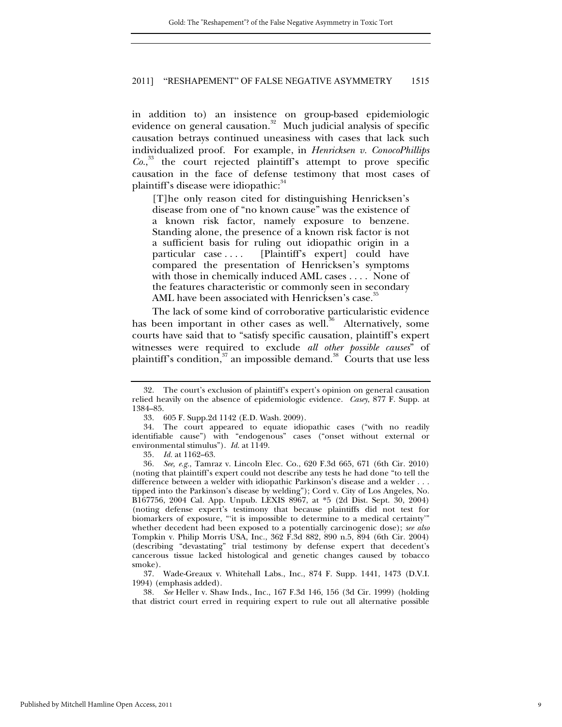in addition to) an insistence on group-based epidemiologic evidence on general causation.<sup>32</sup> Much judicial analysis of specific causation betrays continued uneasiness with cases that lack such individualized proof. For example, in *Henricksen v. ConocoPhillips Co.*, 33 the court rejected plaintiff's attempt to prove specific causation in the face of defense testimony that most cases of plaintiff's disease were idiopathic: 34

[T]he only reason cited for distinguishing Henricksen's disease from one of "no known cause" was the existence of a known risk factor, namely exposure to benzene. Standing alone, the presence of a known risk factor is not a sufficient basis for ruling out idiopathic origin in a particular case . . . . [Plaintiff's expert] could have compared the presentation of Henricksen's symptoms with those in chemically induced AML cases . . . . None of the features characteristic or commonly seen in secondary AML have been associated with Henricksen's case.

The lack of some kind of corroborative particularistic evidence has been important in other cases as well. $36$  Alternatively, some courts have said that to "satisfy specific causation, plaintiff's expert witnesses were required to exclude *all other possible causes*" of plaintiff's condition, $37$  an impossible demand. $38$  Courts that use less

 <sup>32.</sup> The court's exclusion of plaintiff's expert's opinion on general causation relied heavily on the absence of epidemiologic evidence. *Casey*, 877 F. Supp. at 1384–85.

 <sup>33. 605</sup> F. Supp.2d 1142 (E.D. Wash. 2009).

 <sup>34.</sup> The court appeared to equate idiopathic cases ("with no readily identifiable cause") with "endogenous" cases ("onset without external or environmental stimulus"). *Id.* at 1149.

<sup>35</sup>*. Id.* at 1162–63.

<sup>36</sup>*. See, e.g.*, Tamraz v. Lincoln Elec. Co., 620 F.3d 665, 671 (6th Cir. 2010) (noting that plaintiff's expert could not describe any tests he had done "to tell the difference between a welder with idiopathic Parkinson's disease and a welder . . . tipped into the Parkinson's disease by welding"); Cord v. City of Los Angeles, No. B167756, 2004 Cal. App. Unpub. LEXIS 8967, at \*5 (2d Dist. Sept. 30, 2004) (noting defense expert's testimony that because plaintiffs did not test for biomarkers of exposure, "'it is impossible to determine to a medical certainty'" whether decedent had been exposed to a potentially carcinogenic dose); *see also*  Tompkin v. Philip Morris USA, Inc., 362 F.3d 882, 890 n.5, 894 (6th Cir. 2004) (describing "devastating" trial testimony by defense expert that decedent's cancerous tissue lacked histological and genetic changes caused by tobacco smoke).

 <sup>37.</sup> Wade-Greaux v. Whitehall Labs., Inc., 874 F. Supp. 1441, 1473 (D.V.I. 1994) (emphasis added).

<sup>38</sup>*. See* Heller v. Shaw Inds., Inc., 167 F.3d 146, 156 (3d Cir. 1999) (holding that district court erred in requiring expert to rule out all alternative possible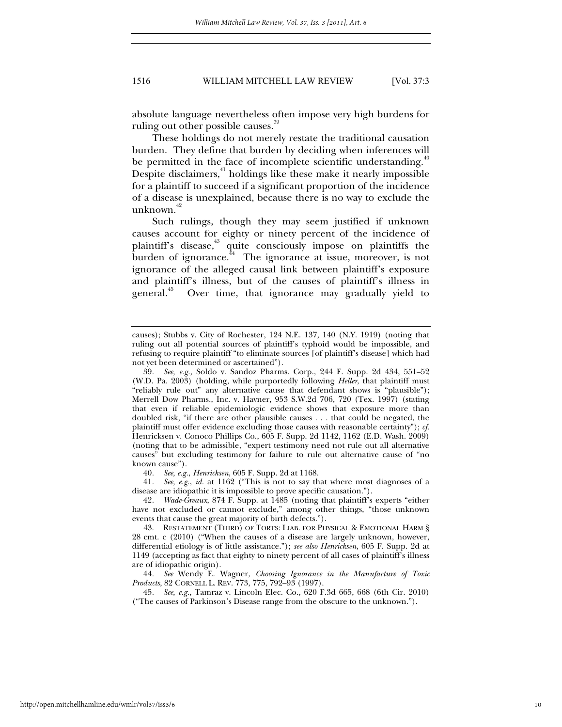absolute language nevertheless often impose very high burdens for ruling out other possible causes.<sup>39</sup>

These holdings do not merely restate the traditional causation burden. They define that burden by deciding when inferences will be permitted in the face of incomplete scientific understanding.<sup>40</sup> Despite disclaimers, $41$  holdings like these make it nearly impossible for a plaintiff to succeed if a significant proportion of the incidence of a disease is unexplained, because there is no way to exclude the unknown. $42$ 

Such rulings, though they may seem justified if unknown causes account for eighty or ninety percent of the incidence of plaintiff's disease,<sup>43</sup> quite consciously impose on plaintiffs the burden of ignorance. $^{44}$  The ignorance at issue, moreover, is not ignorance of the alleged causal link between plaintiff's exposure and plaintiff's illness, but of the causes of plaintiff's illness in general.<sup>45</sup> Over time, that ignorance may gradually yield to

40*. See, e.g.*, *Henricksen*, 605 F. Supp. 2d at 1168.

41*. See, e.g.*, *id.* at 1162 ("This is not to say that where most diagnoses of a disease are idiopathic it is impossible to prove specific causation.").

42*. Wade-Greaux*, 874 F. Supp. at 1485 (noting that plaintiff's experts "either have not excluded or cannot exclude," among other things, "those unknown events that cause the great majority of birth defects.").

44*. See* Wendy E. Wagner, *Choosing Ignorance in the Manufacture of Toxic Products*, 82 CORNELL L. REV. 773, 775, 792–93 (1997).

45*. See, e.g.*, Tamraz v. Lincoln Elec. Co., 620 F.3d 665, 668 (6th Cir. 2010) ("The causes of Parkinson's Disease range from the obscure to the unknown.").

causes); Stubbs v. City of Rochester, 124 N.E. 137, 140 (N.Y. 1919) (noting that ruling out all potential sources of plaintiff's typhoid would be impossible, and refusing to require plaintiff "to eliminate sources [of plaintiff's disease] which had not yet been determined or ascertained").

<sup>39</sup>*. See, e.g.*, Soldo v. Sandoz Pharms. Corp., 244 F. Supp. 2d 434, 551–52 (W.D. Pa. 2003) (holding, while purportedly following *Heller*, that plaintiff must "reliably rule out" any alternative cause that defendant shows is "plausible"); Merrell Dow Pharms., Inc. v. Havner, 953 S.W.2d 706, 720 (Tex. 1997) (stating that even if reliable epidemiologic evidence shows that exposure more than doubled risk, "if there are other plausible causes . . . that could be negated, the plaintiff must offer evidence excluding those causes with reasonable certainty"); *cf.*  Henricksen v. Conoco Phillips Co., 605 F. Supp. 2d 1142, 1162 (E.D. Wash. 2009) (noting that to be admissible, "expert testimony need not rule out all alternative causes" but excluding testimony for failure to rule out alternative cause of "no known cause").

 <sup>43.</sup> RESTATEMENT (THIRD) OF TORTS: LIAB. FOR PHYSICAL & EMOTIONAL HARM § 28 cmt. c (2010) ("When the causes of a disease are largely unknown, however, differential etiology is of little assistance."); *see also Henricksen*, 605 F. Supp. 2d at 1149 (accepting as fact that eighty to ninety percent of all cases of plaintiff's illness are of idiopathic origin).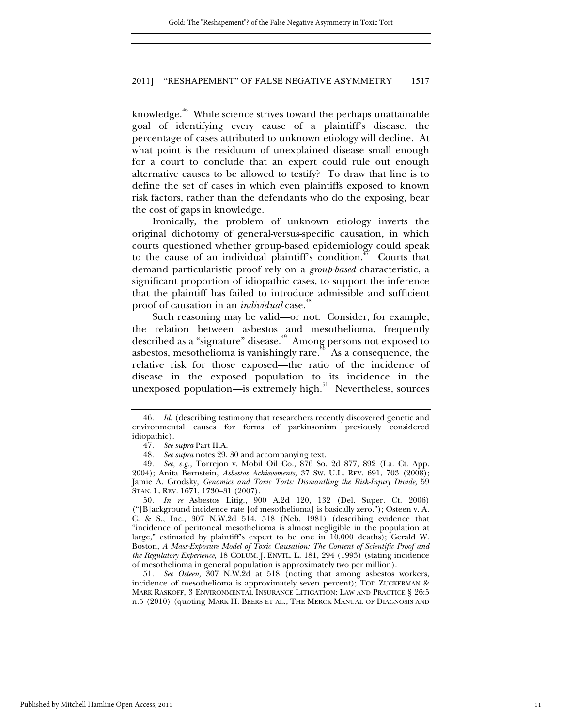knowledge.<sup>46</sup> While science strives toward the perhaps unattainable goal of identifying every cause of a plaintiff's disease, the percentage of cases attributed to unknown etiology will decline. At what point is the residuum of unexplained disease small enough for a court to conclude that an expert could rule out enough alternative causes to be allowed to testify? To draw that line is to define the set of cases in which even plaintiffs exposed to known risk factors, rather than the defendants who do the exposing, bear the cost of gaps in knowledge.

Ironically, the problem of unknown etiology inverts the original dichotomy of general-versus-specific causation, in which courts questioned whether group-based epidemiology could speak to the cause of an individual plaintiff's condition.<sup>47</sup> Courts that demand particularistic proof rely on a *group-based* characteristic, a significant proportion of idiopathic cases, to support the inference that the plaintiff has failed to introduce admissible and sufficient proof of causation in an *individual* case.<sup>48</sup>

Such reasoning may be valid—or not. Consider, for example, the relation between asbestos and mesothelioma, frequently described as a "signature" disease.<sup>49</sup> Among persons not exposed to asbestos, mesothelioma is vanishingly rare.<sup>50</sup> As a consequence, the relative risk for those exposed—the ratio of the incidence of disease in the exposed population to its incidence in the unexposed population—is extremely high.<sup>51</sup> Nevertheless, sources

51*. See Osteen*, 307 N.W.2d at 518 (noting that among asbestos workers, incidence of mesothelioma is approximately seven percent); TOD ZUCKERMAN & MARK RASKOFF, 3 ENVIRONMENTAL INSURANCE LITIGATION: LAW AND PRACTICE § 26:5 n.5 (2010) (quoting MARK H. BEERS ET AL., THE MERCK MANUAL OF DIAGNOSIS AND

<sup>46</sup>*. Id.* (describing testimony that researchers recently discovered genetic and environmental causes for forms of parkinsonism previously considered idiopathic).

<sup>47</sup>*. See supra* Part II.A.

<sup>48</sup>*. See supra* notes 29, 30 and accompanying text.

<sup>49</sup>*. See, e.g.*, Torrejon v. Mobil Oil Co., 876 So. 2d 877, 892 (La. Ct. App. 2004); Anita Bernstein, *Asbestos Achievements*, 37 SW. U.L. REV. 691, 703 (2008); Jamie A. Grodsky, *Genomics and Toxic Torts: Dismantling the Risk-Injury Divide*, 59 STAN. L. REV. 1671, 1730–31 (2007).

<sup>50</sup>*. In re* Asbestos Litig., 900 A.2d 120, 132 (Del. Super. Ct. 2006) ("[B]ackground incidence rate [of mesothelioma] is basically zero."); Osteen v. A. C. & S., Inc., 307 N.W.2d 514, 518 (Neb. 1981) (describing evidence that "incidence of peritoneal mesothelioma is almost negligible in the population at large," estimated by plaintiff's expert to be one in 10,000 deaths); Gerald W. Boston, *A Mass-Exposure Model of Toxic Causation: The Content of Scientific Proof and the Regulatory Experience*, 18 COLUM. J. ENVTL. L. 181, 294 (1993) (stating incidence of mesothelioma in general population is approximately two per million).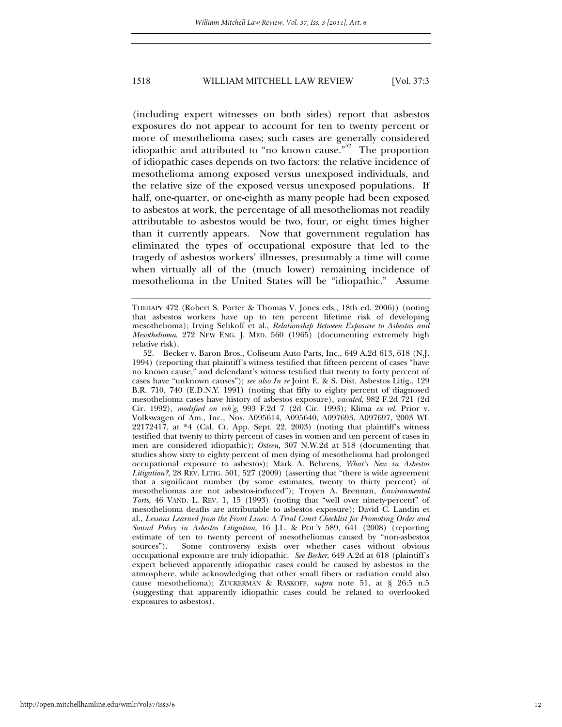(including expert witnesses on both sides) report that asbestos exposures do not appear to account for ten to twenty percent or more of mesothelioma cases; such cases are generally considered idiopathic and attributed to "no known cause."<sup>52</sup> The proportion of idiopathic cases depends on two factors: the relative incidence of mesothelioma among exposed versus unexposed individuals, and the relative size of the exposed versus unexposed populations. If half, one-quarter, or one-eighth as many people had been exposed to asbestos at work, the percentage of all mesotheliomas not readily attributable to asbestos would be two, four, or eight times higher than it currently appears. Now that government regulation has eliminated the types of occupational exposure that led to the tragedy of asbestos workers' illnesses, presumably a time will come when virtually all of the (much lower) remaining incidence of mesothelioma in the United States will be "idiopathic." Assume

52*.* Becker v. Baron Bros., Coliseum Auto Parts, Inc., 649 A.2d 613, 618 (N.J. 1994) (reporting that plaintiff's witness testified that fifteen percent of cases "have no known cause," and defendant's witness testified that twenty to forty percent of cases have "unknown causes"); *see also In re* Joint E. & S. Dist. Asbestos Litig., 129 B.R. 710, 740 (E.D.N.Y. 1991) (noting that fifty to eighty percent of diagnosed mesothelioma cases have history of asbestos exposure), *vacated*, 982 F.2d 721 (2d Cir. 1992), *modified on reh'g*, 993 F.2d 7 (2d Cir. 1993); Klima *ex rel.* Prior v. Volkswagen of Am., Inc., Nos. A095614, A095640, A097693, A097697, 2003 WL 22172417, at \*4 (Cal. Ct. App. Sept. 22, 2003) (noting that plaintiff's witness testified that twenty to thirty percent of cases in women and ten percent of cases in men are considered idiopathic); *Osteen*, 307 N.W.2d at 518 (documenting that studies show sixty to eighty percent of men dying of mesothelioma had prolonged occupational exposure to asbestos); Mark A. Behrens, *What's New in Asbestos Litigation?*, 28 REV. LITIG. 501, 527 (2009) (asserting that "there is wide agreement that a significant number (by some estimates, twenty to thirty percent) of mesotheliomas are not asbestos-induced"); Troyen A. Brennan, *Environmental Torts*, 46 VAND. L. REV. 1, 15 (1993) (noting that "well over ninety-percent" of mesothelioma deaths are attributable to asbestos exposure); David C. Landin et al., *Lessons Learned from the Front Lines: A Trial Court Checklist for Promoting Order and Sound Policy in Asbestos Litigation*, 16 J.L. & POL'Y 589, 641 (2008) (reporting estimate of ten to twenty percent of mesotheliomas caused by "non-asbestos sources"). Some controversy exists over whether cases without obvious occupational exposure are truly idiopathic. *See Becker*, 649 A.2d at 618 (plaintiff's expert believed apparently idiopathic cases could be caused by asbestos in the atmosphere, while acknowledging that other small fibers or radiation could also cause mesothelioma); ZUCKERMAN & RASKOFF, *supra* note 51, at § 26:5 n.5 (suggesting that apparently idiopathic cases could be related to overlooked exposures to asbestos).

THERAPY 472 (Robert S. Porter & Thomas V. Jones eds., 18th ed. 2006)) (noting that asbestos workers have up to ten percent lifetime risk of developing mesothelioma); Irving Selikoff et al., *Relationship Between Exposure to Asbestos and Mesothelioma*, 272 NEW ENG. J. MED. 560 (1965) (documenting extremely high relative risk).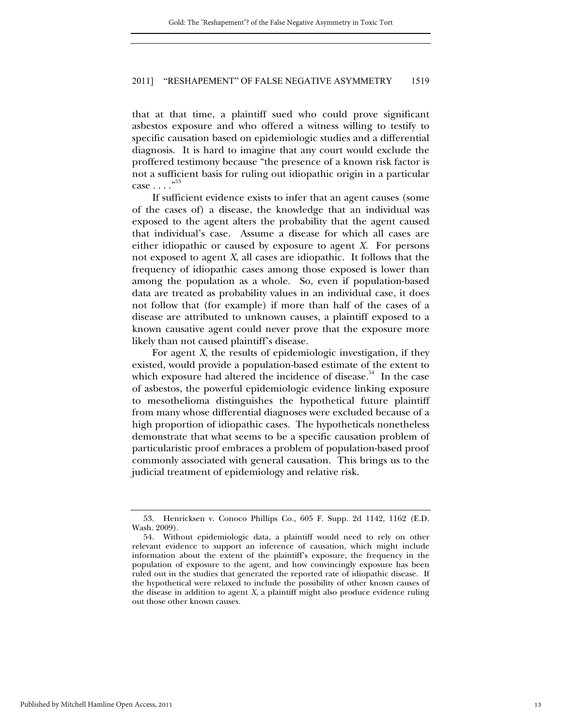that at that time, a plaintiff sued who could prove significant asbestos exposure and who offered a witness willing to testify to specific causation based on epidemiologic studies and a differential diagnosis. It is hard to imagine that any court would exclude the proffered testimony because "the presence of a known risk factor is not a sufficient basis for ruling out idiopathic origin in a particular case  $\ldots$ ."<sup>53</sup>

If sufficient evidence exists to infer that an agent causes (some of the cases of) a disease, the knowledge that an individual was exposed to the agent alters the probability that the agent caused that individual's case. Assume a disease for which all cases are either idiopathic or caused by exposure to agent *X.* For persons not exposed to agent *X*, all cases are idiopathic. It follows that the frequency of idiopathic cases among those exposed is lower than among the population as a whole. So, even if population-based data are treated as probability values in an individual case, it does not follow that (for example) if more than half of the cases of a disease are attributed to unknown causes, a plaintiff exposed to a known causative agent could never prove that the exposure more likely than not caused plaintiff's disease.

For agent *X*, the results of epidemiologic investigation, if they existed, would provide a population-based estimate of the extent to which exposure had altered the incidence of disease.<sup>54</sup> In the case of asbestos, the powerful epidemiologic evidence linking exposure to mesothelioma distinguishes the hypothetical future plaintiff from many whose differential diagnoses were excluded because of a high proportion of idiopathic cases. The hypotheticals nonetheless demonstrate that what seems to be a specific causation problem of particularistic proof embraces a problem of population-based proof commonly associated with general causation. This brings us to the judicial treatment of epidemiology and relative risk.

 <sup>53.</sup> Henricksen v. Conoco Phillips Co., 605 F. Supp. 2d 1142, 1162 (E.D. Wash. 2009).

 <sup>54.</sup> Without epidemiologic data, a plaintiff would need to rely on other relevant evidence to support an inference of causation, which might include information about the extent of the plaintiff's exposure, the frequency in the population of exposure to the agent, and how convincingly exposure has been ruled out in the studies that generated the reported rate of idiopathic disease. If the hypothetical were relaxed to include the possibility of other known causes of the disease in addition to agent *X*, a plaintiff might also produce evidence ruling out those other known causes.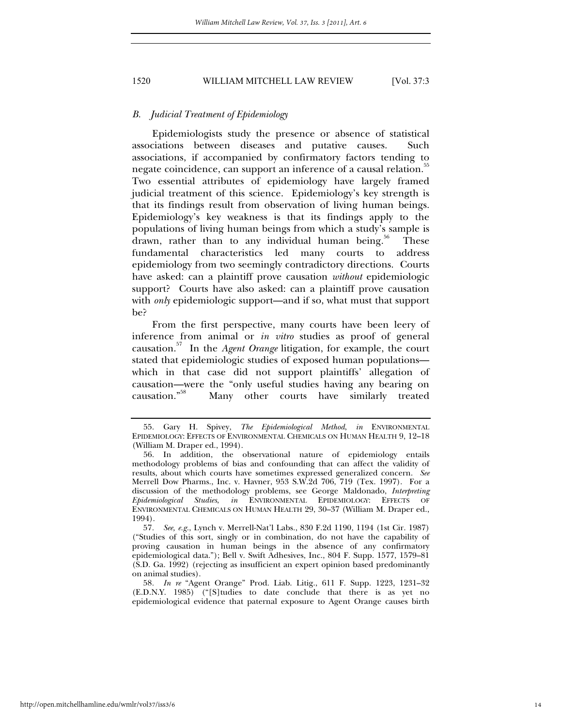#### *B. Judicial Treatment of Epidemiology*

Epidemiologists study the presence or absence of statistical associations between diseases and putative causes. Such associations, if accompanied by confirmatory factors tending to negate coincidence, can support an inference of a causal relation.<sup>55</sup> Two essential attributes of epidemiology have largely framed judicial treatment of this science. Epidemiology's key strength is that its findings result from observation of living human beings. Epidemiology's key weakness is that its findings apply to the populations of living human beings from which a study's sample is drawn, rather than to any individual human being. $56$  These fundamental characteristics led many courts to address epidemiology from two seemingly contradictory directions. Courts have asked: can a plaintiff prove causation *without* epidemiologic support? Courts have also asked: can a plaintiff prove causation with *only* epidemiologic support—and if so, what must that support be?

From the first perspective, many courts have been leery of inference from animal or *in vitro* studies as proof of general causation.57 In the *Agent Orange* litigation, for example, the court stated that epidemiologic studies of exposed human populations which in that case did not support plaintiffs' allegation of causation—were the "only useful studies having any bearing on causation."<sup>58</sup> Many other courts have similarly treated

57*. See, e.g.*, Lynch v. Merrell-Nat'l Labs., 830 F.2d 1190, 1194 (1st Cir. 1987) ("Studies of this sort, singly or in combination, do not have the capability of proving causation in human beings in the absence of any confirmatory epidemiological data."); Bell v. Swift Adhesives, Inc., 804 F. Supp. 1577, 1579–81 (S.D. Ga. 1992) (rejecting as insufficient an expert opinion based predominantly on animal studies).

58*. In re* "Agent Orange" Prod. Liab. Litig., 611 F. Supp. 1223, 1231–32 (E.D.N.Y. 1985) ("[S]tudies to date conclude that there is as yet no epidemiological evidence that paternal exposure to Agent Orange causes birth

 <sup>55.</sup> Gary H. Spivey, *The Epidemiological Method*, *in* ENVIRONMENTAL EPIDEMIOLOGY: EFFECTS OF ENVIRONMENTAL CHEMICALS ON HUMAN HEALTH 9, 12–18 (William M. Draper ed., 1994).

 <sup>56.</sup> In addition, the observational nature of epidemiology entails methodology problems of bias and confounding that can affect the validity of results, about which courts have sometimes expressed generalized concern. *See* Merrell Dow Pharms., Inc. v. Havner, 953 S.W.2d 706, 719 (Tex. 1997). For a discussion of the methodology problems, see George Maldonado, *Interpreting Epidemiological Studies*, *in* ENVIRONMENTAL EPIDEMIOLOGY: EFFECTS OF ENVIRONMENTAL CHEMICALS ON HUMAN HEALTH 29, 30–37 (William M. Draper ed., 1994).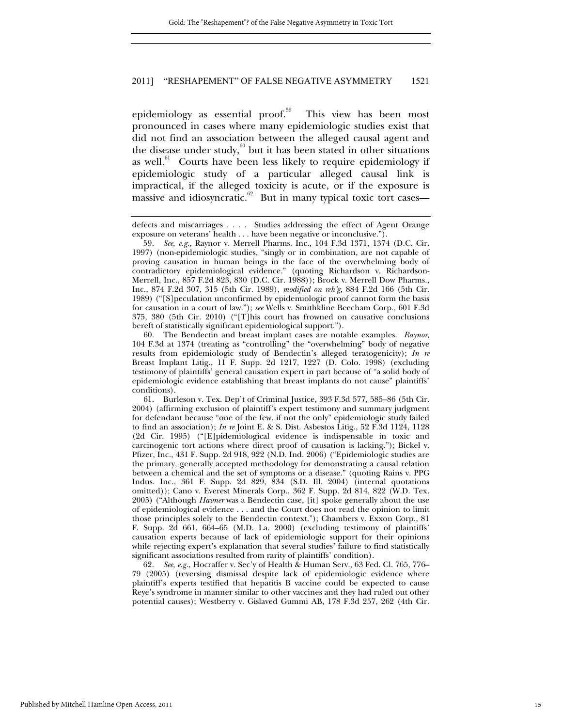epidemiology as essential proof.<sup>59</sup> This view has been most pronounced in cases where many epidemiologic studies exist that did not find an association between the alleged causal agent and the disease under study, $60$  but it has been stated in other situations as well.<sup>61</sup> Courts have been less likely to require epidemiology if epidemiologic study of a particular alleged causal link is impractical, if the alleged toxicity is acute, or if the exposure is massive and idiosyncratic.<sup>62</sup> But in many typical toxic tort cases—

 60. The Bendectin and breast implant cases are notable examples. *Raynor*, 104 F.3d at 1374 (treating as "controlling" the "overwhelming" body of negative results from epidemiologic study of Bendectin's alleged teratogenicity); *In re* Breast Implant Litig., 11 F. Supp. 2d 1217, 1227 (D. Colo. 1998) (excluding testimony of plaintiffs' general causation expert in part because of "a solid body of epidemiologic evidence establishing that breast implants do not cause" plaintiffs' conditions).

 61. Burleson v. Tex. Dep't of Criminal Justice, 393 F.3d 577, 585–86 (5th Cir. 2004) (affirming exclusion of plaintiff's expert testimony and summary judgment for defendant because "one of the few, if not the only" epidemiologic study failed to find an association); *In re* Joint E. & S. Dist. Asbestos Litig., 52 F.3d 1124, 1128 (2d Cir. 1995) ("[E]pidemiological evidence is indispensable in toxic and carcinogenic tort actions where direct proof of causation is lacking."); Bickel v. Pfizer, Inc., 431 F. Supp. 2d 918, 922 (N.D. Ind. 2006) ("Epidemiologic studies are the primary, generally accepted methodology for demonstrating a causal relation between a chemical and the set of symptoms or a disease." (quoting Rains v. PPG Indus. Inc., 361 F. Supp. 2d 829, 834 (S.D. Ill. 2004) (internal quotations omitted)); Cano v. Everest Minerals Corp., 362 F. Supp. 2d 814, 822 (W.D. Tex. 2005) ("Although *Havner* was a Bendectin case, [it] spoke generally about the use of epidemiological evidence . . . and the Court does not read the opinion to limit those principles solely to the Bendectin context."); Chambers v. Exxon Corp., 81 F. Supp. 2d 661, 664–65 (M.D. La. 2000) (excluding testimony of plaintiffs' causation experts because of lack of epidemiologic support for their opinions while rejecting expert's explanation that several studies' failure to find statistically significant associations resulted from rarity of plaintiffs' condition).

62*. See, e.g.*, Hocraffer v. Sec'y of Health & Human Serv., 63 Fed. Cl. 765, 776– 79 (2005) (reversing dismissal despite lack of epidemiologic evidence where plaintiff's experts testified that hepatitis B vaccine could be expected to cause Reye's syndrome in manner similar to other vaccines and they had ruled out other potential causes); Westberry v. Gislaved Gummi AB, 178 F.3d 257, 262 (4th Cir.

defects and miscarriages . . . . Studies addressing the effect of Agent Orange exposure on veterans' health . . . have been negative or inconclusive.").

<sup>59</sup>*. See, e.g.*, Raynor v. Merrell Pharms. Inc., 104 F.3d 1371, 1374 (D.C. Cir. 1997) (non-epidemiologic studies, "singly or in combination, are not capable of proving causation in human beings in the face of the overwhelming body of contradictory epidemiological evidence." (quoting Richardson v. Richardson-Merrell, Inc., 857 F.2d 823, 830 (D.C. Cir. 1988)); Brock v. Merrell Dow Pharms., Inc., 874 F.2d 307, 315 (5th Cir. 1989), *modified on reh'g*, 884 F.2d 166 (5th Cir. 1989) ("[S]peculation unconfirmed by epidemiologic proof cannot form the basis for causation in a court of law."); *see* Wells v. Smithkline Beecham Corp., 601 F.3d 375, 380 (5th Cir. 2010) ("[T]his court has frowned on causative conclusions bereft of statistically significant epidemiological support.").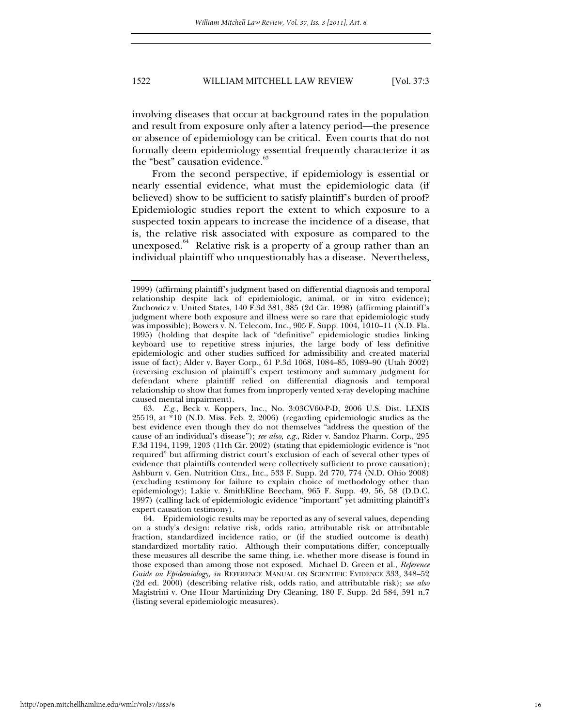involving diseases that occur at background rates in the population and result from exposure only after a latency period—the presence or absence of epidemiology can be critical. Even courts that do not formally deem epidemiology essential frequently characterize it as the "best" causation evidence.<sup>63</sup>

From the second perspective, if epidemiology is essential or nearly essential evidence, what must the epidemiologic data (if believed) show to be sufficient to satisfy plaintiff's burden of proof? Epidemiologic studies report the extent to which exposure to a suspected toxin appears to increase the incidence of a disease, that is, the relative risk associated with exposure as compared to the unexposed.<sup>64</sup> Relative risk is a property of a group rather than an individual plaintiff who unquestionably has a disease. Nevertheless,

 63. *E.g.*, Beck v. Koppers, Inc., No. 3:03CV60-P-D, 2006 U.S. Dist. LEXIS 25519, at \*10 (N.D. Miss. Feb. 2, 2006) (regarding epidemiologic studies as the best evidence even though they do not themselves "address the question of the cause of an individual's disease"); *see also, e.g.*, Rider v. Sandoz Pharm. Corp., 295 F.3d 1194, 1199, 1203 (11th Cir. 2002) (stating that epidemiologic evidence is "not required" but affirming district court's exclusion of each of several other types of evidence that plaintiffs contended were collectively sufficient to prove causation); Ashburn v. Gen. Nutrition Ctrs., Inc., 533 F. Supp. 2d 770, 774 (N.D. Ohio 2008) (excluding testimony for failure to explain choice of methodology other than epidemiology); Lakie v. SmithKline Beecham, 965 F. Supp. 49, 56, 58 (D.D.C. 1997) (calling lack of epidemiologic evidence "important" yet admitting plaintiff's expert causation testimony).

 64. Epidemiologic results may be reported as any of several values, depending on a study's design: relative risk, odds ratio, attributable risk or attributable fraction, standardized incidence ratio, or (if the studied outcome is death) standardized mortality ratio. Although their computations differ, conceptually these measures all describe the same thing, i.e. whether more disease is found in those exposed than among those not exposed. Michael D. Green et al., *Reference Guide on Epidemiology*, *in* REFERENCE MANUAL ON SCIENTIFIC EVIDENCE 333, 348–52 (2d ed. 2000) (describing relative risk, odds ratio, and attributable risk); *see also* Magistrini v. One Hour Martinizing Dry Cleaning, 180 F. Supp. 2d 584, 591 n.7 (listing several epidemiologic measures).

<sup>1999) (</sup>affirming plaintiff's judgment based on differential diagnosis and temporal relationship despite lack of epidemiologic, animal, or in vitro evidence); Zuchowicz v. United States, 140 F.3d 381, 385 (2d Cir. 1998) (affirming plaintiff's judgment where both exposure and illness were so rare that epidemiologic study was impossible); Bowers v. N. Telecom, Inc., 905 F. Supp. 1004, 1010–11 (N.D. Fla. 1995) (holding that despite lack of "definitive" epidemiologic studies linking keyboard use to repetitive stress injuries, the large body of less definitive epidemiologic and other studies sufficed for admissibility and created material issue of fact); Alder v. Bayer Corp., 61 P.3d 1068, 1084–85, 1089–90 (Utah 2002) (reversing exclusion of plaintiff's expert testimony and summary judgment for defendant where plaintiff relied on differential diagnosis and temporal relationship to show that fumes from improperly vented x-ray developing machine caused mental impairment).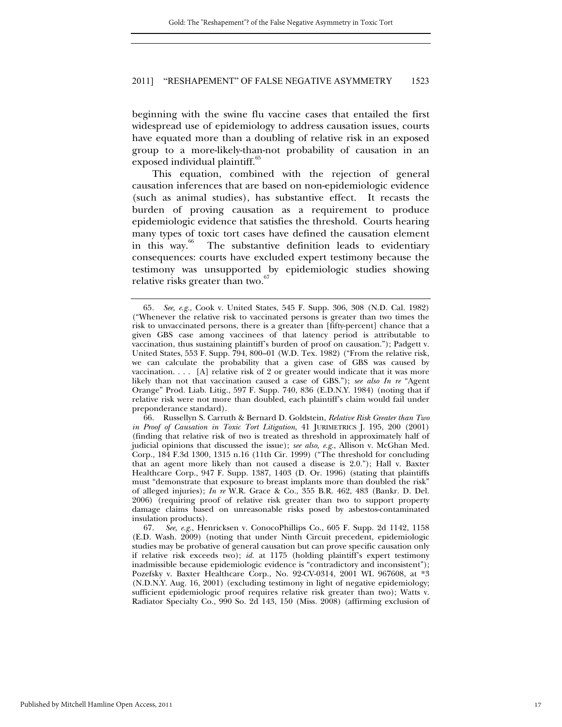beginning with the swine flu vaccine cases that entailed the first widespread use of epidemiology to address causation issues, courts have equated more than a doubling of relative risk in an exposed group to a more-likely-than-not probability of causation in an exposed individual plaintiff. $\frac{60}{5}$ 

This equation, combined with the rejection of general causation inferences that are based on non-epidemiologic evidence (such as animal studies), has substantive effect. It recasts the burden of proving causation as a requirement to produce epidemiologic evidence that satisfies the threshold. Courts hearing many types of toxic tort cases have defined the causation element in this way.<sup>66</sup> The substantive definition leads to evidentiary consequences: courts have excluded expert testimony because the testimony was unsupported by epidemiologic studies showing relative risks greater than two.<sup>6</sup>

 66. Russellyn S. Carruth & Bernard D. Goldstein, *Relative Risk Greater than Two in Proof of Causation in Toxic Tort Litigation*, 41 JURIMETRICS J. 195, 200 (2001) (finding that relative risk of two is treated as threshold in approximately half of judicial opinions that discussed the issue); *see also, e.g.*, Allison v. McGhan Med. Corp., 184 F.3d 1300, 1315 n.16 (11th Cir. 1999) ("The threshold for concluding that an agent more likely than not caused a disease is 2.0."); Hall v. Baxter Healthcare Corp., 947 F. Supp. 1387, 1403 (D. Or. 1996) (stating that plaintiffs must "demonstrate that exposure to breast implants more than doubled the risk" of alleged injuries); *In re* W.R. Grace & Co., 355 B.R. 462, 483 (Bankr. D. Del. 2006) (requiring proof of relative risk greater than two to support property damage claims based on unreasonable risks posed by asbestos-contaminated insulation products).

 67. *See, e.g.*, Henricksen v. ConocoPhillips Co., 605 F. Supp. 2d 1142, 1158 (E.D. Wash. 2009) (noting that under Ninth Circuit precedent, epidemiologic studies may be probative of general causation but can prove specific causation only if relative risk exceeds two); *id.* at 1175 (holding plaintiff's expert testimony inadmissible because epidemiologic evidence is "contradictory and inconsistent"); Pozefsky v. Baxter Healthcare Corp., No. 92-CV-0314, 2001 WL 967608, at \*3 (N.D.N.Y. Aug. 16, 2001) (excluding testimony in light of negative epidemiology; sufficient epidemiologic proof requires relative risk greater than two); Watts v. Radiator Specialty Co., 990 So. 2d 143, 150 (Miss. 2008) (affirming exclusion of

<sup>65</sup>*. See, e.g.*, Cook v. United States, 545 F. Supp. 306, 308 (N.D. Cal. 1982) ("Whenever the relative risk to vaccinated persons is greater than two times the risk to unvaccinated persons, there is a greater than [fifty-percent] chance that a given GBS case among vaccinees of that latency period is attributable to vaccination, thus sustaining plaintiff's burden of proof on causation."); Padgett v. United States, 553 F. Supp. 794, 800–01 (W.D. Tex. 1982) ("From the relative risk, we can calculate the probability that a given case of GBS was caused by vaccination. . . . [A] relative risk of 2 or greater would indicate that it was more likely than not that vaccination caused a case of GBS."); *see also In re* "Agent Orange" Prod. Liab. Litig., 597 F. Supp. 740, 836 (E.D.N.Y. 1984) (noting that if relative risk were not more than doubled, each plaintiff's claim would fail under preponderance standard).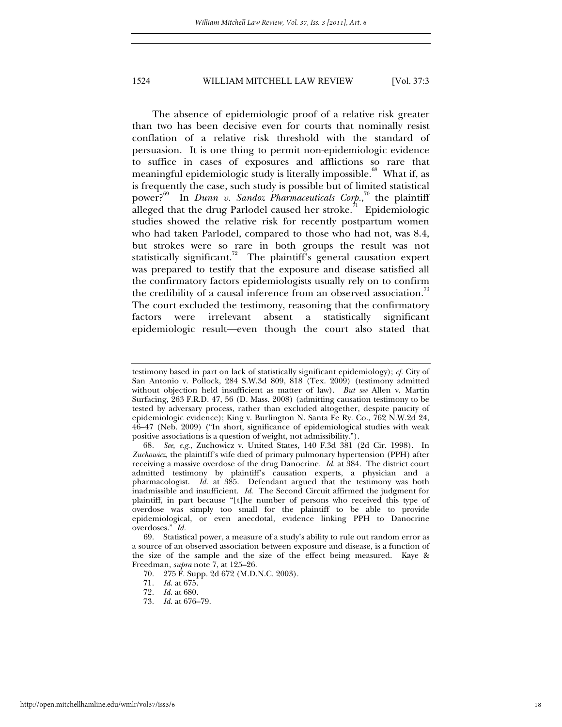The absence of epidemiologic proof of a relative risk greater than two has been decisive even for courts that nominally resist conflation of a relative risk threshold with the standard of persuasion. It is one thing to permit non-epidemiologic evidence to suffice in cases of exposures and afflictions so rare that meaningful epidemiologic study is literally impossible.<sup>68</sup> What if, as is frequently the case, such study is possible but of limited statistical power?69 In *Dunn v. Sandoz Pharmaceuticals Corp.*, 70 the plaintiff alleged that the drug Parlodel caused her stroke.<sup>71</sup> Epidemiologic studies showed the relative risk for recently postpartum women who had taken Parlodel, compared to those who had not, was 8.4, but strokes were so rare in both groups the result was not statistically significant.<sup>72</sup> The plaintiff's general causation expert was prepared to testify that the exposure and disease satisfied all the confirmatory factors epidemiologists usually rely on to confirm the credibility of a causal inference from an observed association.<sup>73</sup> The court excluded the testimony, reasoning that the confirmatory factors were irrelevant absent a statistically significant epidemiologic result—even though the court also stated that

testimony based in part on lack of statistically significant epidemiology); *cf.* City of San Antonio v. Pollock, 284 S.W.3d 809, 818 (Tex. 2009) (testimony admitted without objection held insufficient as matter of law). *But see* Allen v. Martin Surfacing, 263 F.R.D. 47, 56 (D. Mass. 2008) (admitting causation testimony to be tested by adversary process, rather than excluded altogether, despite paucity of epidemiologic evidence); King v. Burlington N. Santa Fe Ry. Co., 762 N.W.2d 24, 46–47 (Neb. 2009) ("In short, significance of epidemiological studies with weak positive associations is a question of weight, not admissibility.").

<sup>68</sup>*. See, e.g.*, Zuchowicz v. United States, 140 F.3d 381 (2d Cir. 1998). In *Zuchowicz,* the plaintiff's wife died of primary pulmonary hypertension (PPH) after receiving a massive overdose of the drug Danocrine. *Id.* at 384. The district court admitted testimony by plaintiff's causation experts, a physician and a pharmacologist. *Id.* at 385. Defendant argued that the testimony was both inadmissible and insufficient. *Id*. The Second Circuit affirmed the judgment for plaintiff, in part because "[t]he number of persons who received this type of overdose was simply too small for the plaintiff to be able to provide epidemiological, or even anecdotal, evidence linking PPH to Danocrine overdoses." *Id.*

 <sup>69.</sup> Statistical power, a measure of a study's ability to rule out random error as a source of an observed association between exposure and disease, is a function of the size of the sample and the size of the effect being measured. Kaye & Freedman, *supra* note 7, at 125–26.

 <sup>70. 275</sup> F. Supp. 2d 672 (M.D.N.C. 2003).

<sup>71</sup>*. Id.* at 675.

<sup>72</sup>*. Id.* at 680.

<sup>73</sup>*. Id.* at 676–79.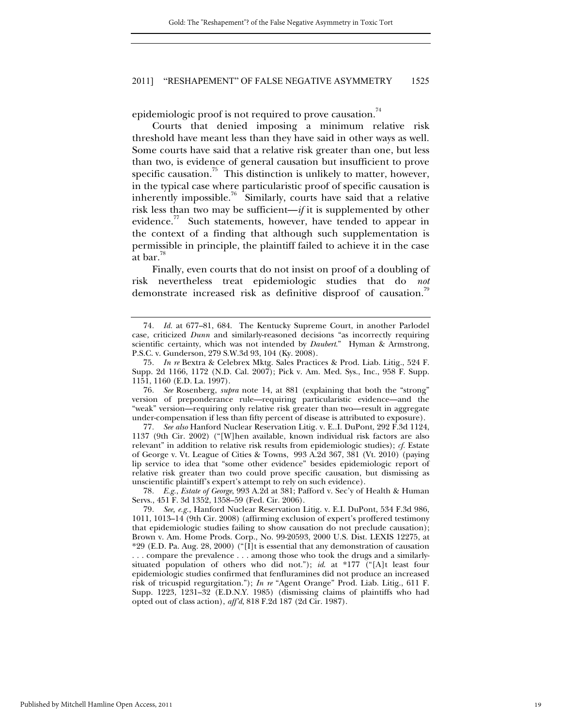epidemiologic proof is not required to prove causation.<sup>74</sup>

Courts that denied imposing a minimum relative risk threshold have meant less than they have said in other ways as well. Some courts have said that a relative risk greater than one, but less than two, is evidence of general causation but insufficient to prove specific causation.<sup>75</sup> This distinction is unlikely to matter, however, in the typical case where particularistic proof of specific causation is inherently impossible.<sup>76</sup> Similarly, courts have said that a relative risk less than two may be sufficient—*if* it is supplemented by other evidence.<sup>77</sup> Such statements, however, have tended to appear in the context of a finding that although such supplementation is permissible in principle, the plaintiff failed to achieve it in the case at bar.<sup>78</sup>

Finally, even courts that do not insist on proof of a doubling of risk nevertheless treat epidemiologic studies that do *not* demonstrate increased risk as definitive disproof of causation.<sup>79</sup>

76*. See* Rosenberg, *supra* note 14, at 881 (explaining that both the "strong" version of preponderance rule—requiring particularistic evidence—and the "weak" version—requiring only relative risk greater than two—result in aggregate under-compensation if less than fifty percent of disease is attributed to exposure).

77*. See also* Hanford Nuclear Reservation Litig. v. E..I. DuPont, 292 F.3d 1124, 1137 (9th Cir. 2002) ("[W]hen available, known individual risk factors are also relevant" in addition to relative risk results from epidemiologic studies); *cf.* Estate of George v. Vt. League of Cities & Towns, 993 A.2d 367, 381 (Vt. 2010) (paying lip service to idea that "some other evidence" besides epidemiologic report of relative risk greater than two could prove specific causation, but dismissing as unscientific plaintiff's expert's attempt to rely on such evidence).

78*. E.g.*, *Estate of George*, 993 A.2d at 381; Pafford v. Sec'y of Health & Human Servs., 451 F. 3d 1352, 1358–59 (Fed. Cir. 2006).

<sup>74</sup>*. Id.* at 677–81, 684. The Kentucky Supreme Court, in another Parlodel case, criticized *Dunn* and similarly-reasoned decisions "as incorrectly requiring scientific certainty, which was not intended by *Daubert*." Hyman & Armstrong, P.S.C. v. Gunderson, 279 S.W.3d 93, 104 (Ky. 2008).

<sup>75</sup>*. In re* Bextra & Celebrex Mktg. Sales Practices & Prod. Liab. Litig., 524 F. Supp. 2d 1166, 1172 (N.D. Cal. 2007); Pick v. Am. Med. Sys., Inc., 958 F. Supp. 1151, 1160 (E.D. La. 1997).

<sup>79</sup>*. See, e.g.*, Hanford Nuclear Reservation Litig. v. E.I. DuPont, 534 F.3d 986, 1011, 1013–14 (9th Cir. 2008) (affirming exclusion of expert's proffered testimony that epidemiologic studies failing to show causation do not preclude causation); Brown v. Am. Home Prods. Corp., No. 99-20593, 2000 U.S. Dist. LEXIS 12275, at \*29 (E.D. Pa. Aug. 28, 2000) ("[I]t is essential that any demonstration of causation . . . compare the prevalence . . . among those who took the drugs and a similarlysituated population of others who did not."); *id*. at \*177 ("[A]t least four epidemiologic studies confirmed that fenfluramines did not produce an increased risk of tricuspid regurgitation."); *In re* "Agent Orange" Prod. Liab. Litig., 611 F. Supp. 1223, 1231–32 (E.D.N.Y. 1985) (dismissing claims of plaintiffs who had opted out of class action), *aff'd*, 818 F.2d 187 (2d Cir. 1987).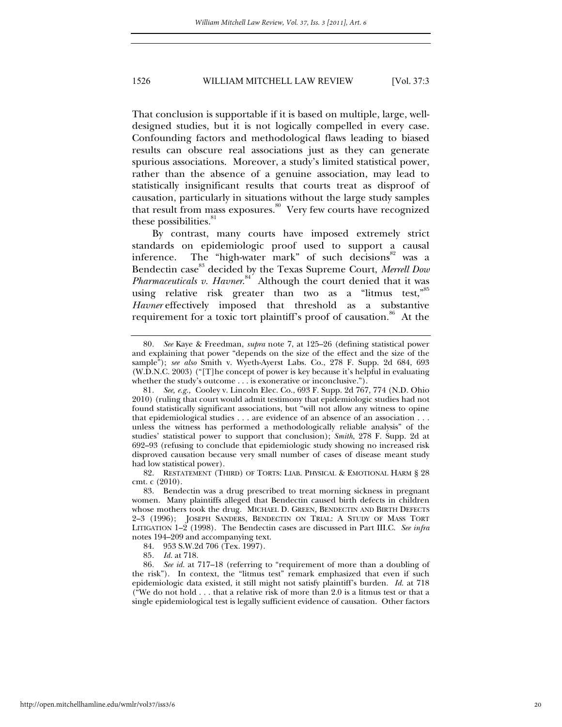That conclusion is supportable if it is based on multiple, large, welldesigned studies, but it is not logically compelled in every case. Confounding factors and methodological flaws leading to biased results can obscure real associations just as they can generate spurious associations. Moreover, a study's limited statistical power, rather than the absence of a genuine association, may lead to statistically insignificant results that courts treat as disproof of causation, particularly in situations without the large study samples that result from mass exposures.<sup>80</sup> Very few courts have recognized these possibilities.<sup>81</sup>

By contrast, many courts have imposed extremely strict standards on epidemiologic proof used to support a causal inference. The "high-water mark" of such decisions<sup>82</sup> was a Bendectin case<sup>83</sup> decided by the Texas Supreme Court, *Merrell Dow* Pharmaceuticals v. Havner.<sup>84</sup> Although the court denied that it was using relative risk greater than two as a "litmus test,"<sup>85</sup> *Havner* effectively imposed that threshold as a substantive requirement for a toxic tort plaintiff's proof of causation.<sup>86</sup> At the

84. 953 S.W.2d 706 (Tex. 1997).

<sup>80</sup>*. See* Kaye & Freedman, *supra* note 7, at 125–26 (defining statistical power and explaining that power "depends on the size of the effect and the size of the sample"); *see also* Smith v. Wyeth-Ayerst Labs. Co., 278 F. Supp. 2d 684, 693 (W.D.N.C. 2003) ("[T]he concept of power is key because it's helpful in evaluating whether the study's outcome . . . is exonerative or inconclusive.").

<sup>81</sup>*. See, e.g.,* Cooley v. Lincoln Elec. Co., 693 F. Supp. 2d 767, 774 (N.D. Ohio 2010) (ruling that court would admit testimony that epidemiologic studies had not found statistically significant associations, but "will not allow any witness to opine that epidemiological studies . . . are evidence of an absence of an association . . . unless the witness has performed a methodologically reliable analysis" of the studies' statistical power to support that conclusion); *Smith*, 278 F. Supp. 2d at 692–93 (refusing to conclude that epidemiologic study showing no increased risk disproved causation because very small number of cases of disease meant study had low statistical power).

 <sup>82.</sup> RESTATEMENT (THIRD) OF TORTS: LIAB. PHYSICAL & EMOTIONAL HARM § 28 cmt. c (2010).

 <sup>83.</sup> Bendectin was a drug prescribed to treat morning sickness in pregnant women. Many plaintiffs alleged that Bendectin caused birth defects in children whose mothers took the drug. MICHAEL D. GREEN*,* BENDECTIN AND BIRTH DEFECTS 2–3 (1996); JOSEPH SANDERS, BENDECTIN ON TRIAL: A STUDY OF MASS TORT LITIGATION 1–2 (1998). The Bendectin cases are discussed in Part III.C. *See infra* notes 194–209 and accompanying text.

<sup>85</sup>*. Id.* at 718.

<sup>86</sup>*. See id.* at 717–18 (referring to "requirement of more than a doubling of the risk"). In context, the "litmus test" remark emphasized that even if such epidemiologic data existed, it still might not satisfy plaintiff's burden. *Id.* at 718 ("We do not hold . . . that a relative risk of more than 2.0 is a litmus test or that a single epidemiological test is legally sufficient evidence of causation. Other factors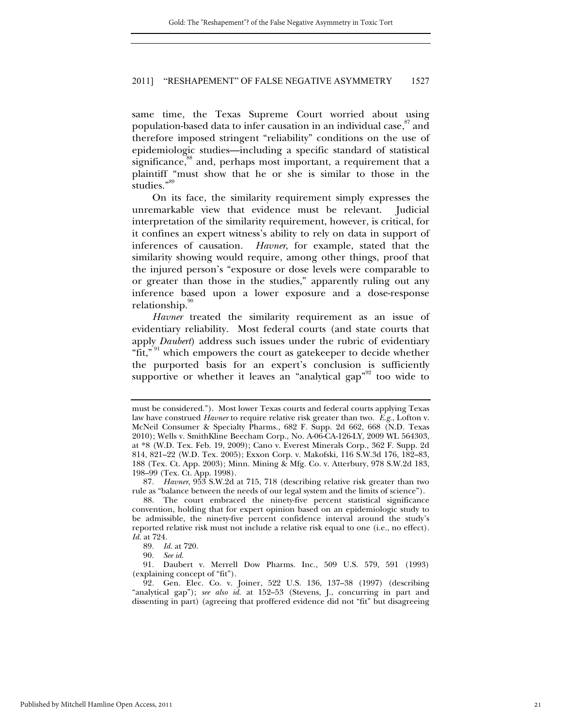same time, the Texas Supreme Court worried about using population-based data to infer causation in an individual case,<sup>87</sup> and therefore imposed stringent "reliability" conditions on the use of epidemiologic studies—including a specific standard of statistical significance,<sup>88</sup> and, perhaps most important, a requirement that a plaintiff "must show that he or she is similar to those in the studies."<sup>89</sup>

On its face, the similarity requirement simply expresses the unremarkable view that evidence must be relevant. Judicial interpretation of the similarity requirement, however, is critical, for it confines an expert witness's ability to rely on data in support of inferences of causation. *Havner*, for example, stated that the similarity showing would require, among other things, proof that the injured person's "exposure or dose levels were comparable to or greater than those in the studies," apparently ruling out any inference based upon a lower exposure and a dose-response relationship.

*Havner* treated the similarity requirement as an issue of evidentiary reliability. Most federal courts (and state courts that apply *Daubert*) address such issues under the rubric of evidentiary "fit," <sup>91</sup> which empowers the court as gatekeeper to decide whether the purported basis for an expert's conclusion is sufficiently supportive or whether it leaves an "analytical gap"<sup>92</sup> too wide to

must be considered."). Most lower Texas courts and federal courts applying Texas law have construed *Havner* to require relative risk greater than two. *E.g.*, Lofton v. McNeil Consumer & Specialty Pharms., 682 F. Supp. 2d 662, 668 (N.D. Texas 2010); Wells v. SmithKline Beecham Corp., No. A-06-CA-126-LY, 2009 WL 564303, at \*8 (W.D. Tex. Feb. 19, 2009); Cano v. Everest Minerals Corp., 362 F. Supp. 2d 814, 821–22 (W.D. Tex. 2005); Exxon Corp. v. Makofski, 116 S.W.3d 176, 182–83, 188 (Tex. Ct. App. 2003); Minn. Mining & Mfg. Co. v. Atterbury, 978 S.W.2d 183, 198–99 (Tex. Ct. App. 1998).

<sup>87</sup>*. Havner*, 953 S.W.2d at 715, 718 (describing relative risk greater than two rule as "balance between the needs of our legal system and the limits of science").

 <sup>88.</sup> The court embraced the ninety-five percent statistical significance convention, holding that for expert opinion based on an epidemiologic study to be admissible, the ninety-five percent confidence interval around the study's reported relative risk must not include a relative risk equal to one (i.e., no effect). *Id.* at 724.

<sup>89</sup>*. Id.* at 720.

<sup>90</sup>*. See id.*

<sup>91</sup>*.* Daubert v. Merrell Dow Pharms. Inc., 509 U.S. 579, 591 (1993) (explaining concept of "fit").

<sup>92</sup>*.* Gen. Elec. Co. v. Joiner, 522 U.S. 136, 137–38 (1997) (describing "analytical gap"); *see also id.* at 152–53 (Stevens, J., concurring in part and dissenting in part) (agreeing that proffered evidence did not "fit" but disagreeing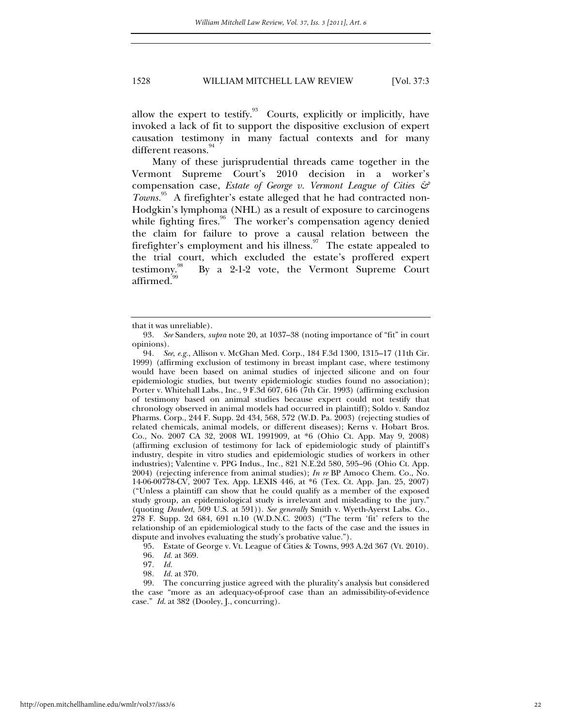allow the expert to testify. $93$  Courts, explicitly or implicitly, have invoked a lack of fit to support the dispositive exclusion of expert causation testimony in many factual contexts and for many different reasons.<sup>94</sup>

Many of these jurisprudential threads came together in the Vermont Supreme Court's 2010 decision in a worker's compensation case, *Estate of George v. Vermont League of Cities & Towns.*95 A firefighter's estate alleged that he had contracted non-Hodgkin's lymphoma (NHL) as a result of exposure to carcinogens while fighting fires.<sup>96</sup> The worker's compensation agency denied the claim for failure to prove a causal relation between the firefighter's employment and his illness.<sup>97</sup> The estate appealed to the trial court, which excluded the estate's proffered expert testimony. $\overset{98}{\sim}$  By a 2-1-2 vote, the Vermont Supreme Court affirmed.

that it was unreliable).

<sup>93</sup>*. See* Sanders, *supra* note 20, at 1037–38 (noting importance of "fit" in court opinions).

<sup>94</sup>*. See*, *e.g.*, Allison v. McGhan Med. Corp., 184 F.3d 1300, 1315–17 (11th Cir. 1999) (affirming exclusion of testimony in breast implant case, where testimony would have been based on animal studies of injected silicone and on four epidemiologic studies, but twenty epidemiologic studies found no association); Porter v. Whitehall Labs., Inc., 9 F.3d 607, 616 (7th Cir. 1993) (affirming exclusion of testimony based on animal studies because expert could not testify that chronology observed in animal models had occurred in plaintiff); Soldo v. Sandoz Pharms. Corp., 244 F. Supp. 2d 434, 568, 572 (W.D. Pa. 2003) (rejecting studies of related chemicals, animal models, or different diseases); Kerns v. Hobart Bros. Co., No. 2007 CA 32, 2008 WL 1991909, at \*6 (Ohio Ct. App. May 9, 2008) (affirming exclusion of testimony for lack of epidemiologic study of plaintiff's industry, despite in vitro studies and epidemiologic studies of workers in other industries); Valentine v. PPG Indus., Inc., 821 N.E.2d 580, 595–96 (Ohio Ct. App. 2004) (rejecting inference from animal studies); *In re* BP Amoco Chem. Co., No. 14-06-00778-CV, 2007 Tex. App. LEXIS 446, at \*6 (Tex. Ct. App. Jan. 25, 2007) ("Unless a plaintiff can show that he could qualify as a member of the exposed study group, an epidemiological study is irrelevant and misleading to the jury." (quoting *Daubert*, 509 U.S. at 591)). *See generally* Smith v. Wyeth-Ayerst Labs. Co., 278 F. Supp. 2d 684, 691 n.10 (W.D.N.C. 2003) ("The term 'fit' refers to the relationship of an epidemiological study to the facts of the case and the issues in dispute and involves evaluating the study's probative value.").

 <sup>95.</sup> Estate of George v. Vt. League of Cities & Towns, 993 A.2d 367 (Vt. 2010).

<sup>96</sup>*. Id.* at 369.

<sup>97</sup>*. Id.*

<sup>98</sup>*. Id.* at 370.

 <sup>99.</sup> The concurring justice agreed with the plurality's analysis but considered the case "more as an adequacy-of-proof case than an admissibility-of-evidence case." *Id*. at 382 (Dooley, J., concurring).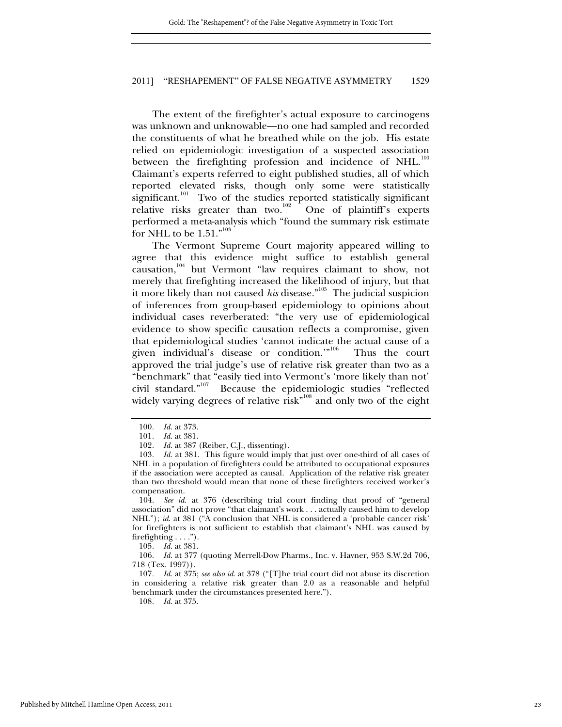The extent of the firefighter's actual exposure to carcinogens was unknown and unknowable—no one had sampled and recorded the constituents of what he breathed while on the job. His estate relied on epidemiologic investigation of a suspected association between the firefighting profession and incidence of NHL.<sup>100</sup> Claimant's experts referred to eight published studies, all of which reported elevated risks, though only some were statistically significant.<sup>101</sup> Two of the studies reported statistically significant relative risks greater than two.<sup>102</sup> One of plaintiff's experts performed a meta-analysis which "found the summary risk estimate for NHL to be  $1.51.^{"^{103}}$ 

The Vermont Supreme Court majority appeared willing to agree that this evidence might suffice to establish general causation,<sup>104</sup> but Vermont "law requires claimant to show, not merely that firefighting increased the likelihood of injury, but that it more likely than not caused *his* disease."<sup>105</sup> The judicial suspicion of inferences from group-based epidemiology to opinions about individual cases reverberated: "the very use of epidemiological evidence to show specific causation reflects a compromise, given that epidemiological studies 'cannot indicate the actual cause of a given individual's disease or condition."<sup>106</sup> Thus the court approved the trial judge's use of relative risk greater than two as a "benchmark" that "easily tied into Vermont's 'more likely than not' civil standard."107 Because the epidemiologic studies "reflected widely varying degrees of relative risk $n^{108}$  and only two of the eight

105*. Id.* at 381.

106*. Id.* at 377 (quoting Merrell-Dow Pharms., Inc. v. Havner, 953 S.W.2d 706, 718 (Tex. 1997)).

107*. Id*. at 375; *see also id*. at 378 ("[T]he trial court did not abuse its discretion in considering a relative risk greater than 2.0 as a reasonable and helpful benchmark under the circumstances presented here.").

108*. Id.* at 375.

<sup>100</sup>*. Id.* at 373.

*Id.* at 381.

<sup>102</sup>*. Id.* at 387 (Reiber, C.J., dissenting).

<sup>103</sup>*. Id.* at 381. This figure would imply that just over one-third of all cases of NHL in a population of firefighters could be attributed to occupational exposures if the association were accepted as causal. Application of the relative risk greater than two threshold would mean that none of these firefighters received worker's compensation.

 <sup>104.</sup> *See id.* at 376 (describing trial court finding that proof of "general association" did not prove "that claimant's work . . . actually caused him to develop NHL"); *id*. at 381 ("A conclusion that NHL is considered a 'probable cancer risk' for firefighters is not sufficient to establish that claimant's NHL was caused by firefighting  $\dots$ .").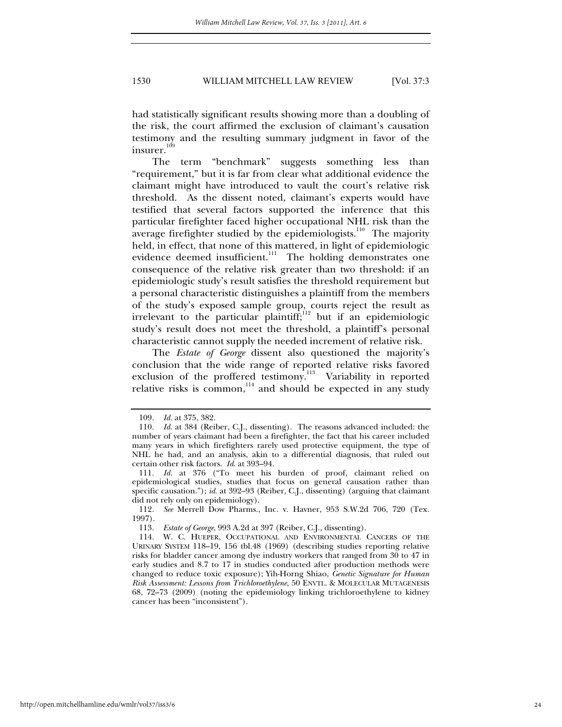had statistically significant results showing more than a doubling of the risk, the court affirmed the exclusion of claimant's causation testimony and the resulting summary judgment in favor of the insurer.<sup>109</sup>

The term "benchmark" suggests something less than "requirement," but it is far from clear what additional evidence the claimant might have introduced to vault the court's relative risk threshold. As the dissent noted, claimant's experts would have testified that several factors supported the inference that this particular firefighter faced higher occupational NHL risk than the average firefighter studied by the epidemiologists.<sup>110</sup> The majority held, in effect, that none of this mattered, in light of epidemiologic evidence deemed insufficient.<sup>111</sup> The holding demonstrates one consequence of the relative risk greater than two threshold: if an epidemiologic study's result satisfies the threshold requirement but a personal characteristic distinguishes a plaintiff from the members of the study's exposed sample group, courts reject the result as irrelevant to the particular plaintiff;<sup>112</sup> but if an epidemiologic study's result does not meet the threshold, a plaintiff's personal characteristic cannot supply the needed increment of relative risk.

The *Estate of George* dissent also questioned the majority's conclusion that the wide range of reported relative risks favored exclusion of the proffered testimony.<sup>113</sup> Variability in reported relative risks is common,<sup>114</sup> and should be expected in any study

<sup>109</sup>*. Id.* at 375, 382.

<sup>110</sup>*. Id*. at 384 (Reiber, C.J., dissenting). The reasons advanced included: the number of years claimant had been a firefighter, the fact that his career included many years in which firefighters rarely used protective equipment, the type of NHL he had, and an analysis, akin to a differential diagnosis, that ruled out certain other risk factors. *Id*. at 393–94.

<sup>111</sup>*. Id.* at 376 ("To meet his burden of proof, claimant relied on epidemiological studies, studies that focus on general causation rather than specific causation."); *id*. at 392–93 (Reiber, C.J., dissenting) (arguing that claimant did not rely only on epidemiology).

<sup>112</sup>*. See* Merrell Dow Pharms., Inc. v. Havner, 953 S.W.2d 706, 720 (Tex. 1997).

<sup>113</sup>*. Estate of George*, 993 A.2d at 397 (Reiber, C.J., dissenting).

 <sup>114.</sup> W. C. HUEPER, OCCUPATIONAL AND ENVIRONMENTAL CANCERS OF THE URINARY SYSTEM 118–19, 156 tbl.48 (1969) (describing studies reporting relative risks for bladder cancer among dye industry workers that ranged from 30 to 47 in early studies and 8.7 to 17 in studies conducted after production methods were changed to reduce toxic exposure); Yih-Horng Shiao, *Genetic Signature for Human Risk Assessment: Lessons from Trichloroethylene*, 50 ENVTL. & MOLECULAR MUTAGENESIS 68, 72–73 (2009) (noting the epidemiology linking trichloroethylene to kidney cancer has been "inconsistent").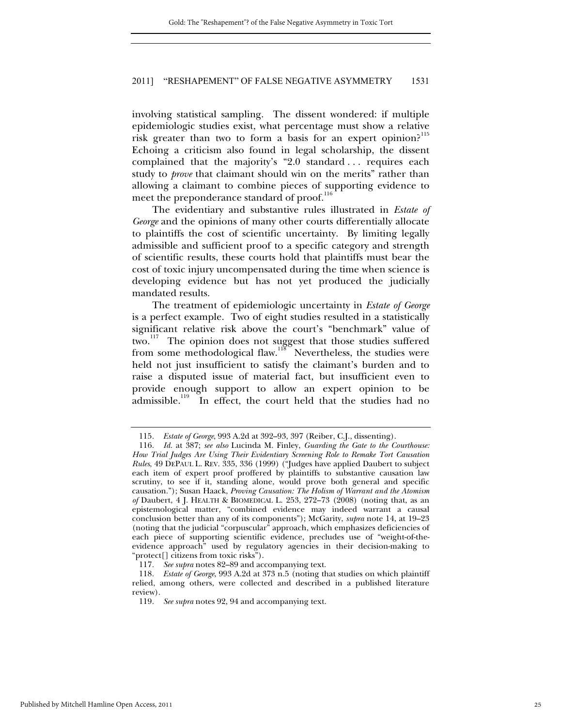involving statistical sampling. The dissent wondered: if multiple epidemiologic studies exist, what percentage must show a relative risk greater than two to form a basis for an expert opinion?<sup>115</sup> Echoing a criticism also found in legal scholarship, the dissent complained that the majority's "2.0 standard . . . requires each study to *prove* that claimant should win on the merits" rather than allowing a claimant to combine pieces of supporting evidence to meet the preponderance standard of proof.<sup>116</sup>

The evidentiary and substantive rules illustrated in *Estate of George* and the opinions of many other courts differentially allocate to plaintiffs the cost of scientific uncertainty. By limiting legally admissible and sufficient proof to a specific category and strength of scientific results, these courts hold that plaintiffs must bear the cost of toxic injury uncompensated during the time when science is developing evidence but has not yet produced the judicially mandated results.

The treatment of epidemiologic uncertainty in *Estate of George* is a perfect example. Two of eight studies resulted in a statistically significant relative risk above the court's "benchmark" value of two.<sup>117</sup> The opinion does not suggest that those studies suffered from some methodological flaw.<sup>118</sup> Nevertheless, the studies were held not just insufficient to satisfy the claimant's burden and to raise a disputed issue of material fact, but insufficient even to provide enough support to allow an expert opinion to be admissible.<sup>119</sup> In effect, the court held that the studies had no

<sup>115</sup>*. Estate of George*, 993 A.2d at 392–93, 397 (Reiber, C.J., dissenting).

<sup>116</sup>*. Id.* at 387; *see also* Lucinda M. Finley, *Guarding the Gate to the Courthouse: How Trial Judges Are Using Their Evidentiary Screening Role to Remake Tort Causation Rules*, 49 DEPAUL L. REV. 335, 336 (1999) ("Judges have applied Daubert to subject each item of expert proof proffered by plaintiffs to substantive causation law scrutiny, to see if it, standing alone, would prove both general and specific causation."); Susan Haack, *Proving Causation: The Holism of Warrant and the Atomism of* Daubert, 4 J. HEALTH & BIOMEDICAL L. 253, 272–73 (2008) (noting that, as an epistemological matter, "combined evidence may indeed warrant a causal conclusion better than any of its components"); McGarity, *supra* note 14, at 19–23 (noting that the judicial "corpuscular" approach, which emphasizes deficiencies of each piece of supporting scientific evidence, precludes use of "weight-of-theevidence approach" used by regulatory agencies in their decision-making to "protect[] citizens from toxic risks").

<sup>117</sup>*. See supra* notes 82–89 and accompanying text.

<sup>118</sup>*. Estate of George*, 993 A.2d at 373 n.5 (noting that studies on which plaintiff relied, among others, were collected and described in a published literature review).

<sup>119</sup>*. See supra* notes 92, 94 and accompanying text.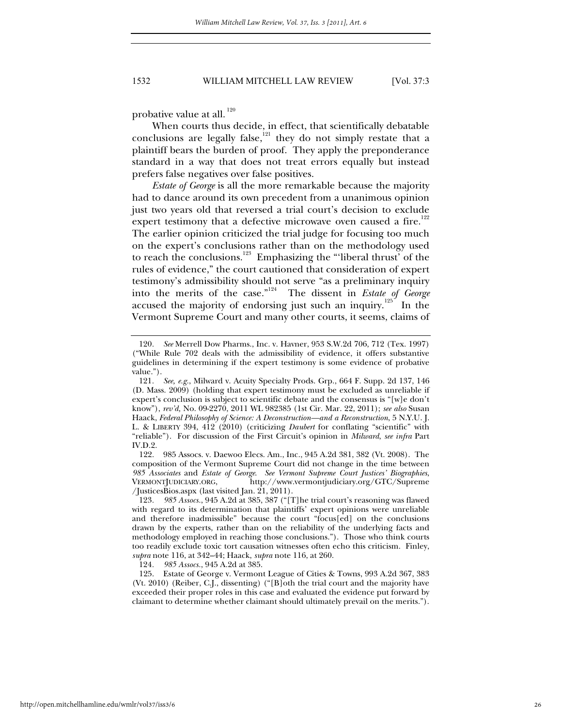probative value at all.<sup>120</sup>

When courts thus decide, in effect, that scientifically debatable conclusions are legally false, $121$  they do not simply restate that a plaintiff bears the burden of proof. They apply the preponderance standard in a way that does not treat errors equally but instead prefers false negatives over false positives.

*Estate of George* is all the more remarkable because the majority had to dance around its own precedent from a unanimous opinion just two years old that reversed a trial court's decision to exclude expert testimony that a defective microwave oven caused a fire.<sup>122</sup> The earlier opinion criticized the trial judge for focusing too much on the expert's conclusions rather than on the methodology used to reach the conclusions.<sup>123</sup> Emphasizing the "'liberal thrust' of the rules of evidence," the court cautioned that consideration of expert testimony's admissibility should not serve "as a preliminary inquiry into the merits of the case."124 The dissent in *Estate of George* accused the majority of endorsing just such an inquiry.<sup>125</sup> In the Vermont Supreme Court and many other courts, it seems, claims of

 122. 985 Assocs. v. Daewoo Elecs. Am., Inc., 945 A.2d 381, 382 (Vt. 2008). The composition of the Vermont Supreme Court did not change in the time between *985 Associates* and *Estate of George*. *See Vermont Supreme Court Justices' Biographies*, VERMONTJUDICIARY.ORG, http://www.vermontjudiciary.org/GTC/Supreme /JusticesBios.aspx (last visited Jan.  $21, 2011$ ).

124*. 985 Assocs.*, 945 A.2d at 385.

<sup>120</sup>*. See* Merrell Dow Pharms., Inc. v. Havner, 953 S.W.2d 706, 712 (Tex. 1997) ("While Rule 702 deals with the admissibility of evidence, it offers substantive guidelines in determining if the expert testimony is some evidence of probative value.").

<sup>121</sup>*. See, e.g.*, Milward v. Acuity Specialty Prods. Grp., 664 F. Supp. 2d 137, 146 (D. Mass. 2009) (holding that expert testimony must be excluded as unreliable if expert's conclusion is subject to scientific debate and the consensus is "[w]e don't know"), *rev'd,* No. 09-2270, 2011 WL 982385 (1st Cir. Mar. 22, 2011); *see also* Susan Haack, *Federal Philosophy of Science: A Deconstruction—and a Reconstruction*, 5 N.Y.U. J. L. & LIBERTY 394, 412 (2010) (criticizing *Daubert* for conflating "scientific" with "reliable"). For discussion of the First Circuit's opinion in *Milward*, *see infra* Part IV.D.2.

<sup>123</sup>*. 985 Assocs.*, 945 A.2d at 385, 387 ("[T]he trial court's reasoning was flawed with regard to its determination that plaintiffs' expert opinions were unreliable and therefore inadmissible" because the court "focus[ed] on the conclusions drawn by the experts, rather than on the reliability of the underlying facts and methodology employed in reaching those conclusions."). Those who think courts too readily exclude toxic tort causation witnesses often echo this criticism. Finley, *supra* note 116, at 342–44; Haack, *supra* note 116, at 260.

 <sup>125.</sup> Estate of George v. Vermont League of Cities & Towns, 993 A.2d 367, 383 (Vt. 2010) (Reiber, C.J., dissenting) ("[B]oth the trial court and the majority have exceeded their proper roles in this case and evaluated the evidence put forward by claimant to determine whether claimant should ultimately prevail on the merits.").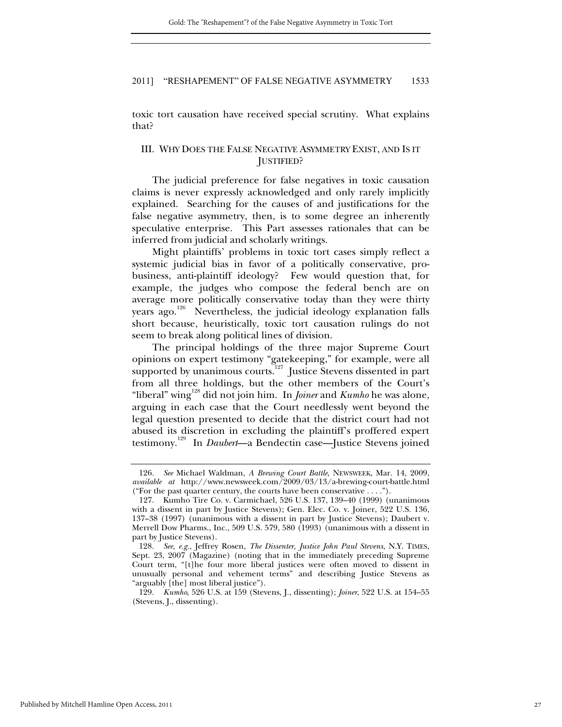toxic tort causation have received special scrutiny. What explains that?

## III. WHY DOES THE FALSE NEGATIVE ASYMMETRY EXIST, AND IS IT JUSTIFIED?

The judicial preference for false negatives in toxic causation claims is never expressly acknowledged and only rarely implicitly explained. Searching for the causes of and justifications for the false negative asymmetry, then, is to some degree an inherently speculative enterprise. This Part assesses rationales that can be inferred from judicial and scholarly writings.

Might plaintiffs' problems in toxic tort cases simply reflect a systemic judicial bias in favor of a politically conservative, probusiness, anti-plaintiff ideology? Few would question that, for example, the judges who compose the federal bench are on average more politically conservative today than they were thirty years ago.<sup>126</sup> Nevertheless, the judicial ideology explanation falls short because, heuristically, toxic tort causation rulings do not seem to break along political lines of division.

The principal holdings of the three major Supreme Court opinions on expert testimony "gatekeeping," for example, were all supported by unanimous courts.<sup>127</sup> Justice Stevens dissented in part from all three holdings, but the other members of the Court's "liberal" wing<sup>128</sup> did not join him. In *Joiner* and *Kumho* he was alone, arguing in each case that the Court needlessly went beyond the legal question presented to decide that the district court had not abused its discretion in excluding the plaintiff's proffered expert testimony.129 In *Daubert*—a Bendectin case—Justice Stevens joined

<sup>126</sup>*. See* Michael Waldman, *A Brewing Court Battle*, NEWSWEEK, Mar. 14, 2009, *available at* http://www.newsweek.com/2009/03/13/a-brewing-court-battle.html ("For the past quarter century, the courts have been conservative . . . .").

 <sup>127.</sup> Kumho Tire Co. v. Carmichael, 526 U.S. 137, 139–40 (1999) (unanimous with a dissent in part by Justice Stevens); Gen. Elec. Co. v. Joiner, 522 U.S. 136, 137–38 (1997) (unanimous with a dissent in part by Justice Stevens); Daubert v. Merrell Dow Pharms., Inc., 509 U.S. 579, 580 (1993) (unanimous with a dissent in part by Justice Stevens).

<sup>128</sup>*. See, e.g.*, Jeffrey Rosen, *The Dissenter, Justice John Paul Stevens*, N.Y. TIMES, Sept. 23, 2007 (Magazine) (noting that in the immediately preceding Supreme Court term, "[t]he four more liberal justices were often moved to dissent in unusually personal and vehement terms" and describing Justice Stevens as "arguably [the] most liberal justice").

<sup>129</sup>*. Kumho*, 526 U.S. at 159 (Stevens, J., dissenting); *Joiner*, 522 U.S. at 154–55 (Stevens, J., dissenting).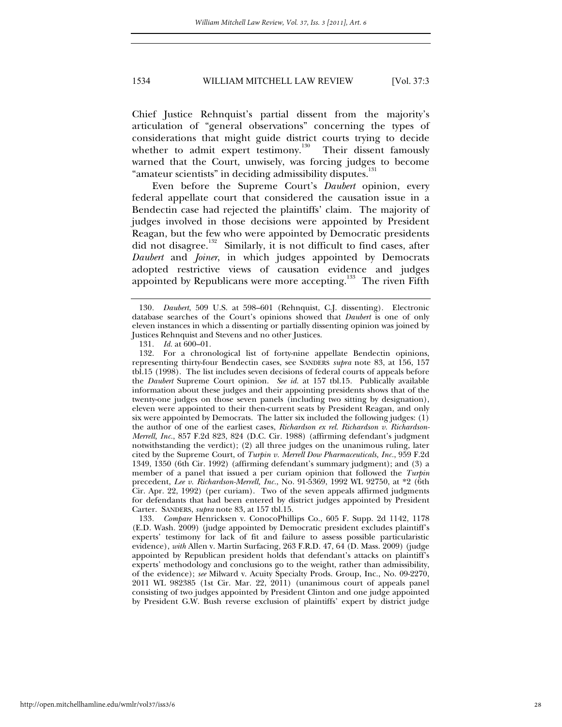Chief Justice Rehnquist's partial dissent from the majority's articulation of "general observations" concerning the types of considerations that might guide district courts trying to decide whether to admit expert testimony.<sup>130</sup> Their dissent famously warned that the Court, unwisely, was forcing judges to become "amateur scientists" in deciding admissibility disputes.<sup>131</sup>

Even before the Supreme Court's *Daubert* opinion, every federal appellate court that considered the causation issue in a Bendectin case had rejected the plaintiffs' claim. The majority of judges involved in those decisions were appointed by President Reagan, but the few who were appointed by Democratic presidents did not disagree.<sup>132</sup> Similarly, it is not difficult to find cases, after *Daubert* and *Joiner*, in which judges appointed by Democrats adopted restrictive views of causation evidence and judges appointed by Republicans were more accepting.<sup>133</sup> The riven Fifth

131*. Id.* at 600–01.

 132. For a chronological list of forty-nine appellate Bendectin opinions, representing thirty-four Bendectin cases, see SANDERS *supra* note 83, at 156, 157 tbl.15 (1998). The list includes seven decisions of federal courts of appeals before the *Daubert* Supreme Court opinion. *See id.* at 157 tbl.15. Publically available information about these judges and their appointing presidents shows that of the twenty-one judges on those seven panels (including two sitting by designation), eleven were appointed to their then-current seats by President Reagan, and only six were appointed by Democrats. The latter six included the following judges: (1) the author of one of the earliest cases, *Richardson ex rel. Richardson v. Richardson-Merrell, Inc.*, 857 F.2d 823, 824 (D.C. Cir. 1988) (affirming defendant's judgment notwithstanding the verdict); (2) all three judges on the unanimous ruling, later cited by the Supreme Court, of *Turpin v. Merrell Dow Pharmaceuticals, Inc.*, 959 F.2d 1349, 1350 (6th Cir. 1992) (affirming defendant's summary judgment); and (3) a member of a panel that issued a per curiam opinion that followed the *Turpin* precedent, *Lee v. Richardson-Merrell, Inc.*, No. 91-5369, 1992 WL 92750, at \*2 (6th Cir. Apr. 22, 1992) (per curiam). Two of the seven appeals affirmed judgments for defendants that had been entered by district judges appointed by President Carter. SANDERS, *supra* note 83, at 157 tbl.15.

133*. Compare* Henricksen v. ConocoPhillips Co., 605 F. Supp. 2d 1142, 1178 (E.D. Wash. 2009) (judge appointed by Democratic president excludes plaintiff's experts' testimony for lack of fit and failure to assess possible particularistic evidence), *with* Allen v. Martin Surfacing, 263 F.R.D. 47, 64 (D. Mass. 2009) (judge appointed by Republican president holds that defendant's attacks on plaintiff's experts' methodology and conclusions go to the weight, rather than admissibility, of the evidence); *see* Milward v. Acuity Specialty Prods. Group, Inc., No. 09-2270, 2011 WL 982385 (1st Cir. Mar. 22, 2011) (unanimous court of appeals panel consisting of two judges appointed by President Clinton and one judge appointed by President G.W. Bush reverse exclusion of plaintiffs' expert by district judge

<sup>130</sup>*. Daubert*, 509 U.S. at 598–601 (Rehnquist, C.J. dissenting). Electronic database searches of the Court's opinions showed that *Daubert* is one of only eleven instances in which a dissenting or partially dissenting opinion was joined by Justices Rehnquist and Stevens and no other Justices.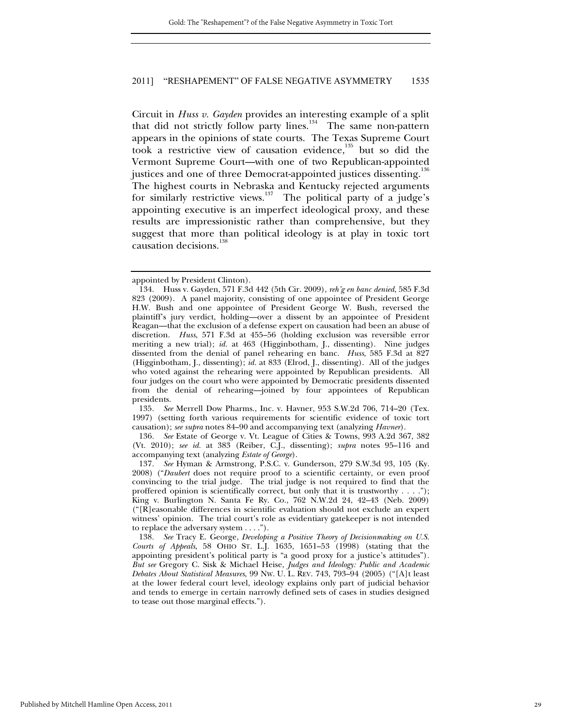Circuit in *Huss v. Gayden* provides an interesting example of a split that did not strictly follow party lines.<sup>134</sup> The same non-pattern appears in the opinions of state courts. The Texas Supreme Court took a restrictive view of causation evidence, $135$  but so did the Vermont Supreme Court—with one of two Republican-appointed justices and one of three Democrat-appointed justices dissenting.<sup>136</sup> The highest courts in Nebraska and Kentucky rejected arguments for similarly restrictive views.137 The political party of a judge's appointing executive is an imperfect ideological proxy, and these results are impressionistic rather than comprehensive, but they suggest that more than political ideology is at play in toxic tort causation decisions.<sup>138</sup>

135*. See* Merrell Dow Pharms., Inc. v. Havner, 953 S.W.2d 706, 714–20 (Tex. 1997) (setting forth various requirements for scientific evidence of toxic tort causation); *see supra* notes 84–90 and accompanying text (analyzing *Havner*).

136*. See* Estate of George v. Vt. League of Cities & Towns, 993 A.2d 367, 382 (Vt. 2010); *see id.* at 383 (Reiber, C.J., dissenting); *supra* notes 95–116 and accompanying text (analyzing *Estate of George*).

137*. See* Hyman & Armstrong, P.S.C. v. Gunderson, 279 S.W.3d 93, 105 (Ky. 2008) ("*Daubert* does not require proof to a scientific certainty, or even proof convincing to the trial judge. The trial judge is not required to find that the proffered opinion is scientifically correct, but only that it is trustworthy  $\dots$ ."); King v. Burlington N. Santa Fe Ry. Co., 762 N.W.2d 24, 42–43 (Neb. 2009) ("[R]easonable differences in scientific evaluation should not exclude an expert witness' opinion. The trial court's role as evidentiary gatekeeper is not intended to replace the adversary system . . . .").

138*. See* Tracy E. George, *Developing a Positive Theory of Decisionmaking on U.S. Courts of Appeals*, 58 OHIO ST. L.J. 1635, 1651–53 (1998) (stating that the appointing president's political party is "a good proxy for a justice's attitudes")*. But see* Gregory C. Sisk & Michael Heise, *Judges and Ideology: Public and Academic Debates About Statistical Measures*, 99 NW. U. L. REV. 743, 793–94 (2005) ("[A]t least at the lower federal court level, ideology explains only part of judicial behavior and tends to emerge in certain narrowly defined sets of cases in studies designed to tease out those marginal effects.").

appointed by President Clinton).

 <sup>134.</sup> Huss v. Gayden, 571 F.3d 442 (5th Cir. 2009), *reh'g en banc denied*, 585 F.3d 823 (2009). A panel majority, consisting of one appointee of President George H.W. Bush and one appointee of President George W. Bush, reversed the plaintiff's jury verdict, holding—over a dissent by an appointee of President Reagan—that the exclusion of a defense expert on causation had been an abuse of discretion. *Huss*, 571 F.3d at 455–56 (holding exclusion was reversible error meriting a new trial); *id.* at 463 (Higginbotham, J., dissenting). Nine judges dissented from the denial of panel rehearing en banc. *Huss*, 585 F.3d at 827 (Higginbotham, J., dissenting); *id.* at 833 (Elrod, J., dissenting). All of the judges who voted against the rehearing were appointed by Republican presidents. All four judges on the court who were appointed by Democratic presidents dissented from the denial of rehearing—joined by four appointees of Republican presidents.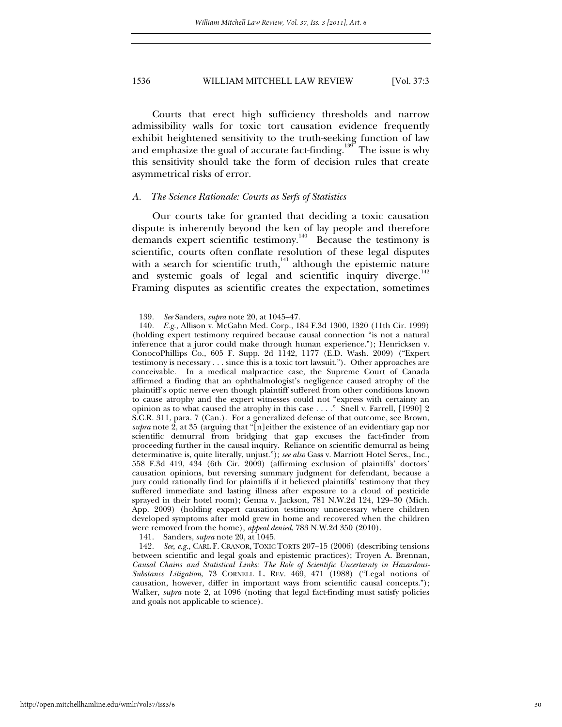Courts that erect high sufficiency thresholds and narrow admissibility walls for toxic tort causation evidence frequently exhibit heightened sensitivity to the truth-seeking function of law and emphasize the goal of accurate fact-finding.<sup>139</sup> The issue is why this sensitivity should take the form of decision rules that create asymmetrical risks of error.

#### *A. The Science Rationale: Courts as Serfs of Statistics*

Our courts take for granted that deciding a toxic causation dispute is inherently beyond the ken of lay people and therefore demands expert scientific testimony.<sup>140</sup> Because the testimony is scientific, courts often conflate resolution of these legal disputes with a search for scientific truth, $141$  although the epistemic nature and systemic goals of legal and scientific inquiry diverge.<sup>142</sup> Framing disputes as scientific creates the expectation, sometimes

141. Sanders, *supra* note 20, at 1045.

<sup>139</sup>*. See* Sanders, *supra* note 20, at 1045–47.

<sup>140</sup>*. E.g.*, Allison v. McGahn Med. Corp., 184 F.3d 1300, 1320 (11th Cir. 1999) (holding expert testimony required because causal connection "is not a natural inference that a juror could make through human experience."); Henricksen v. ConocoPhillips Co., 605 F. Supp. 2d 1142, 1177 (E.D. Wash. 2009) ("Expert testimony is necessary . . . since this is a toxic tort lawsuit."). Other approaches are conceivable. In a medical malpractice case, the Supreme Court of Canada affirmed a finding that an ophthalmologist's negligence caused atrophy of the plaintiff's optic nerve even though plaintiff suffered from other conditions known to cause atrophy and the expert witnesses could not "express with certainty an opinion as to what caused the atrophy in this case . . . . " Snell v. Farrell, [1990] 2 S.C.R. 311, para. 7 (Can.). For a generalized defense of that outcome, see Brown, *supra* note 2, at 35 (arguing that "[n]either the existence of an evidentiary gap nor scientific demurral from bridging that gap excuses the fact-finder from proceeding further in the causal inquiry. Reliance on scientific demurral as being determinative is, quite literally, unjust."); *see also* Gass v. Marriott Hotel Servs., Inc., 558 F.3d 419, 434 (6th Cir. 2009) (affirming exclusion of plaintiffs' doctors' causation opinions, but reversing summary judgment for defendant, because a jury could rationally find for plaintiffs if it believed plaintiffs' testimony that they suffered immediate and lasting illness after exposure to a cloud of pesticide sprayed in their hotel room); Genna v. Jackson, 781 N.W.2d 124, 129–30 (Mich. App. 2009) (holding expert causation testimony unnecessary where children developed symptoms after mold grew in home and recovered when the children were removed from the home), *appeal denied*, 783 N.W.2d 350 (2010).

<sup>142</sup>*. See, e.g.*, CARL F. CRANOR, TOXIC TORTS 207–15 (2006) (describing tensions between scientific and legal goals and epistemic practices); Troyen A. Brennan, *Causal Chains and Statistical Links: The Role of Scientific Uncertainty in Hazardous-Substance Litigation*, 73 CORNELL L. REV. 469, 471 (1988) ("Legal notions of causation, however, differ in important ways from scientific causal concepts."); Walker, *supra* note 2, at 1096 (noting that legal fact-finding must satisfy policies and goals not applicable to science).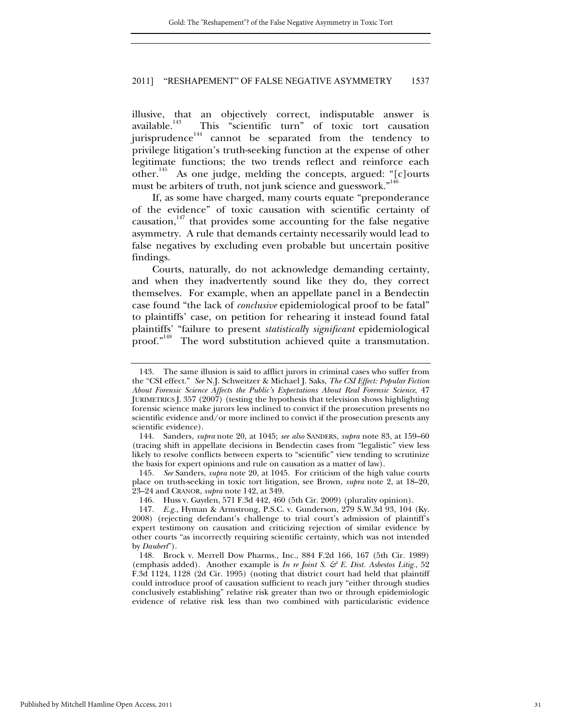illusive, that an objectively correct, indisputable answer is available.<sup>143</sup> This "scientific turn" of toxic tort causation This "scientific turn" of toxic tort causation jurisprudence<sup>144</sup> cannot be separated from the tendency to privilege litigation's truth-seeking function at the expense of other legitimate functions; the two trends reflect and reinforce each other.<sup>145</sup> As one judge, melding the concepts, argued: "[c]ourts must be arbiters of truth, not junk science and guesswork."<sup>146</sup>

If, as some have charged, many courts equate "preponderance of the evidence" of toxic causation with scientific certainty of causation, $147$  that provides some accounting for the false negative asymmetry. A rule that demands certainty necessarily would lead to false negatives by excluding even probable but uncertain positive findings.

Courts, naturally, do not acknowledge demanding certainty, and when they inadvertently sound like they do, they correct themselves. For example, when an appellate panel in a Bendectin case found "the lack of *conclusive* epidemiological proof to be fatal" to plaintiffs' case, on petition for rehearing it instead found fatal plaintiffs' "failure to present *statistically significant* epidemiological proof."<sup>148</sup> The word substitution achieved quite a transmutation.

145*. See* Sanders, *supra* note 20, at 1045. For criticism of the high value courts place on truth-seeking in toxic tort litigation, see Brown, *supra* note 2, at 18–20, 23–24 and CRANOR, *supra* note 142, at 349.

 <sup>143.</sup> The same illusion is said to afflict jurors in criminal cases who suffer from the "CSI effect." *See* N.J. Schweitzer & Michael J. Saks, *The CSI Effect: Popular Fiction About Forensic Science Affects the Public's Expectations About Real Forensic Science*, 47 JURIMETRICS J. 357 (2007) (testing the hypothesis that television shows highlighting forensic science make jurors less inclined to convict if the prosecution presents no scientific evidence and/or more inclined to convict if the prosecution presents any scientific evidence).

 <sup>144.</sup> Sanders, *supra* note 20, at 1045; *see also* SANDERS, *supra* note 83, at 159–60 (tracing shift in appellate decisions in Bendectin cases from "legalistic" view less likely to resolve conflicts between experts to "scientific" view tending to scrutinize the basis for expert opinions and rule on causation as a matter of law).

 <sup>146.</sup> Huss v. Gayden, 571 F.3d 442, 460 (5th Cir. 2009) (plurality opinion).

<sup>147</sup>*. E.g.*, Hyman & Armstrong, P.S.C. v. Gunderson, 279 S.W.3d 93, 104 (Ky. 2008) (rejecting defendant's challenge to trial court's admission of plaintiff's expert testimony on causation and criticizing rejection of similar evidence by other courts "as incorrectly requiring scientific certainty, which was not intended by *Daubert*").

 <sup>148.</sup> Brock v. Merrell Dow Pharms., Inc., 884 F.2d 166, 167 (5th Cir. 1989) (emphasis added). Another example is *In re Joint S. & E. Dist. Asbestos Litig.*, 52 F.3d 1124, 1128 (2d Cir. 1995) (noting that district court had held that plaintiff could introduce proof of causation sufficient to reach jury "either through studies conclusively establishing" relative risk greater than two or through epidemiologic evidence of relative risk less than two combined with particularistic evidence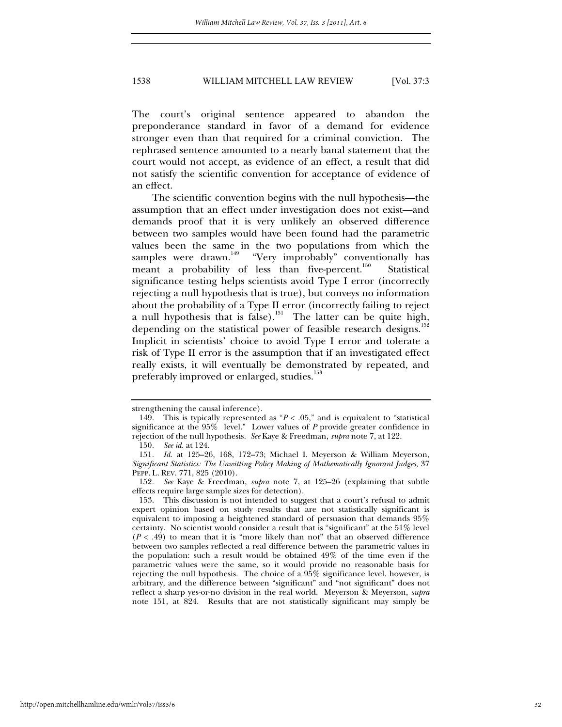The court's original sentence appeared to abandon the preponderance standard in favor of a demand for evidence stronger even than that required for a criminal conviction. The rephrased sentence amounted to a nearly banal statement that the court would not accept, as evidence of an effect, a result that did not satisfy the scientific convention for acceptance of evidence of an effect.

The scientific convention begins with the null hypothesis—the assumption that an effect under investigation does not exist—and demands proof that it is very unlikely an observed difference between two samples would have been found had the parametric values been the same in the two populations from which the samples were drawn.<sup>149</sup> "Very improbably" conventionally has meant a probability of less than five-percent.<sup>150</sup> Statistical significance testing helps scientists avoid Type I error (incorrectly rejecting a null hypothesis that is true), but conveys no information about the probability of a Type II error (incorrectly failing to reject a null hypothesis that is false).<sup>151</sup> The latter can be quite high, depending on the statistical power of feasible research designs.<sup>152</sup> Implicit in scientists' choice to avoid Type I error and tolerate a risk of Type II error is the assumption that if an investigated effect really exists, it will eventually be demonstrated by repeated, and preferably improved or enlarged, studies.<sup>153</sup>

strengthening the causal inference).

<sup>149.</sup> This is typically represented as  $P < .05$ ," and is equivalent to "statistical significance at the 95% level." Lower values of *P* provide greater confidence in rejection of the null hypothesis. *See* Kaye & Freedman, *supra* note 7, at 122.

<sup>150</sup>*. See id.* at 124.

<sup>151</sup>*. Id.* at 125–26, 168, 172–73; Michael I. Meyerson & William Meyerson, *Significant Statistics: The Unwitting Policy Making of Mathematically Ignorant Judges*, 37 PEPP. L. REV. 771, 825 (2010).

<sup>152</sup>*. See* Kaye & Freedman, *supra* note 7, at 125–26 (explaining that subtle effects require large sample sizes for detection).

 <sup>153.</sup> This discussion is not intended to suggest that a court's refusal to admit expert opinion based on study results that are not statistically significant is equivalent to imposing a heightened standard of persuasion that demands 95% certainty. No scientist would consider a result that is "significant" at the 51% level  $(P < .49)$  to mean that it is "more likely than not" that an observed difference between two samples reflected a real difference between the parametric values in the population: such a result would be obtained 49% of the time even if the parametric values were the same, so it would provide no reasonable basis for rejecting the null hypothesis. The choice of a 95% significance level, however, is arbitrary, and the difference between "significant" and "not significant" does not reflect a sharp yes-or-no division in the real world. Meyerson & Meyerson, *supra* note 151, at 824. Results that are not statistically significant may simply be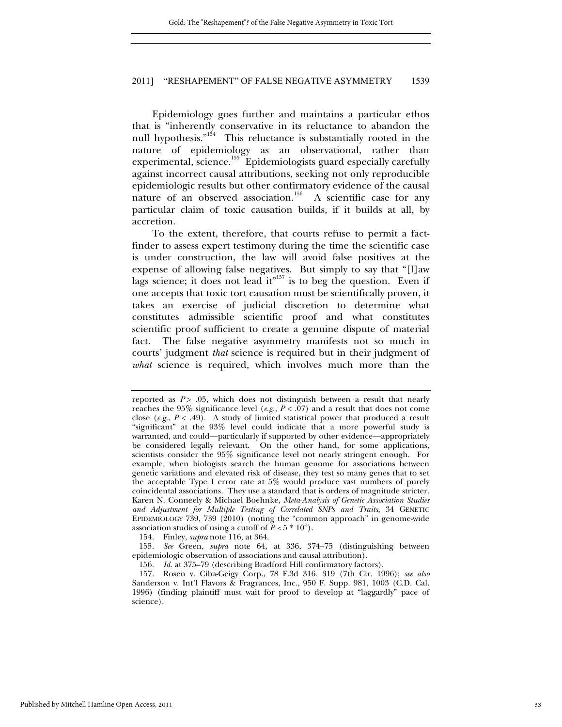Epidemiology goes further and maintains a particular ethos that is "inherently conservative in its reluctance to abandon the null hypothesis."<sup>154</sup> This reluctance is substantially rooted in the nature of epidemiology as an observational, rather than experimental, science.<sup>155</sup> Epidemiologists guard especially carefully against incorrect causal attributions, seeking not only reproducible epidemiologic results but other confirmatory evidence of the causal nature of an observed association.<sup>156</sup> A scientific case for any particular claim of toxic causation builds, if it builds at all, by accretion.

To the extent, therefore, that courts refuse to permit a factfinder to assess expert testimony during the time the scientific case is under construction, the law will avoid false positives at the expense of allowing false negatives. But simply to say that "[l]aw lags science; it does not lead it"<sup>157</sup> is to beg the question. Even if one accepts that toxic tort causation must be scientifically proven, it takes an exercise of judicial discretion to determine what constitutes admissible scientific proof and what constitutes scientific proof sufficient to create a genuine dispute of material The false negative asymmetry manifests not so much in courts' judgment *that* science is required but in their judgment of *what* science is required, which involves much more than the

154. Finley, *supra* note 116, at 364.

155*. See* Green, *supra* note 64, at 336, 374–75 (distinguishing between epidemiologic observation of associations and causal attribution).

156*. Id.* at 375–79 (describing Bradford Hill confirmatory factors).

 157. Rosen v. Ciba-Geigy Corp., 78 F.3d 316, 319 (7th Cir. 1996); *see also*  Sanderson v. Int'l Flavors & Fragrances, Inc., 950 F. Supp. 981, 1003 (C.D. Cal. 1996) (finding plaintiff must wait for proof to develop at "laggardly" pace of science).

reported as *P* > .05, which does not distinguish between a result that nearly reaches the 95% significance level (*e.g., P* < .07) and a result that does not come close (*e.g.*,  $P < .49$ ). A study of limited statistical power that produced a result "significant" at the 93% level could indicate that a more powerful study is warranted, and could—particularly if supported by other evidence—appropriately be considered legally relevant. On the other hand, for some applications, scientists consider the 95% significance level not nearly stringent enough. For example, when biologists search the human genome for associations between genetic variations and elevated risk of disease, they test so many genes that to set the acceptable Type I error rate at 5% would produce vast numbers of purely coincidental associations. They use a standard that is orders of magnitude stricter. Karen N. Conneely & Michael Boehnke, *Meta-Analysis of Genetic Association Studies and Adjustment for Multiple Testing of Correlated SNPs and Traits*, 34 GENETIC EPIDEMIOLOGY  $739, 739$  ( $2010$ ) (noting the "common approach" in genome-wide association studies of using a cutoff of  $\tilde{P}$  < 5  $*$  10<sup>s</sup>).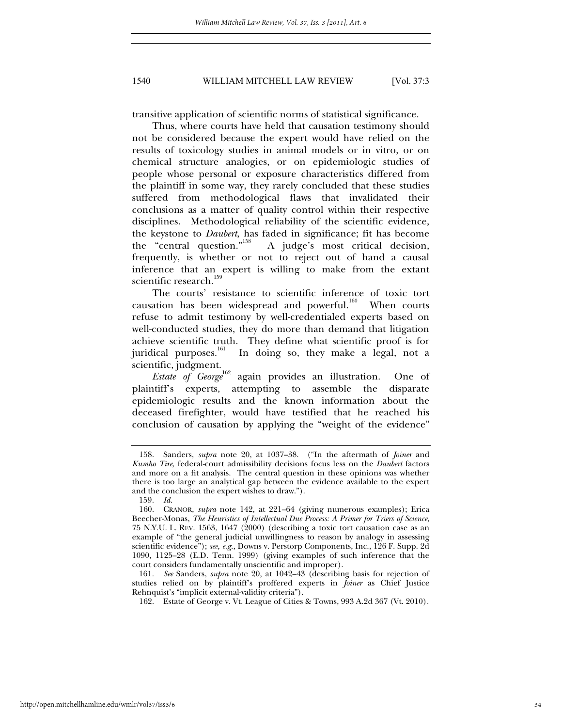transitive application of scientific norms of statistical significance.

Thus, where courts have held that causation testimony should not be considered because the expert would have relied on the results of toxicology studies in animal models or in vitro, or on chemical structure analogies, or on epidemiologic studies of people whose personal or exposure characteristics differed from the plaintiff in some way, they rarely concluded that these studies suffered from methodological flaws that invalidated their conclusions as a matter of quality control within their respective disciplines. Methodological reliability of the scientific evidence, the keystone to *Daubert*, has faded in significance; fit has become the "central question."<sup>158</sup> A judge's most critical decision, A judge's most critical decision, frequently, is whether or not to reject out of hand a causal inference that an expert is willing to make from the extant scientific research.<sup>159</sup>

The courts' resistance to scientific inference of toxic tort causation has been widespread and powerful. $160$  When courts refuse to admit testimony by well-credentialed experts based on well-conducted studies, they do more than demand that litigation achieve scientific truth. They define what scientific proof is for juridical purposes.<sup>161</sup> In doing so, they make a legal, not a scientific, judgment.

*Estate of George*<sup>162</sup> again provides an illustration. One of plaintiff's experts, attempting to assemble the disparate epidemiologic results and the known information about the deceased firefighter, would have testified that he reached his conclusion of causation by applying the "weight of the evidence"

161*. See* Sanders, *supra* note 20, at 1042–43 (describing basis for rejection of studies relied on by plaintiff's proffered experts in *Joiner* as Chief Justice Rehnquist's "implicit external-validity criteria").

162. Estate of George v. Vt. League of Cities & Towns, 993 A.2d 367 (Vt. 2010)*.*

 <sup>158.</sup> Sanders, *supra* note 20, at 1037–38. ("In the aftermath of *Joiner* and *Kumho Tire*, federal-court admissibility decisions focus less on the *Daubert* factors and more on a fit analysis. The central question in these opinions was whether there is too large an analytical gap between the evidence available to the expert and the conclusion the expert wishes to draw.").

<sup>159</sup>*. Id.*

 <sup>160.</sup> CRANOR, *supra* note 142, at 221–64 (giving numerous examples); Erica Beecher-Monas, *The Heuristics of Intellectual Due Process: A Primer for Triers of Science*, 75 N.Y.U. L. REV. 1563, 1647 (2000) (describing a toxic tort causation case as an example of "the general judicial unwillingness to reason by analogy in assessing scientific evidence"); *see, e.g.,* Downs v. Perstorp Components, Inc., 126 F. Supp. 2d 1090, 1125–28 (E.D. Tenn. 1999) (giving examples of such inference that the court considers fundamentally unscientific and improper).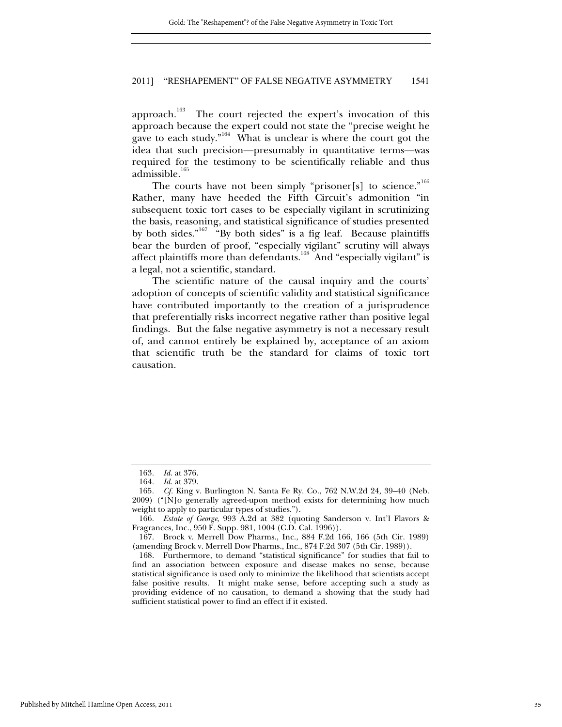approach.<sup>163</sup> The court rejected the expert's invocation of this approach because the expert could not state the "precise weight he gave to each study."<sup>164</sup> What is unclear is where the court got the idea that such precision—presumably in quantitative terms—was required for the testimony to be scientifically reliable and thus admissible.<sup>165</sup>

The courts have not been simply "prisoner[s] to science."<sup>166</sup> Rather, many have heeded the Fifth Circuit's admonition "in subsequent toxic tort cases to be especially vigilant in scrutinizing the basis, reasoning, and statistical significance of studies presented by both sides."<sup>167</sup> "By both sides" is a fig leaf. Because plaintiffs bear the burden of proof, "especially vigilant" scrutiny will always affect plaintiffs more than defendants.<sup>168</sup> And "especially vigilant" is a legal, not a scientific, standard.

The scientific nature of the causal inquiry and the courts' adoption of concepts of scientific validity and statistical significance have contributed importantly to the creation of a jurisprudence that preferentially risks incorrect negative rather than positive legal findings. But the false negative asymmetry is not a necessary result of, and cannot entirely be explained by, acceptance of an axiom that scientific truth be the standard for claims of toxic tort causation.

<sup>163</sup>*. Id.* at 376.

<sup>164</sup>*. Id.* at 379.

<sup>165</sup>*. Cf.* King v. Burlington N. Santa Fe Ry. Co., 762 N.W.2d 24, 39–40 (Neb. 2009) ("[N]o generally agreed-upon method exists for determining how much weight to apply to particular types of studies.").

<sup>166</sup>*. Estate of George*, 993 A.2d at 382 (quoting Sanderson v. Int'l Flavors & Fragrances, Inc., 950 F. Supp. 981, 1004 (C.D. Cal. 1996)).

 <sup>167.</sup> Brock v. Merrell Dow Pharms., Inc., 884 F.2d 166, 166 (5th Cir. 1989) (amending Brock v. Merrell Dow Pharms., Inc., 874 F.2d 307 (5th Cir. 1989)).

 <sup>168.</sup> Furthermore, to demand "statistical significance" for studies that fail to find an association between exposure and disease makes no sense, because statistical significance is used only to minimize the likelihood that scientists accept false positive results. It might make sense, before accepting such a study as providing evidence of no causation, to demand a showing that the study had sufficient statistical power to find an effect if it existed.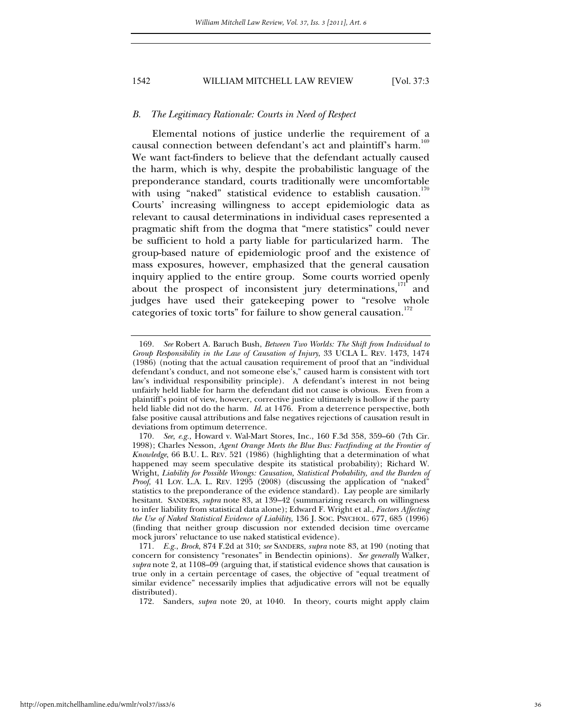#### *B. The Legitimacy Rationale: Courts in Need of Respect*

Elemental notions of justice underlie the requirement of a causal connection between defendant's act and plaintiff's harm.<sup>1</sup> We want fact-finders to believe that the defendant actually caused the harm, which is why, despite the probabilistic language of the preponderance standard, courts traditionally were uncomfortable with using "naked" statistical evidence to establish causation.<sup>170</sup> Courts' increasing willingness to accept epidemiologic data as relevant to causal determinations in individual cases represented a pragmatic shift from the dogma that "mere statistics" could never be sufficient to hold a party liable for particularized harm. The group-based nature of epidemiologic proof and the existence of mass exposures, however, emphasized that the general causation inquiry applied to the entire group. Some courts worried openly about the prospect of inconsistent jury determinations, $1/11$  and judges have used their gatekeeping power to "resolve whole categories of toxic torts" for failure to show general causation.<sup>172</sup>

<sup>169</sup>*. See* Robert A. Baruch Bush, *Between Two Worlds: The Shift from Individual to Group Responsibility in the Law of Causation of Injury*, 33 UCLA L. REV. 1473, 1474 (1986) (noting that the actual causation requirement of proof that an "individual defendant's conduct, and not someone else's," caused harm is consistent with tort law's individual responsibility principle). A defendant's interest in not being unfairly held liable for harm the defendant did not cause is obvious. Even from a plaintiff's point of view, however, corrective justice ultimately is hollow if the party held liable did not do the harm. *Id*. at 1476. From a deterrence perspective, both false positive causal attributions and false negatives rejections of causation result in deviations from optimum deterrence.

<sup>170</sup>*. See, e.g.,* Howard v. Wal-Mart Stores, Inc., 160 F.3d 358, 359–60 (7th Cir. 1998); Charles Nesson, *Agent Orange Meets the Blue Bus: Factfinding at the Frontier of Knowledge*, 66 B.U. L. REV. 521 (1986) (highlighting that a determination of what happened may seem speculative despite its statistical probability); Richard W. Wright, *Liability for Possible Wrongs: Causation, Statistical Probability, and the Burden of Proof*, 41 LOY. L.A. L. REV. 1295 (2008) (discussing the application of "naked" statistics to the preponderance of the evidence standard). Lay people are similarly hesitant. SANDERS, *supra* note 83, at 139–42 (summarizing research on willingness to infer liability from statistical data alone); Edward F. Wright et al., *Factors Affecting the Use of Naked Statistical Evidence of Liability*, 136 J. SOC. PSYCHOL. 677, 685 (1996) (finding that neither group discussion nor extended decision time overcame mock jurors' reluctance to use naked statistical evidence).

<sup>171</sup>*. E.g.*, *Brock*, 874 F.2d at 310; *see* SANDERS, *supra* note 83, at 190 (noting that concern for consistency "resonates" in Bendectin opinions). *See generally* Walker, *supra* note 2, at 1108–09 (arguing that, if statistical evidence shows that causation is true only in a certain percentage of cases, the objective of "equal treatment of similar evidence" necessarily implies that adjudicative errors will not be equally distributed).

 <sup>172.</sup> Sanders, *supra* note 20, at 1040. In theory, courts might apply claim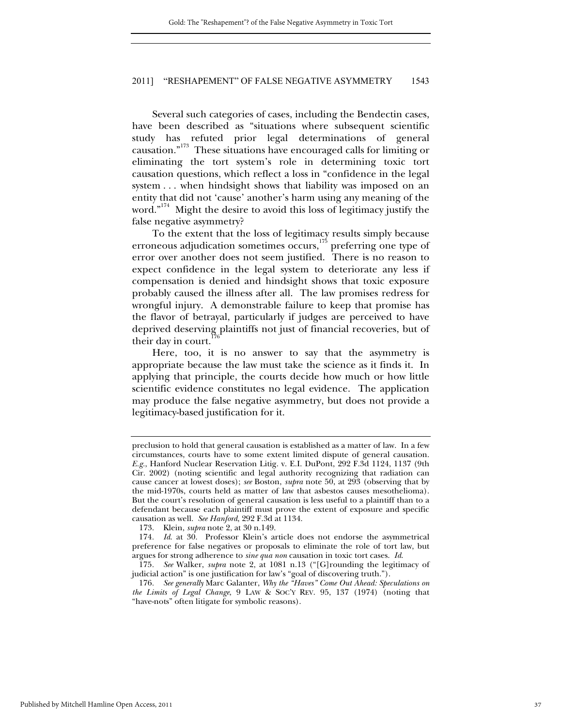Several such categories of cases, including the Bendectin cases, have been described as "situations where subsequent scientific study has refuted prior legal determinations of general causation."173 These situations have encouraged calls for limiting or eliminating the tort system's role in determining toxic tort causation questions, which reflect a loss in "confidence in the legal system . . . when hindsight shows that liability was imposed on an entity that did not 'cause' another's harm using any meaning of the word."<sup>174</sup> Might the desire to avoid this loss of legitimacy justify the false negative asymmetry?

To the extent that the loss of legitimacy results simply because erroneous adjudication sometimes occurs,<sup>175</sup> preferring one type of error over another does not seem justified. There is no reason to expect confidence in the legal system to deteriorate any less if compensation is denied and hindsight shows that toxic exposure probably caused the illness after all. The law promises redress for wrongful injury. A demonstrable failure to keep that promise has the flavor of betrayal, particularly if judges are perceived to have deprived deserving plaintiffs not just of financial recoveries, but of their day in court.

Here, too, it is no answer to say that the asymmetry is appropriate because the law must take the science as it finds it. In applying that principle, the courts decide how much or how little scientific evidence constitutes no legal evidence. The application may produce the false negative asymmetry, but does not provide a legitimacy-based justification for it.

preclusion to hold that general causation is established as a matter of law. In a few circumstances, courts have to some extent limited dispute of general causation. *E.g.*, Hanford Nuclear Reservation Litig. v. E.I. DuPont, 292 F.3d 1124, 1137 (9th Cir. 2002) (noting scientific and legal authority recognizing that radiation can cause cancer at lowest doses); *see* Boston, *supra* note 50, at 293 (observing that by the mid-1970s, courts held as matter of law that asbestos causes mesothelioma). But the court's resolution of general causation is less useful to a plaintiff than to a defendant because each plaintiff must prove the extent of exposure and specific causation as well. *See Hanford*, 292 F.3d at 1134.

 <sup>173.</sup> Klein, *supra* note 2, at 30 n.149.

<sup>174</sup>*. Id*. at 30. Professor Klein's article does not endorse the asymmetrical preference for false negatives or proposals to eliminate the role of tort law, but argues for strong adherence to *sine qua non* causation in toxic tort cases. *Id*.

<sup>175</sup>*. See* Walker, *supra* note 2, at 1081 n.13 ("[G]rounding the legitimacy of judicial action" is one justification for law's "goal of discovering truth.").

<sup>176</sup>*. See generally* Marc Galanter, *Why the "Haves" Come Out Ahead: Speculations on the Limits of Legal Change*, 9 LAW & SOC'Y REV. 95, 137 (1974) (noting that "have-nots" often litigate for symbolic reasons).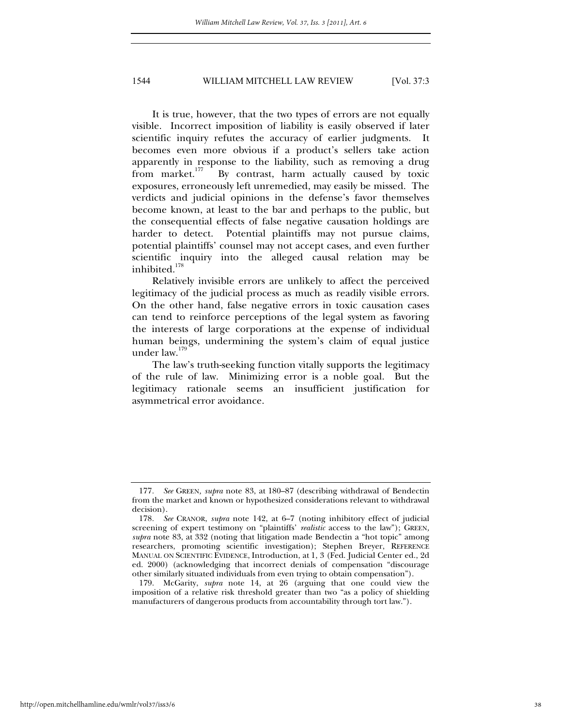It is true, however, that the two types of errors are not equally visible. Incorrect imposition of liability is easily observed if later scientific inquiry refutes the accuracy of earlier judgments. It becomes even more obvious if a product's sellers take action apparently in response to the liability, such as removing a drug from market.<sup>177</sup> By contrast, harm actually caused by toxic By contrast, harm actually caused by toxic exposures, erroneously left unremedied, may easily be missed. The verdicts and judicial opinions in the defense's favor themselves become known, at least to the bar and perhaps to the public, but the consequential effects of false negative causation holdings are harder to detect. Potential plaintiffs may not pursue claims, potential plaintiffs' counsel may not accept cases, and even further scientific inquiry into the alleged causal relation may be inhibited. $178$ 

Relatively invisible errors are unlikely to affect the perceived legitimacy of the judicial process as much as readily visible errors. On the other hand, false negative errors in toxic causation cases can tend to reinforce perceptions of the legal system as favoring the interests of large corporations at the expense of individual human beings, undermining the system's claim of equal justice under law.<sup>179</sup>

The law's truth-seeking function vitally supports the legitimacy of the rule of law. Minimizing error is a noble goal. But the legitimacy rationale seems an insufficient justification for asymmetrical error avoidance.

<sup>177</sup>*. See* GREEN*, supra* note 83, at 180–87 (describing withdrawal of Bendectin from the market and known or hypothesized considerations relevant to withdrawal decision).

<sup>178</sup>*. See* CRANOR, *supra* note 142, at 6–7 (noting inhibitory effect of judicial screening of expert testimony on "plaintiffs' *realistic* access to the law"); GREEN*, supra* note 83, at 332 (noting that litigation made Bendectin a "hot topic" among researchers, promoting scientific investigation); Stephen Breyer, REFERENCE MANUAL ON SCIENTIFIC EVIDENCE, Introduction, at 1, 3 (Fed. Judicial Center ed., 2d ed. 2000) (acknowledging that incorrect denials of compensation "discourage other similarly situated individuals from even trying to obtain compensation").

 <sup>179.</sup> McGarity, *supra* note 14, at 26 (arguing that one could view the imposition of a relative risk threshold greater than two "as a policy of shielding manufacturers of dangerous products from accountability through tort law.").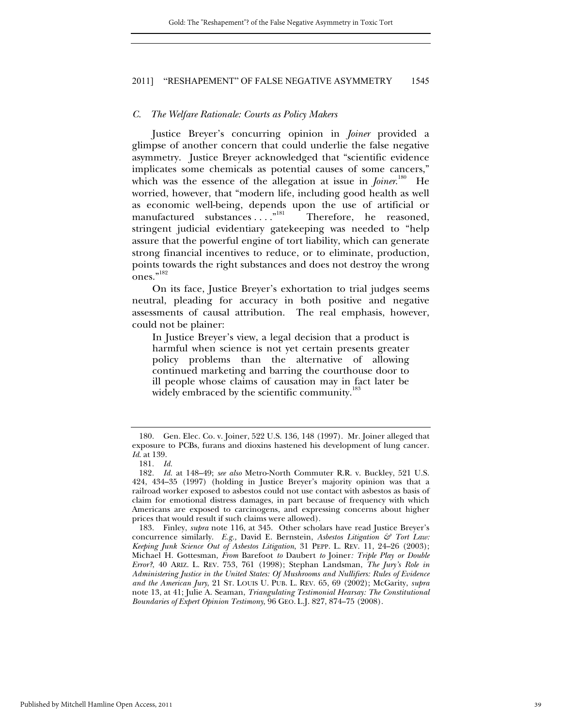#### *C. The Welfare Rationale: Courts as Policy Makers*

Justice Breyer's concurring opinion in *Joiner* provided a glimpse of another concern that could underlie the false negative asymmetry. Justice Breyer acknowledged that "scientific evidence implicates some chemicals as potential causes of some cancers," which was the essence of the allegation at issue in *Joiner*.<sup>180</sup> He worried, however, that "modern life, including good health as well as economic well-being, depends upon the use of artificial or manufactured substances . . . . "<sup>181</sup> Therefore, he reasoned, stringent judicial evidentiary gatekeeping was needed to "help assure that the powerful engine of tort liability, which can generate strong financial incentives to reduce, or to eliminate, production, points towards the right substances and does not destroy the wrong ones."<sup>182</sup>

On its face, Justice Breyer's exhortation to trial judges seems neutral, pleading for accuracy in both positive and negative assessments of causal attribution. The real emphasis, however, could not be plainer:

In Justice Breyer's view, a legal decision that a product is harmful when science is not yet certain presents greater policy problems than the alternative of allowing continued marketing and barring the courthouse door to ill people whose claims of causation may in fact later be widely embraced by the scientific community.<sup>18</sup>

 <sup>180.</sup> Gen. Elec. Co. v. Joiner, 522 U.S. 136, 148 (1997). Mr. Joiner alleged that exposure to PCBs, furans and dioxins hastened his development of lung cancer. *Id*. at 139.

<sup>181</sup>*. Id.*

<sup>182</sup>*. Id.* at 148–49; *see also* Metro-North Commuter R.R. v. Buckley, 521 U.S. 424, 434–35 (1997) (holding in Justice Breyer's majority opinion was that a railroad worker exposed to asbestos could not use contact with asbestos as basis of claim for emotional distress damages, in part because of frequency with which Americans are exposed to carcinogens, and expressing concerns about higher prices that would result if such claims were allowed).

 <sup>183.</sup> Finley, *supra* note 116, at 345. Other scholars have read Justice Breyer's concurrence similarly. *E.g.,* David E. Bernstein, *Asbestos Litigation & Tort Law: Keeping Junk Science Out of Asbestos Litigation*, 31 PEPP. L. REV. 11, 24–26 (2003); Michael H. Gottesman, *From* Barefoot *to* Daubert *to* Joiner*: Triple Play or Double Error?*, 40 ARIZ. L. REV. 753, 761 (1998); Stephan Landsman, *The Jury's Role in Administering Justice in the United States: Of Mushrooms and Nullifiers: Rules of Evidence and the American Jury*, 21 ST. LOUIS U. PUB. L. REV. 65, 69 (2002); McGarity, *supra* note 13, at 41; Julie A. Seaman, *Triangulating Testimonial Hearsay: The Constitutional Boundaries of Expert Opinion Testimony*, 96 GEO. L.J. 827, 874–75 (2008).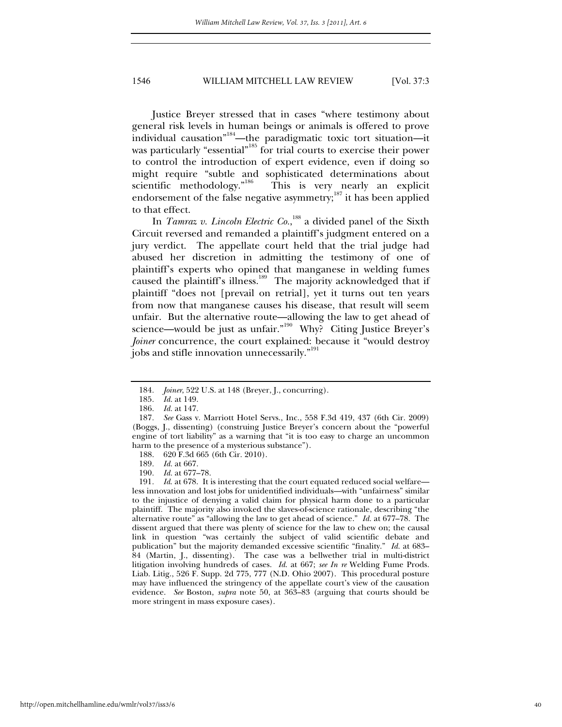Justice Breyer stressed that in cases "where testimony about general risk levels in human beings or animals is offered to prove individual causation"184—the paradigmatic toxic tort situation—it was particularly "essential"<sup>185</sup> for trial courts to exercise their power to control the introduction of expert evidence, even if doing so might require "subtle and sophisticated determinations about scientific methodology."<sup>186</sup> This is very nearly an explicit endorsement of the false negative asymmetry;<sup>187</sup> it has been applied to that effect.

In *Tamraz v. Lincoln Electric Co.*, 188 a divided panel of the Sixth Circuit reversed and remanded a plaintiff's judgment entered on a jury verdict. The appellate court held that the trial judge had abused her discretion in admitting the testimony of one of plaintiff's experts who opined that manganese in welding fumes caused the plaintiff's illness.<sup>189</sup> The majority acknowledged that if plaintiff "does not [prevail on retrial], yet it turns out ten years from now that manganese causes his disease, that result will seem unfair. But the alternative route—allowing the law to get ahead of science—would be just as unfair."<sup>190</sup> Why? Citing Justice Breyer's *Joiner* concurrence, the court explained: because it "would destroy jobs and stifle innovation unnecessarily."<sup>191</sup>

188. 620 F.3d 665 (6th Cir. 2010).

191*. Id*. at 678. It is interesting that the court equated reduced social welfare less innovation and lost jobs for unidentified individuals—with "unfairness" similar to the injustice of denying a valid claim for physical harm done to a particular plaintiff. The majority also invoked the slaves-of-science rationale, describing "the alternative route" as "allowing the law to get ahead of science." *Id.* at 677–78. The dissent argued that there was plenty of science for the law to chew on; the causal link in question "was certainly the subject of valid scientific debate and publication" but the majority demanded excessive scientific "finality." *Id.* at 683– 84 (Martin, J., dissenting). The case was a bellwether trial in multi-district litigation involving hundreds of cases. *Id*. at 667; *see In re* Welding Fume Prods. Liab. Litig., 526 F. Supp. 2d 775, 777 (N.D. Ohio 2007). This procedural posture may have influenced the stringency of the appellate court's view of the causation evidence. *See* Boston, *supra* note 50, at 363–83 (arguing that courts should be more stringent in mass exposure cases).

<sup>184</sup>*. Joiner*, 522 U.S. at 148 (Breyer, J., concurring).

<sup>185</sup>*. Id.* at 149.

<sup>186</sup>*. Id.* at 147.

<sup>187</sup>*. See* Gass v. Marriott Hotel Servs., Inc., 558 F.3d 419, 437 (6th Cir. 2009) (Boggs, J., dissenting) (construing Justice Breyer's concern about the "powerful engine of tort liability" as a warning that "it is too easy to charge an uncommon harm to the presence of a mysterious substance").

<sup>189</sup>*. Id.* at 667.

<sup>190</sup>*. Id.* at 677–78.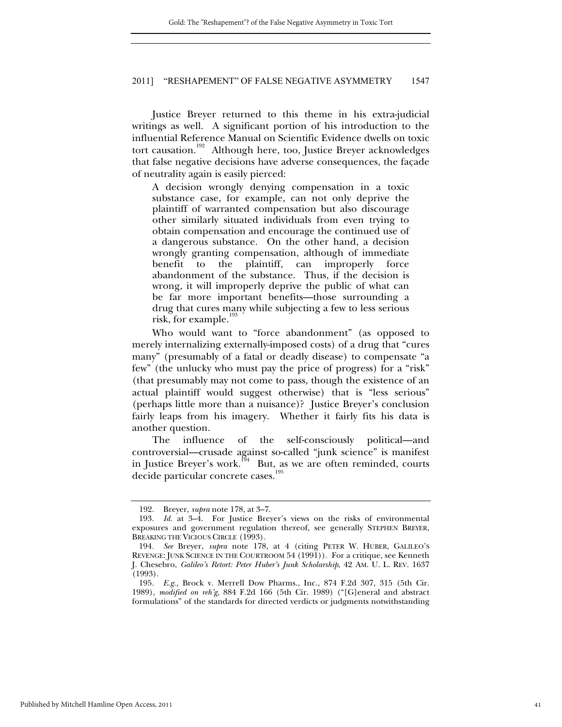Justice Breyer returned to this theme in his extra-judicial writings as well. A significant portion of his introduction to the influential Reference Manual on Scientific Evidence dwells on toxic tort causation.<sup>192</sup> Although here, too, Justice Breyer acknowledges that false negative decisions have adverse consequences, the façade of neutrality again is easily pierced:

A decision wrongly denying compensation in a toxic substance case, for example, can not only deprive the plaintiff of warranted compensation but also discourage other similarly situated individuals from even trying to obtain compensation and encourage the continued use of a dangerous substance. On the other hand, a decision wrongly granting compensation, although of immediate benefit to the plaintiff, can improperly force abandonment of the substance. Thus, if the decision is wrong, it will improperly deprive the public of what can be far more important benefits—those surrounding a drug that cures many while subjecting a few to less serious risk, for example.<sup>193</sup>

Who would want to "force abandonment" (as opposed to merely internalizing externally-imposed costs) of a drug that "cures many" (presumably of a fatal or deadly disease) to compensate "a few" (the unlucky who must pay the price of progress) for a "risk" (that presumably may not come to pass, though the existence of an actual plaintiff would suggest otherwise) that is "less serious" (perhaps little more than a nuisance)? Justice Breyer's conclusion fairly leaps from his imagery. Whether it fairly fits his data is another question.

The influence of the self-consciously political—and controversial—crusade against so-called "junk science" is manifest in Justice Breyer's work.<sup>194</sup> But, as we are often reminded, courts decide particular concrete cases.<sup>1</sup>

 <sup>192.</sup> Breyer, *supra* note 178, at 3–7.

<sup>193</sup>*. Id.* at 3–4. For Justice Breyer's views on the risks of environmental exposures and government regulation thereof, see generally STEPHEN BREYER, BREAKING THE VICIOUS CIRCLE (1993).

<sup>194</sup>*. See* Breyer, *supra* note 178, at 4 (citing PETER W. HUBER, GALILEO'S REVENGE: JUNK SCIENCE IN THE COURTROOM 54 (1991)). For a critique, see Kenneth J. Chesebro, *Galileo's Retort: Peter Huber's Junk Scholarship*, 42 AM. U. L. REV. 1637 (1993).

<sup>195</sup>*. E.g.,* Brock v. Merrell Dow Pharms., Inc., 874 F.2d 307, 315 (5th Cir. 1989), *modified on reh'g*, 884 F.2d 166 (5th Cir. 1989) ("[G]eneral and abstract formulations" of the standards for directed verdicts or judgments notwithstanding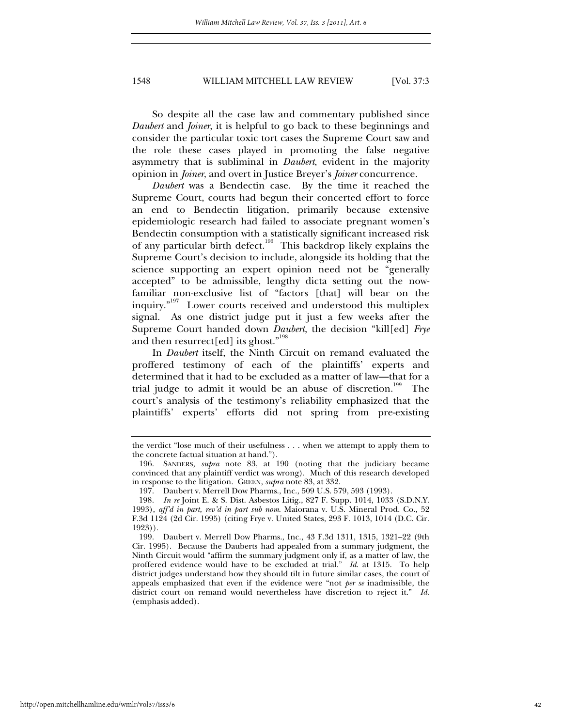So despite all the case law and commentary published since *Daubert* and *Joiner*, it is helpful to go back to these beginnings and consider the particular toxic tort cases the Supreme Court saw and the role these cases played in promoting the false negative asymmetry that is subliminal in *Daubert*, evident in the majority opinion in *Joiner*, and overt in Justice Breyer's *Joiner* concurrence.

*Daubert* was a Bendectin case. By the time it reached the Supreme Court, courts had begun their concerted effort to force an end to Bendectin litigation, primarily because extensive epidemiologic research had failed to associate pregnant women's Bendectin consumption with a statistically significant increased risk of any particular birth defect.<sup>196</sup> This backdrop likely explains the Supreme Court's decision to include, alongside its holding that the science supporting an expert opinion need not be "generally accepted" to be admissible, lengthy dicta setting out the nowfamiliar non-exclusive list of "factors [that] will bear on the inquiry."197 Lower courts received and understood this multiplex signal. As one district judge put it just a few weeks after the Supreme Court handed down *Daubert*, the decision "kill[ed] *Frye* and then resurrect [ed] its ghost."<sup>198</sup>

In *Daubert* itself, the Ninth Circuit on remand evaluated the proffered testimony of each of the plaintiffs' experts and determined that it had to be excluded as a matter of law—that for a trial judge to admit it would be an abuse of discretion.<sup>199</sup> The court's analysis of the testimony's reliability emphasized that the plaintiffs' experts' efforts did not spring from pre-existing

the verdict "lose much of their usefulness . . . when we attempt to apply them to the concrete factual situation at hand.").

 <sup>196.</sup> SANDERS, *supra* note 83, at 190 (noting that the judiciary became convinced that any plaintiff verdict was wrong). Much of this research developed in response to the litigation. GREEN, *supra* note 83, at 332.

 <sup>197.</sup> Daubert v. Merrell Dow Pharms., Inc., 509 U.S. 579, 593 (1993).

<sup>198</sup>*. In re* Joint E. & S. Dist. Asbestos Litig., 827 F. Supp. 1014, 1033 (S.D.N.Y. 1993), *aff'd in part, rev'd in part sub nom*. Maiorana v. U.S. Mineral Prod. Co., 52 F.3d 1124 (2d Cir. 1995) (citing Frye v. United States, 293 F. 1013, 1014 (D.C. Cir. 1923)).

 <sup>199.</sup> Daubert v. Merrell Dow Pharms., Inc., 43 F.3d 1311, 1315, 1321–22 (9th Cir. 1995). Because the Dauberts had appealed from a summary judgment, the Ninth Circuit would "affirm the summary judgment only if, as a matter of law, the proffered evidence would have to be excluded at trial." *Id*. at 1315. To help district judges understand how they should tilt in future similar cases, the court of appeals emphasized that even if the evidence were "not *per se* inadmissible, the district court on remand would nevertheless have discretion to reject it." *Id*. (emphasis added).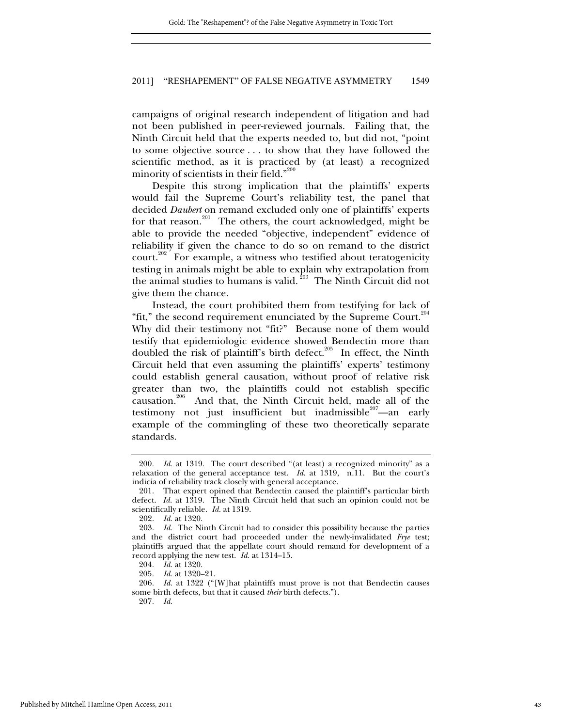campaigns of original research independent of litigation and had not been published in peer-reviewed journals. Failing that, the Ninth Circuit held that the experts needed to, but did not, "point to some objective source . . . to show that they have followed the scientific method, as it is practiced by (at least) a recognized minority of scientists in their field."<sup>200</sup>

Despite this strong implication that the plaintiffs' experts would fail the Supreme Court's reliability test, the panel that decided *Daubert* on remand excluded only one of plaintiffs' experts for that reason.<sup>201</sup> The others, the court acknowledged, might be able to provide the needed "objective, independent" evidence of reliability if given the chance to do so on remand to the district court. $202$  For example, a witness who testified about teratogenicity testing in animals might be able to explain why extrapolation from the animal studies to humans is valid.<sup>203</sup> The Ninth Circuit did not give them the chance.

Instead, the court prohibited them from testifying for lack of "fit," the second requirement enunciated by the Supreme Court.<sup>204</sup> Why did their testimony not "fit?" Because none of them would testify that epidemiologic evidence showed Bendectin more than doubled the risk of plaintiff's birth defect.<sup>205</sup> In effect, the Ninth Circuit held that even assuming the plaintiffs' experts' testimony could establish general causation, without proof of relative risk greater than two, the plaintiffs could not establish specific causation.<sup>206</sup> And that, the Ninth Circuit held, made all of the testimony not just insufficient but inadmissible $207$ —an early example of the commingling of these two theoretically separate standards.

<sup>200</sup>*. Id*. at 1319. The court described "(at least) a recognized minority" as a relaxation of the general acceptance test. *Id*. at 1319, n.11. But the court's indicia of reliability track closely with general acceptance.

 <sup>201.</sup> That expert opined that Bendectin caused the plaintiff's particular birth defect. *Id.* at 1319. The Ninth Circuit held that such an opinion could not be scientifically reliable. *Id.* at 1319.

 <sup>202.</sup> *Id.* at 1320.

 <sup>203.</sup> *Id.* The Ninth Circuit had to consider this possibility because the parties and the district court had proceeded under the newly-invalidated *Frye* test; plaintiffs argued that the appellate court should remand for development of a record applying the new test. *Id.* at 1314–15.

<sup>204</sup>*. Id.* at 1320.

<sup>205</sup>*. Id.* at 1320–21.

<sup>206</sup>*. Id.* at 1322 ("[W]hat plaintiffs must prove is not that Bendectin causes some birth defects, but that it caused *their* birth defects.").

<sup>207</sup>*. Id.*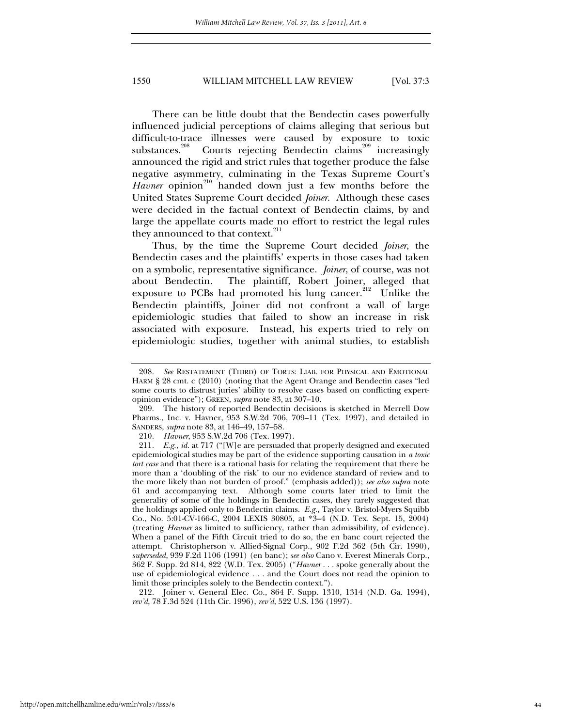There can be little doubt that the Bendectin cases powerfully influenced judicial perceptions of claims alleging that serious but difficult-to-trace illnesses were caused by exposure to toxic substances.<sup>208</sup> Courts rejecting Bendectin claims<sup>209</sup> increasingly announced the rigid and strict rules that together produce the false negative asymmetry, culminating in the Texas Supreme Court's *Havner* opinion<sup>210</sup> handed down just a few months before the United States Supreme Court decided *Joiner*. Although these cases were decided in the factual context of Bendectin claims, by and large the appellate courts made no effort to restrict the legal rules they announced to that context.<sup>211</sup>

Thus, by the time the Supreme Court decided *Joiner*, the Bendectin cases and the plaintiffs' experts in those cases had taken on a symbolic, representative significance. *Joiner*, of course, was not about Bendectin. The plaintiff, Robert Joiner, alleged that exposure to PCBs had promoted his lung cancer.<sup>212</sup> Unlike the Bendectin plaintiffs, Joiner did not confront a wall of large epidemiologic studies that failed to show an increase in risk associated with exposure. Instead, his experts tried to rely on epidemiologic studies, together with animal studies, to establish

 212. Joiner v. General Elec. Co., 864 F. Supp. 1310, 1314 (N.D. Ga. 1994), *rev'd*, 78 F.3d 524 (11th Cir. 1996), *rev'd*, 522 U.S. 136 (1997).

<sup>208</sup>*. See* RESTATEMENT (THIRD) OF TORTS: LIAB. FOR PHYSICAL AND EMOTIONAL HARM § 28 cmt. c (2010) (noting that the Agent Orange and Bendectin cases "led some courts to distrust juries' ability to resolve cases based on conflicting expertopinion evidence"); GREEN, *supra* note 83, at 307–10.

 <sup>209.</sup> The history of reported Bendectin decisions is sketched in Merrell Dow Pharms., Inc. v. Havner, 953 S.W.2d 706, 709–11 (Tex. 1997), and detailed in SANDERS, *supra* note 83, at 146–49, 157–58.

<sup>210</sup>*. Havner*, 953 S.W.2d 706 (Tex. 1997).

<sup>211</sup>*. E.g., id.* at 717 ("[W]e are persuaded that properly designed and executed epidemiological studies may be part of the evidence supporting causation in *a toxic tort case* and that there is a rational basis for relating the requirement that there be more than a 'doubling of the risk' to our no evidence standard of review and to the more likely than not burden of proof." (emphasis added)); *see also supra* note 61 and accompanying text. Although some courts later tried to limit the generality of some of the holdings in Bendectin cases, they rarely suggested that the holdings applied only to Bendectin claims. *E.g.,* Taylor v. Bristol-Myers Squibb Co., No. 5:01-CV-166-C, 2004 LEXIS 30805, at \*3–4 (N.D. Tex. Sept. 15, 2004) (treating *Havner* as limited to sufficiency, rather than admissibility, of evidence). When a panel of the Fifth Circuit tried to do so, the en banc court rejected the attempt. Christopherson v. Allied-Signal Corp., 902 F.2d 362 (5th Cir. 1990), *superseded*, 939 F.2d 1106 (1991) (en banc); *see also* Cano v. Everest Minerals Corp., 362 F. Supp. 2d 814, 822 (W.D. Tex. 2005) ("*Havner* . . . spoke generally about the use of epidemiological evidence . . . and the Court does not read the opinion to limit those principles solely to the Bendectin context.").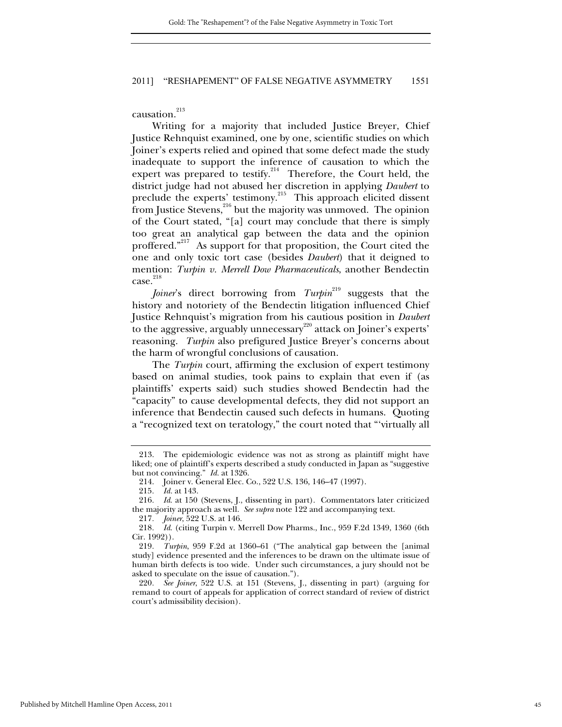causation.<sup>213</sup>

Writing for a majority that included Justice Breyer, Chief Justice Rehnquist examined, one by one, scientific studies on which Joiner's experts relied and opined that some defect made the study inadequate to support the inference of causation to which the expert was prepared to testify. $214$  Therefore, the Court held, the district judge had not abused her discretion in applying *Daubert* to preclude the experts' testimony.<sup>215</sup> This approach elicited dissent from Justice Stevens,<sup>216</sup> but the majority was unmoved. The opinion of the Court stated, "[a] court may conclude that there is simply too great an analytical gap between the data and the opinion proffered."<sup>217</sup> As support for that proposition, the Court cited the one and only toxic tort case (besides *Daubert*) that it deigned to mention: *Turpin v. Merrell Dow Pharmaceuticals*, another Bendectin  $case.<sup>218</sup>$ 

*Joiner's* direct borrowing from *Turpin*<sup>219</sup> suggests that the history and notoriety of the Bendectin litigation influenced Chief Justice Rehnquist's migration from his cautious position in *Daubert* to the aggressive, arguably unnecessary<sup>220</sup> attack on Joiner's experts' reasoning. *Turpin* also prefigured Justice Breyer's concerns about the harm of wrongful conclusions of causation.

The *Turpin* court, affirming the exclusion of expert testimony based on animal studies, took pains to explain that even if (as plaintiffs' experts said) such studies showed Bendectin had the "capacity" to cause developmental defects, they did not support an inference that Bendectin caused such defects in humans. Quoting a "recognized text on teratology," the court noted that "'virtually all

 <sup>213.</sup> The epidemiologic evidence was not as strong as plaintiff might have liked; one of plaintiff's experts described a study conducted in Japan as "suggestive but not convincing." *Id.* at 1326.

 <sup>214.</sup> Joiner v. General Elec. Co., 522 U.S. 136, 146–47 (1997).

<sup>215</sup>*. Id.* at 143.

<sup>216</sup>*. Id*. at 150 (Stevens, J., dissenting in part). Commentators later criticized the majority approach as well. *See supra* note 122 and accompanying text.

<sup>217</sup>*. Joiner*, 522 U.S. at 146.

<sup>218</sup>*. Id*. (citing Turpin v. Merrell Dow Pharms., Inc., 959 F.2d 1349, 1360 (6th Cir. 1992)).

<sup>219</sup>*. Turpin*, 959 F.2d at 1360–61 ("The analytical gap between the [animal study] evidence presented and the inferences to be drawn on the ultimate issue of human birth defects is too wide. Under such circumstances, a jury should not be asked to speculate on the issue of causation.").

<sup>220</sup>*. See Joiner*, 522 U.S. at 151 (Stevens, J., dissenting in part) (arguing for remand to court of appeals for application of correct standard of review of district court's admissibility decision).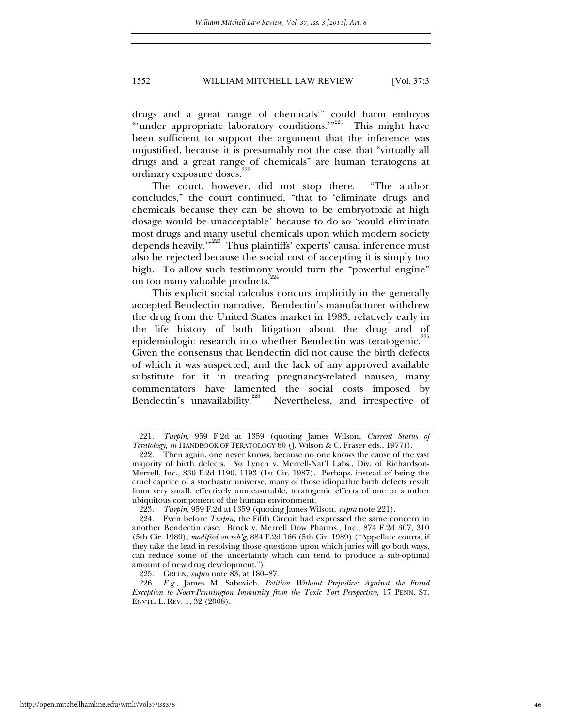drugs and a great range of chemicals'" could harm embryos "'under appropriate laboratory conditions."<sup>221</sup> This might have been sufficient to support the argument that the inference was unjustified, because it is presumably not the case that "virtually all drugs and a great range of chemicals" are human teratogens at ordinary exposure doses.<sup>222</sup>

The court, however, did not stop there. "The author concludes," the court continued, "that to 'eliminate drugs and chemicals because they can be shown to be embryotoxic at high dosage would be unacceptable' because to do so 'would eliminate most drugs and many useful chemicals upon which modern society depends heavily."<sup>223</sup> Thus plaintiffs' experts' causal inference must also be rejected because the social cost of accepting it is simply too high. To allow such testimony would turn the "powerful engine" on too many valuable products.<sup>224</sup>

This explicit social calculus concurs implicitly in the generally accepted Bendectin narrative. Bendectin's manufacturer withdrew the drug from the United States market in 1983, relatively early in the life history of both litigation about the drug and of epidemiologic research into whether Bendectin was teratogenic.<sup>225</sup> Given the consensus that Bendectin did not cause the birth defects of which it was suspected, and the lack of any approved available substitute for it in treating pregnancy-related nausea, many commentators have lamented the social costs imposed by Bendectin's unavailability.<sup>226</sup> Nevertheless, and irrespective of

<sup>221</sup>*. Turpin*, 959 F.2d at 1359 (quoting James Wilson, *Current Status of Teratology*, *in* HANDBOOK OF TERATOLOGY 60 (J. Wilson & C. Fraser eds., 1977)).

 <sup>222.</sup> Then again, one never knows, because no one knows the cause of the vast majority of birth defects. *See* Lynch v. Merrell-Nat'l Labs., Div. of Richardson-Merrell, Inc., 830 F.2d 1190, 1193 (1st Cir. 1987). Perhaps, instead of being the cruel caprice of a stochastic universe, many of those idiopathic birth defects result from very small, effectively unmeasurable, teratogenic effects of one or another ubiquitous component of the human environment.

<sup>223</sup>*. Turpin*, 959 F.2d at 1359 (quoting James Wilson, *supra* note 221).

 <sup>224.</sup> Even before *Turpin*, the Fifth Circuit had expressed the same concern in another Bendectin case. Brock v. Merrell Dow Pharms., Inc., 874 F.2d 307, 310 (5th Cir. 1989), *modified on reh'g*, 884 F.2d 166 (5th Cir. 1989) ("Appellate courts, if they take the lead in resolving those questions upon which juries will go both ways, can reduce some of the uncertainty which can tend to produce a sub-optimal amount of new drug development.").

 <sup>225.</sup> GREEN, *supra* note 83, at 180–87.

<sup>226</sup>*. E.g.*, James M. Sabovich, *Petition Without Prejudice: Against the Fraud Exception to Noerr-Pennington Immunity from the Toxic Tort Perspective*, 17 PENN. ST. ENVTL. L. REV. 1, 32 (2008).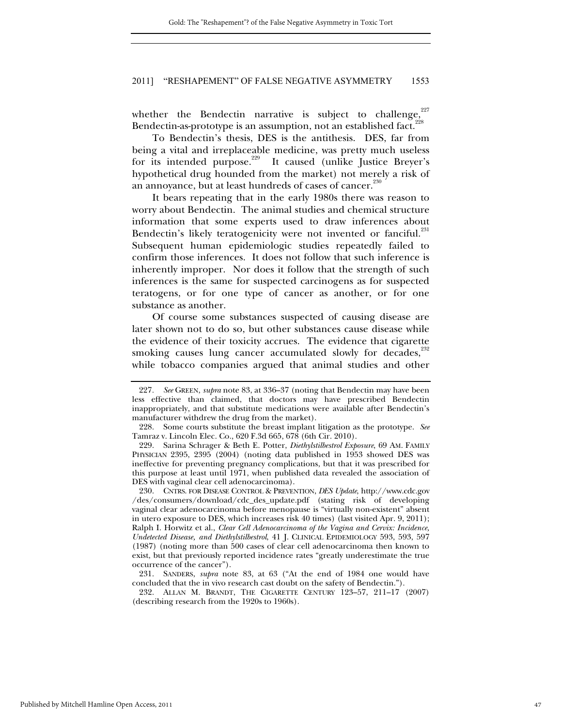whether the Bendectin narrative is subject to challenge,  $227$ Bendectin-as-prototype is an assumption, not an established fact.<sup>2</sup>

To Bendectin's thesis, DES is the antithesis. DES, far from being a vital and irreplaceable medicine, was pretty much useless for its intended purpose.229 It caused (unlike Justice Breyer's hypothetical drug hounded from the market) not merely a risk of an annoyance, but at least hundreds of cases of cancer.<sup>230</sup>

It bears repeating that in the early 1980s there was reason to worry about Bendectin. The animal studies and chemical structure information that some experts used to draw inferences about Bendectin's likely teratogenicity were not invented or fanciful.<sup>231</sup> Subsequent human epidemiologic studies repeatedly failed to confirm those inferences. It does not follow that such inference is inherently improper. Nor does it follow that the strength of such inferences is the same for suspected carcinogens as for suspected teratogens, or for one type of cancer as another, or for one substance as another.

Of course some substances suspected of causing disease are later shown not to do so, but other substances cause disease while the evidence of their toxicity accrues. The evidence that cigarette smoking causes lung cancer accumulated slowly for decades,<sup>232</sup> while tobacco companies argued that animal studies and other

 230. CNTRS. FOR DISEASE CONTROL & PREVENTION, *DES Update*, http://www.cdc.gov /des/consumers/download/cdc\_des\_update.pdf (stating risk of developing vaginal clear adenocarcinoma before menopause is "virtually non-existent" absent in utero exposure to DES, which increases risk 40 times) (last visited Apr. 9, 2011); Ralph I. Horwitz et al., *Clear Cell Adenocarcinoma of the Vagina and Cervix: Incidence, Undetected Disease, and Diethylstilbestrol*, 41 J. CLINICAL EPIDEMIOLOGY 593, 593, 597 (1987) (noting more than 500 cases of clear cell adenocarcinoma then known to exist, but that previously reported incidence rates "greatly underestimate the true occurrence of the cancer").

 231. SANDERS, *supra* note 83, at 63 ("At the end of 1984 one would have concluded that the in vivo research cast doubt on the safety of Bendectin.").

 232. ALLAN M. BRANDT, THE CIGARETTE CENTURY 123–57, 211–17 (2007) (describing research from the 1920s to 1960s).

<sup>227</sup>*. See* GREEN, *supra* note 83, at 336–37 (noting that Bendectin may have been less effective than claimed, that doctors may have prescribed Bendectin inappropriately, and that substitute medications were available after Bendectin's manufacturer withdrew the drug from the market).

 <sup>228.</sup> Some courts substitute the breast implant litigation as the prototype. *See* Tamraz v. Lincoln Elec. Co., 620 F.3d 665, 678 (6th Cir. 2010).

 <sup>229.</sup> Sarina Schrager & Beth E. Potter, *Diethylstilbestrol Exposure*, 69 AM. FAMILY PHYSICIAN 2395, 2395 (2004) (noting data published in 1953 showed DES was ineffective for preventing pregnancy complications, but that it was prescribed for this purpose at least until 1971, when published data revealed the association of DES with vaginal clear cell adenocarcinoma).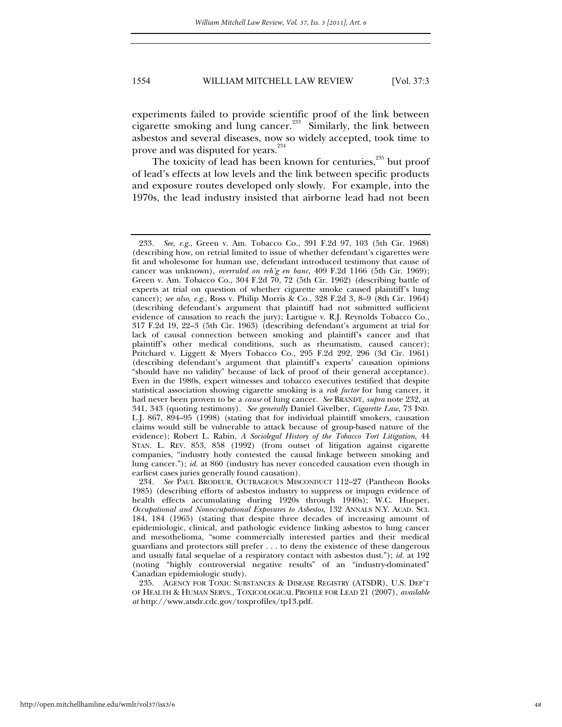experiments failed to provide scientific proof of the link between cigarette smoking and lung cancer.<sup>233</sup> Similarly, the link between asbestos and several diseases, now so widely accepted, took time to prove and was disputed for years.<sup>234</sup>

The toxicity of lead has been known for centuries,<sup>235</sup> but proof of lead's effects at low levels and the link between specific products and exposure routes developed only slowly. For example, into the 1970s, the lead industry insisted that airborne lead had not been

<sup>233</sup>*. See, e.g.*, Green v. Am. Tobacco Co., 391 F.2d 97, 103 (5th Cir. 1968) (describing how, on retrial limited to issue of whether defendant's cigarettes were fit and wholesome for human use, defendant introduced testimony that cause of cancer was unknown), *overruled on reh'g en banc*, 409 F.2d 1166 (5th Cir. 1969); Green v. Am. Tobacco Co., 304 F.2d 70, 72 (5th Cir. 1962) (describing battle of experts at trial on question of whether cigarette smoke caused plaintiff's lung cancer); *see also, e.g.*, Ross v. Philip Morris & Co., 328 F.2d 3, 8–9 (8th Cir. 1964) (describing defendant's argument that plaintiff had not submitted sufficient evidence of causation to reach the jury); Lartigue v. R.J. Reynolds Tobacco Co., 317 F.2d 19, 22–3 (5th Cir. 1963) (describing defendant's argument at trial for lack of causal connection between smoking and plaintiff's cancer and that plaintiff's other medical conditions, such as rheumatism, caused cancer); Pritchard v. Liggett & Myers Tobacco Co., 295 F.2d 292, 296 (3d Cir. 1961) (describing defendant's argument that plaintiff's experts' causation opinions "should have no validity" because of lack of proof of their general acceptance). Even in the 1980s, expert witnesses and tobacco executives testified that despite statistical association showing cigarette smoking is a *risk factor* for lung cancer, it had never been proven to be a *cause* of lung cancer. *See* BRANDT, *supra* note 232, at 341, 343 (quoting testimony). *See generally* Daniel Givelber, *Cigarette Law*, 73 IND. L.J. 867, 894–95 (1998) (stating that for individual plaintiff smokers, causation claims would still be vulnerable to attack because of group-based nature of the evidence); Robert L. Rabin, *A Sociolegal History of the Tobacco Tort Litigation*, 44 STAN. L. REV. 853, 858 (1992) (from outset of litigation against cigarette companies, "industry hotly contested the causal linkage between smoking and lung cancer."); *id.* at 860 (industry has never conceded causation even though in earliest cases juries generally found causation).

<sup>234</sup>*. See* PAUL BRODEUR, OUTRAGEOUS MISCONDUCT 112–27 (Pantheon Books 1985) (describing efforts of asbestos industry to suppress or impugn evidence of health effects accumulating during 1920s through 1940s); W.C. Hueper, *Occupational and Nonoccupational Exposures to Asbestos*, 132 ANNALS N.Y. ACAD. SCI. 184, 184 (1965) (stating that despite three decades of increasing amount of epidemiologic, clinical, and pathologic evidence linking asbestos to lung cancer and mesothelioma, "some commercially interested parties and their medical guardians and protectors still prefer . . . to deny the existence of these dangerous and usually fatal sequelae of a respiratory contact with asbestos dust."); *id.* at 192 (noting "highly controversial negative results" of an "industry-dominated" Canadian epidemiologic study).

 <sup>235.</sup> AGENCY FOR TOXIC SUBSTANCES & DISEASE REGISTRY (ATSDR), U.S. DEP'T OF HEALTH & HUMAN SERVS., TOXICOLOGICAL PROFILE FOR LEAD 21 (2007), *available at* http://www.atsdr.cdc.gov/toxprofiles/tp13.pdf.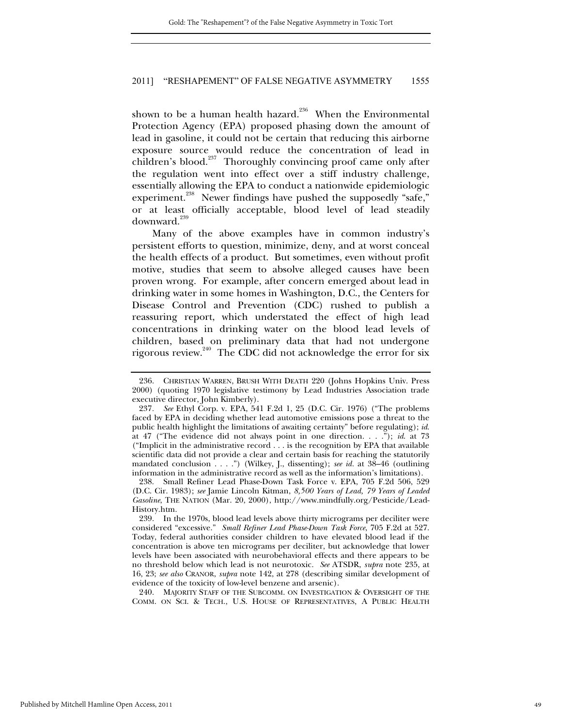shown to be a human health hazard.<sup>236</sup> When the Environmental Protection Agency (EPA) proposed phasing down the amount of lead in gasoline, it could not be certain that reducing this airborne exposure source would reduce the concentration of lead in children's blood.<sup>237</sup> Thoroughly convincing proof came only after the regulation went into effect over a stiff industry challenge, essentially allowing the EPA to conduct a nationwide epidemiologic experiment.<sup>238</sup> Newer findings have pushed the supposedly "safe," or at least officially acceptable, blood level of lead steadily downward.<sup>239</sup>

Many of the above examples have in common industry's persistent efforts to question, minimize, deny, and at worst conceal the health effects of a product. But sometimes, even without profit motive, studies that seem to absolve alleged causes have been proven wrong. For example, after concern emerged about lead in drinking water in some homes in Washington, D.C., the Centers for Disease Control and Prevention (CDC) rushed to publish a reassuring report, which understated the effect of high lead concentrations in drinking water on the blood lead levels of children, based on preliminary data that had not undergone rigorous review.<sup>240</sup> The CDC did not acknowledge the error for six

 240. MAJORITY STAFF OF THE SUBCOMM. ON INVESTIGATION & OVERSIGHT OF THE COMM. ON SCI. & TECH., U.S. HOUSE OF REPRESENTATIVES, A PUBLIC HEALTH

 <sup>236.</sup> CHRISTIAN WARREN, BRUSH WITH DEATH 220 (Johns Hopkins Univ. Press 2000) (quoting 1970 legislative testimony by Lead Industries Association trade executive director, John Kimberly).

<sup>237</sup>*. See* Ethyl Corp. v. EPA, 541 F.2d 1, 25 (D.C. Cir. 1976) ("The problems faced by EPA in deciding whether lead automotive emissions pose a threat to the public health highlight the limitations of awaiting certainty" before regulating); *id*. at 47 ("The evidence did not always point in one direction. . . ."); *id*. at 73 ("Implicit in the administrative record . . . is the recognition by EPA that available scientific data did not provide a clear and certain basis for reaching the statutorily mandated conclusion . . . .") (Wilkey, J., dissenting); *see id.* at 38–46 (outlining information in the administrative record as well as the information's limitations).

 <sup>238.</sup> Small Refiner Lead Phase-Down Task Force v. EPA, 705 F.2d 506, 529 (D.C. Cir. 1983); *see* Jamie Lincoln Kitman, *8,500 Years of Lead, 79 Years of Leaded Gasoline*, THE NATION (Mar. 20, 2000), http://www.mindfully.org/Pesticide/Lead-History.htm.

 <sup>239.</sup> In the 1970s, blood lead levels above thirty micrograms per deciliter were considered "excessive." *Small Refiner Lead Phase-Down Task Force*, 705 F.2d at 527. Today, federal authorities consider children to have elevated blood lead if the concentration is above ten micrograms per deciliter, but acknowledge that lower levels have been associated with neurobehavioral effects and there appears to be no threshold below which lead is not neurotoxic. *See* ATSDR, *supra* note 235, at 16, 23; *see also* CRANOR, *supra* note 142, at 278 (describing similar development of evidence of the toxicity of low-level benzene and arsenic).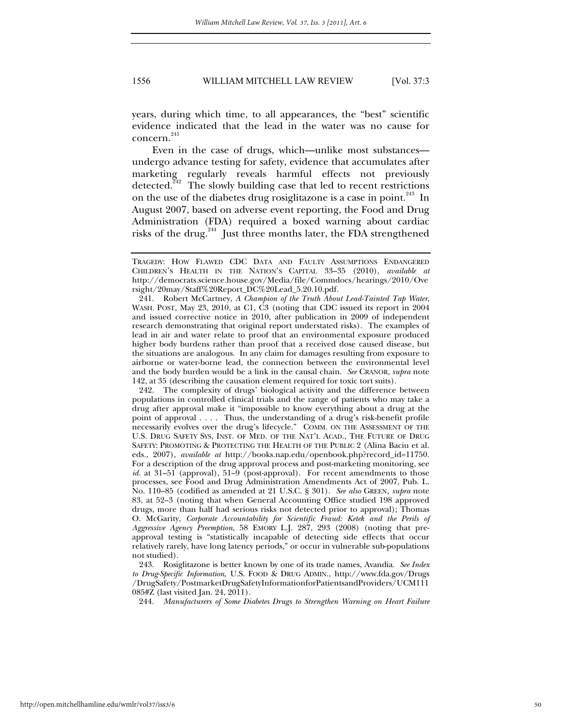years, during which time, to all appearances, the "best" scientific evidence indicated that the lead in the water was no cause for concern.<sup>241</sup>

Even in the case of drugs, which—unlike most substances undergo advance testing for safety, evidence that accumulates after marketing regularly reveals harmful effects not previously detected.<sup> $242$ </sup> The slowly building case that led to recent restrictions on the use of the diabetes drug rosiglitazone is a case in point.<sup>243</sup> In August 2007, based on adverse event reporting, the Food and Drug Administration (FDA) required a boxed warning about cardiac risks of the drug.<sup>244</sup> Just three months later, the FDA strengthened

TRAGEDY: HOW FLAWED CDC DATA AND FAULTY ASSUMPTIONS ENDANGERED CHILDREN'S HEALTH IN THE NATION'S CAPITAL 33–35 (2010), *available at*  http://democrats.science.house.gov/Media/file/Commdocs/hearings/2010/Ove rsight/20may/Staff%20Report\_DC%20Lead\_5.20.10.pdf.

 <sup>241.</sup> Robert McCartney, *A Champion of the Truth About Lead-Tainted Tap Water*, WASH. POST, May 23, 2010, at C1, C3 (noting that CDC issued its report in 2004 and issued corrective notice in 2010, after publication in 2009 of independent research demonstrating that original report understated risks). The examples of lead in air and water relate to proof that an environmental exposure produced higher body burdens rather than proof that a received dose caused disease, but the situations are analogous. In any claim for damages resulting from exposure to airborne or water-borne lead, the connection between the environmental level and the body burden would be a link in the causal chain. *See* CRANOR, *supra* note 142, at 35 (describing the causation element required for toxic tort suits).

 <sup>242.</sup> The complexity of drugs' biological activity and the difference between populations in controlled clinical trials and the range of patients who may take a drug after approval make it "impossible to know everything about a drug at the point of approval . . . . Thus, the understanding of a drug's risk-benefit profile necessarily evolves over the drug's lifecycle." COMM. ON THE ASSESSMENT OF THE U.S. DRUG SAFETY SYS, INST. OF MED. OF THE NAT'L ACAD., THE FUTURE OF DRUG SAFETY: PROMOTING & PROTECTING THE HEALTH OF THE PUBLIC 2 (Alina Baciu et al. eds., 2007), *available at* http://books.nap.edu/openbook.php?record\_id=11750. For a description of the drug approval process and post-marketing monitoring, see id. at 31-51 (approval), 51-9 (post-approval). For recent amendments to those processes, see Food and Drug Administration Amendments Act of 2007, Pub. L. No. 110–85 (codified as amended at 21 U.S.C. § 301). *See also* GREEN*, supra* note 83, at 52–3 (noting that when General Accounting Office studied 198 approved drugs, more than half had serious risks not detected prior to approval); Thomas O. McGarity, *Corporate Accountability for Scientific Fraud: Ketek and the Perils of Aggressive Agency Preemption*, 58 EMORY L.J. 287, 293 (2008) (noting that preapproval testing is "statistically incapable of detecting side effects that occur relatively rarely, have long latency periods," or occur in vulnerable sub-populations not studied).

 <sup>243.</sup> Rosiglitazone is better known by one of its trade names, Avandia. *See Index to Drug-Specific Information*, U.S. FOOD & DRUG ADMIN., http://www.fda.gov/Drugs /DrugSafety/PostmarketDrugSafetyInformationforPatientsandProviders/UCM111 085#Z (last visited Jan. 24, 2011).

<sup>244</sup>*. Manufacturers of Some Diabetes Drugs to Strengthen Warning on Heart Failure*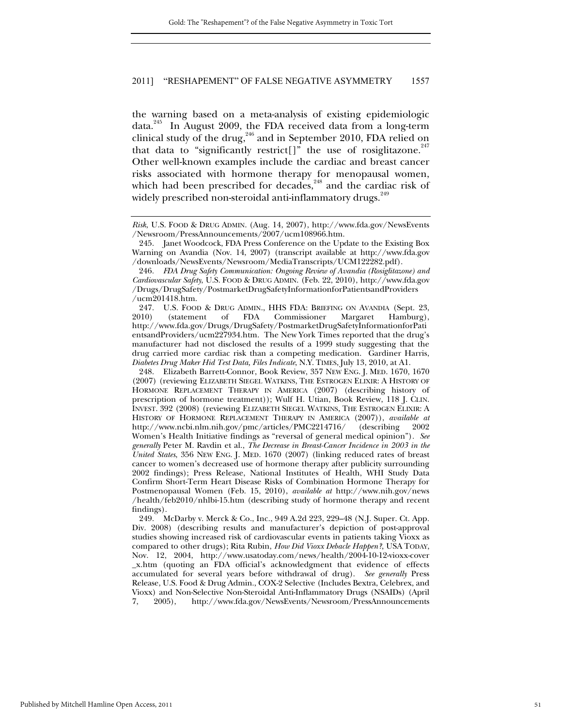the warning based on a meta-analysis of existing epidemiologic data.<sup>245</sup> In August 2009, the FDA received data from a long-term clinical study of the drug,<sup>246</sup> and in September 2010, FDA relied on that data to "significantly restrict[]" the use of rosiglitazone.<sup>247</sup> Other well-known examples include the cardiac and breast cancer risks associated with hormone therapy for menopausal women, which had been prescribed for decades, $248$  and the cardiac risk of widely prescribed non-steroidal anti-inflammatory drugs.<sup>249</sup>

*Risk*, U.S. FOOD & DRUG ADMIN. (Aug. 14, 2007), http://www.fda.gov/NewsEvents /Newsroom/PressAnnouncements/2007/ucm108966.htm.

 <sup>245.</sup> Janet Woodcock, FDA Press Conference on the Update to the Existing Box Warning on Avandia (Nov. 14, 2007) (transcript available at http://www.fda.gov /downloads/NewsEvents/Newsroom/MediaTranscripts/UCM122282.pdf).

<sup>246</sup>*. FDA Drug Safety Communication: Ongoing Review of Avandia (Rosiglitazone) and Cardiovascular Safety*, U.S. FOOD & DRUG ADMIN. (Feb. 22, 2010), http://www.fda.gov /Drugs/DrugSafety/PostmarketDrugSafetyInformationforPatientsandProviders /ucm201418.htm.

<sup>247.</sup> U.S. FOOD & DRUG ADMIN., HHS FDA: BRIEFING ON AVANDIA (Sept. 23, 2010) (statement of FDA Commissioner Margaret Hamburg), (statement of FDA Commissioner Margaret Hamburg), http://www.fda.gov/Drugs/DrugSafety/PostmarketDrugSafetyInformationforPati entsandProviders/ucm227934.htm. The New York Times reported that the drug's manufacturer had not disclosed the results of a 1999 study suggesting that the drug carried more cardiac risk than a competing medication. Gardiner Harris, *Diabetes Drug Maker Hid Test Data, Files Indicate*, N.Y. TIMES, July 13, 2010, at A1.

 <sup>248.</sup> Elizabeth Barrett-Connor, Book Review, 357 NEW ENG. J. MED. 1670, 1670 (2007) (reviewing ELIZABETH SIEGEL WATKINS, THE ESTROGEN ELIXIR: A HISTORY OF HORMONE REPLACEMENT THERAPY IN AMERICA (2007) (describing history of prescription of hormone treatment)); Wulf H. Utian, Book Review, 118 J. CLIN. INVEST. 392 (2008) (reviewing ELIZABETH SIEGEL WATKINS, THE ESTROGEN ELIXIR: A HISTORY OF HORMONE REPLACEMENT THERAPY IN AMERICA (2007)), *available at*  http://www.ncbi.nlm.nih.gov/pmc/articles/PMC2214716/ (describing 2002 Women's Health Initiative findings as "reversal of general medical opinion")*. See generally* Peter M. Ravdin et al., *The Decrease in Breast-Cancer Incidence in 2003 in the United States*, 356 NEW ENG. J. MED. 1670 (2007) (linking reduced rates of breast cancer to women's decreased use of hormone therapy after publicity surrounding 2002 findings); Press Release, National Institutes of Health, WHI Study Data Confirm Short-Term Heart Disease Risks of Combination Hormone Therapy for Postmenopausal Women (Feb. 15, 2010), *available at* http://www.nih.gov/news /health/feb2010/nhlbi-15.htm (describing study of hormone therapy and recent findings).

 <sup>249.</sup> McDarby v. Merck & Co., Inc., 949 A.2d 223, 229–48 (N.J. Super. Ct. App. Div. 2008) (describing results and manufacturer's depiction of post-approval studies showing increased risk of cardiovascular events in patients taking Vioxx as compared to other drugs); Rita Rubin, *How Did Vioxx Debacle Happen?*, USA TODAY, Nov. 12, 2004, http://www.usatoday.com/news/health/2004-10-12-vioxx-cover \_x.htm (quoting an FDA official's acknowledgment that evidence of effects accumulated for several years before withdrawal of drug). *See generally* Press Release, U.S. Food & Drug Admin., COX-2 Selective (Includes Bextra, Celebrex, and Vioxx) and Non-Selective Non-Steroidal Anti-Inflammatory Drugs (NSAIDs) (April 7, 2005), http://www.fda.gov/NewsEvents/Newsroom/PressAnnouncements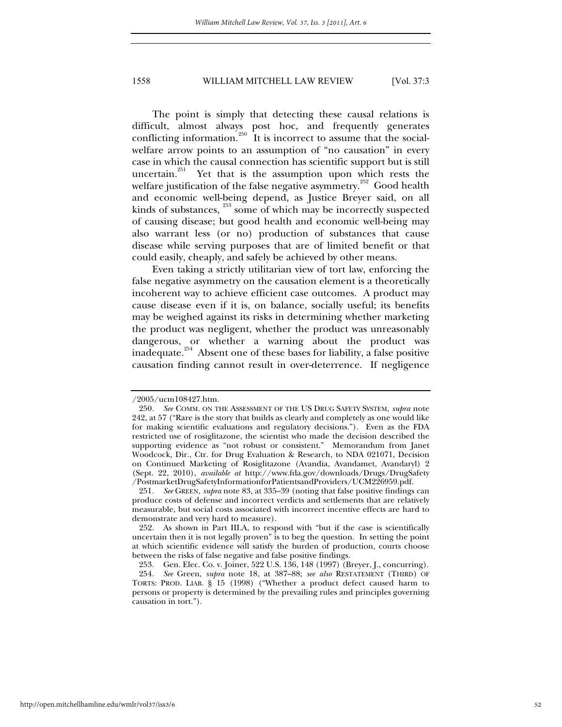The point is simply that detecting these causal relations is difficult, almost always post hoc, and frequently generates conflicting information.<sup>250</sup> It is incorrect to assume that the socialwelfare arrow points to an assumption of "no causation" in every case in which the causal connection has scientific support but is still uncertain.<sup>251</sup> Yet that is the assumption upon which rests the welfare justification of the false negative asymmetry.<sup>252</sup> Good health and economic well-being depend, as Justice Breyer said, on all kinds of substances,  $\frac{253}{2}$  some of which may be incorrectly suspected of causing disease; but good health and economic well-being may also warrant less (or no) production of substances that cause disease while serving purposes that are of limited benefit or that could easily, cheaply, and safely be achieved by other means.

Even taking a strictly utilitarian view of tort law, enforcing the false negative asymmetry on the causation element is a theoretically incoherent way to achieve efficient case outcomes. A product may cause disease even if it is, on balance, socially useful; its benefits may be weighed against its risks in determining whether marketing the product was negligent, whether the product was unreasonably dangerous, or whether a warning about the product was inadequate.254 Absent one of these bases for liability, a false positive causation finding cannot result in over-deterrence. If negligence

<sup>/2005/</sup>ucm108427.htm.

<sup>250</sup>*. See* COMM. ON THE ASSESSMENT OF THE US DRUG SAFETY SYSTEM, *supra* note 242, at 57 ("Rare is the story that builds as clearly and completely as one would like for making scientific evaluations and regulatory decisions."). Even as the FDA restricted use of rosiglitazone, the scientist who made the decision described the supporting evidence as "not robust or consistent." Memorandum from Janet Woodcock, Dir., Ctr. for Drug Evaluation & Research, to NDA 021071, Decision on Continued Marketing of Rosiglitazone (Avandia, Avandamet, Avandaryl) 2 (Sept. 22, 2010), *available at* http://www.fda.gov/downloads/Drugs/DrugSafety /PostmarketDrugSafetyInformationforPatientsandProviders/UCM226959.pdf.

<sup>251</sup>*. See* GREEN*, supra* note 83, at 335–39 (noting that false positive findings can produce costs of defense and incorrect verdicts and settlements that are relatively measurable, but social costs associated with incorrect incentive effects are hard to demonstrate and very hard to measure).

 <sup>252.</sup> As shown in Part III.A, to respond with "but if the case is scientifically uncertain then it is not legally proven" is to beg the question. In setting the point at which scientific evidence will satisfy the burden of production, courts choose between the risks of false negative and false positive findings.

<sup>253</sup>*.* Gen. Elec. Co. v. Joiner, 522 U.S. 136, 148 (1997) (Breyer, J., concurring).

<sup>254</sup>*. See* Green, *supra* note 18, at 387–88; *see also* RESTATEMENT (THIRD) OF TORTS: PROD. LIAB. § 15 (1998) ("Whether a product defect caused harm to persons or property is determined by the prevailing rules and principles governing causation in tort.").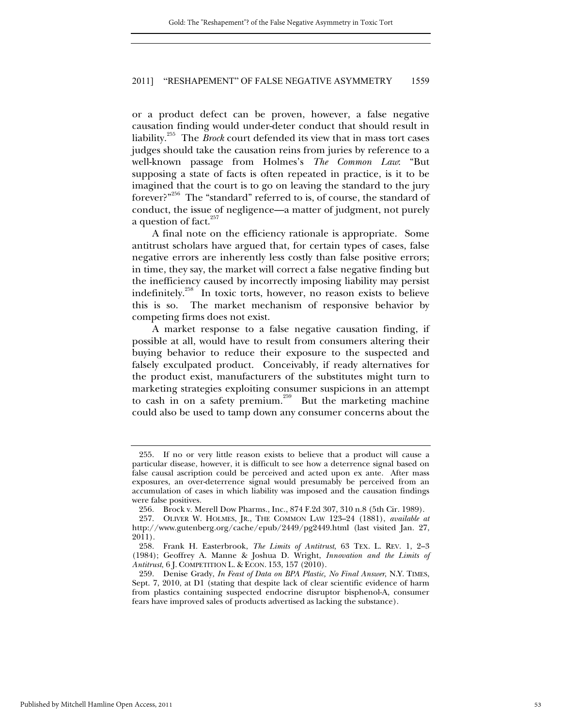or a product defect can be proven, however, a false negative causation finding would under-deter conduct that should result in liability.255 The *Brock* court defended its view that in mass tort cases judges should take the causation reins from juries by reference to a well-known passage from Holmes's *The Common Law*: "But supposing a state of facts is often repeated in practice, is it to be imagined that the court is to go on leaving the standard to the jury forever?"256 The "standard" referred to is, of course, the standard of conduct, the issue of negligence—a matter of judgment, not purely a question of fact.<sup>257</sup>

A final note on the efficiency rationale is appropriate. Some antitrust scholars have argued that, for certain types of cases, false negative errors are inherently less costly than false positive errors; in time, they say, the market will correct a false negative finding but the inefficiency caused by incorrectly imposing liability may persist indefinitely.<sup>258</sup> In toxic torts, however, no reason exists to believe this is so. The market mechanism of responsive behavior by competing firms does not exist.

A market response to a false negative causation finding, if possible at all, would have to result from consumers altering their buying behavior to reduce their exposure to the suspected and falsely exculpated product. Conceivably, if ready alternatives for the product exist, manufacturers of the substitutes might turn to marketing strategies exploiting consumer suspicions in an attempt to cash in on a safety premium.<sup>259</sup> But the marketing machine could also be used to tamp down any consumer concerns about the

 <sup>255.</sup> If no or very little reason exists to believe that a product will cause a particular disease, however, it is difficult to see how a deterrence signal based on false causal ascription could be perceived and acted upon ex ante. After mass exposures, an over-deterrence signal would presumably be perceived from an accumulation of cases in which liability was imposed and the causation findings were false positives.

<sup>256</sup>*.* Brock v. Merell Dow Pharms., Inc., 874 F.2d 307, 310 n.8 (5th Cir. 1989).

 <sup>257.</sup> OLIVER W. HOLMES, JR., THE COMMON LAW 123–24 (1881), *available at* http://www.gutenberg.org/cache/epub/2449/pg2449.html (last visited Jan. 27, 2011).

 <sup>258.</sup> Frank H. Easterbrook, *The Limits of Antitrust*, 63 TEX. L. REV. 1, 2–3 (1984); Geoffrey A. Manne & Joshua D. Wright, *Innovation and the Limits of Antitrust*, 6 J. COMPETITION L. & ECON. 153, 157 (2010).

 <sup>259.</sup> Denise Grady, *In Feast of Data on BPA Plastic, No Final Answer*, N.Y. TIMES, Sept. 7, 2010, at D1 (stating that despite lack of clear scientific evidence of harm from plastics containing suspected endocrine disruptor bisphenol-A, consumer fears have improved sales of products advertised as lacking the substance).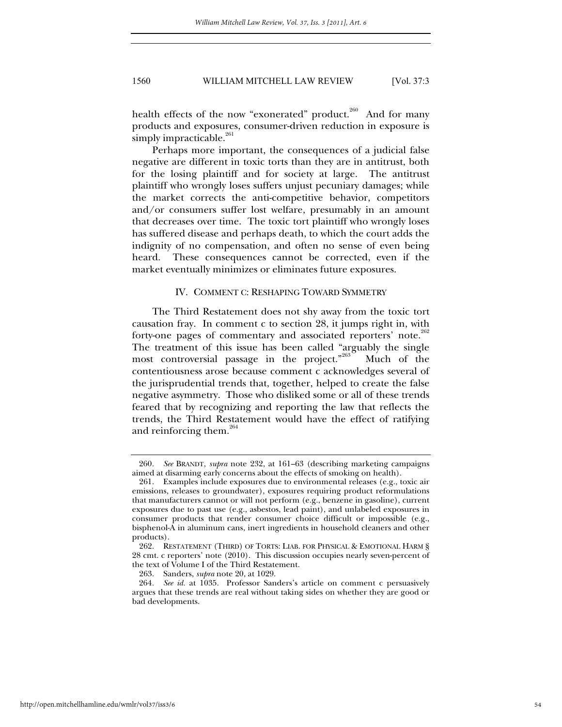health effects of the now "exonerated" product.<sup>260</sup> And for many products and exposures, consumer-driven reduction in exposure is simply impracticable. $261$ 

Perhaps more important, the consequences of a judicial false negative are different in toxic torts than they are in antitrust, both for the losing plaintiff and for society at large. The antitrust plaintiff who wrongly loses suffers unjust pecuniary damages; while the market corrects the anti-competitive behavior, competitors and/or consumers suffer lost welfare, presumably in an amount that decreases over time. The toxic tort plaintiff who wrongly loses has suffered disease and perhaps death, to which the court adds the indignity of no compensation, and often no sense of even being heard. These consequences cannot be corrected, even if the market eventually minimizes or eliminates future exposures.

#### IV. COMMENT C: RESHAPING TOWARD SYMMETRY

The Third Restatement does not shy away from the toxic tort causation fray. In comment c to section 28, it jumps right in, with forty-one pages of commentary and associated reporters' note.<sup>262</sup> The treatment of this issue has been called "arguably the single most controversial passage in the project."<sup>263</sup> Much of the contentiousness arose because comment c acknowledges several of the jurisprudential trends that, together, helped to create the false negative asymmetry. Those who disliked some or all of these trends feared that by recognizing and reporting the law that reflects the trends, the Third Restatement would have the effect of ratifying and reinforcing them.<sup>264</sup>

<sup>260</sup>*. See* BRANDT, *supra* note 232, at 161–63 (describing marketing campaigns aimed at disarming early concerns about the effects of smoking on health).

 <sup>261.</sup> Examples include exposures due to environmental releases (e.g., toxic air emissions, releases to groundwater), exposures requiring product reformulations that manufacturers cannot or will not perform (e.g., benzene in gasoline), current exposures due to past use (e.g., asbestos, lead paint), and unlabeled exposures in consumer products that render consumer choice difficult or impossible (e.g., bisphenol-A in aluminum cans, inert ingredients in household cleaners and other products).

 <sup>262.</sup> RESTATEMENT (THIRD) OF TORTS: LIAB. FOR PHYSICAL & EMOTIONAL HARM § 28 cmt. c reporters' note (2010). This discussion occupies nearly seven-percent of the text of Volume I of the Third Restatement.

 <sup>263.</sup> Sanders, *supra* note 20, at 1029.

<sup>264</sup>*. See id.* at 1035. Professor Sanders's article on comment c persuasively argues that these trends are real without taking sides on whether they are good or bad developments.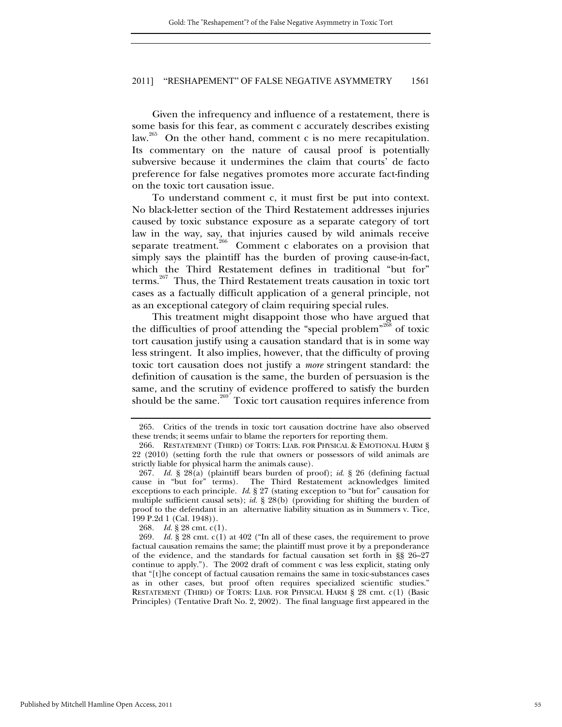Given the infrequency and influence of a restatement, there is some basis for this fear, as comment c accurately describes existing law.<sup>265</sup> On the other hand, comment c is no mere recapitulation. Its commentary on the nature of causal proof is potentially subversive because it undermines the claim that courts' de facto preference for false negatives promotes more accurate fact-finding on the toxic tort causation issue.

To understand comment c, it must first be put into context. No black-letter section of the Third Restatement addresses injuries caused by toxic substance exposure as a separate category of tort law in the way, say, that injuries caused by wild animals receive separate treatment.<sup>266</sup> Comment c elaborates on a provision that simply says the plaintiff has the burden of proving cause-in-fact, which the Third Restatement defines in traditional "but for" terms.267 Thus, the Third Restatement treats causation in toxic tort cases as a factually difficult application of a general principle, not as an exceptional category of claim requiring special rules.

This treatment might disappoint those who have argued that the difficulties of proof attending the "special problem"<sup>268</sup> of toxic tort causation justify using a causation standard that is in some way less stringent. It also implies, however, that the difficulty of proving toxic tort causation does not justify a *more* stringent standard: the definition of causation is the same, the burden of persuasion is the same, and the scrutiny of evidence proffered to satisfy the burden should be the same.<sup>269</sup> Toxic tort causation requires inference from

268*. Id.* § 28 cmt. c(1).

269*. Id.* § 28 cmt. c(1) at 402 ("In all of these cases, the requirement to prove factual causation remains the same; the plaintiff must prove it by a preponderance of the evidence, and the standards for factual causation set forth in §§ 26–27 continue to apply."). The 2002 draft of comment c was less explicit, stating only that "[t]he concept of factual causation remains the same in toxic-substances cases as in other cases, but proof often requires specialized scientific studies." RESTATEMENT (THIRD) OF TORTS: LIAB. FOR PHYSICAL HARM § 28 cmt. c(1) (Basic Principles) (Tentative Draft No. 2, 2002). The final language first appeared in the

 <sup>265.</sup> Critics of the trends in toxic tort causation doctrine have also observed these trends; it seems unfair to blame the reporters for reporting them.

 <sup>266.</sup> RESTATEMENT (THIRD) OF TORTS: LIAB. FOR PHYSICAL & EMOTIONAL HARM § 22 (2010) (setting forth the rule that owners or possessors of wild animals are strictly liable for physical harm the animals cause).

<sup>267</sup>*. Id.* § 28(a) (plaintiff bears burden of proof); *id*. § 26 (defining factual cause in "but for" terms). The Third Restatement acknowledges limited exceptions to each principle. *Id*. § 27 (stating exception to "but for" causation for multiple sufficient causal sets); *id.* § 28(b) (providing for shifting the burden of proof to the defendant in an alternative liability situation as in Summers v. Tice, 199 P.2d 1 (Cal. 1948)).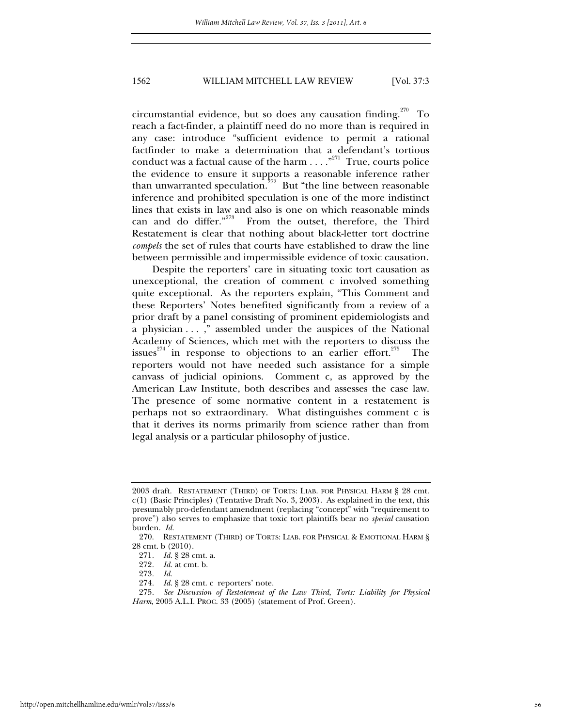circumstantial evidence, but so does any causation finding.<sup>270</sup> To reach a fact-finder, a plaintiff need do no more than is required in any case: introduce "sufficient evidence to permit a rational factfinder to make a determination that a defendant's tortious conduct was a factual cause of the harm  $\dots$ ."<sup>271</sup> True, courts police the evidence to ensure it supports a reasonable inference rather than unwarranted speculation.<sup>272</sup> But "the line between reasonable" inference and prohibited speculation is one of the more indistinct lines that exists in law and also is one on which reasonable minds can and do differ."<sup>273</sup> From the outset, therefore, the Third Restatement is clear that nothing about black-letter tort doctrine *compels* the set of rules that courts have established to draw the line between permissible and impermissible evidence of toxic causation.

Despite the reporters' care in situating toxic tort causation as unexceptional, the creation of comment c involved something quite exceptional. As the reporters explain, "This Comment and these Reporters' Notes benefited significantly from a review of a prior draft by a panel consisting of prominent epidemiologists and a physician . . . ," assembled under the auspices of the National Academy of Sciences, which met with the reporters to discuss the issues<sup>274</sup> in response to objections to an earlier effort.<sup>275</sup> The reporters would not have needed such assistance for a simple canvass of judicial opinions. Comment c, as approved by the American Law Institute, both describes and assesses the case law. The presence of some normative content in a restatement is perhaps not so extraordinary. What distinguishes comment c is that it derives its norms primarily from science rather than from legal analysis or a particular philosophy of justice.

<sup>2003</sup> draft. RESTATEMENT (THIRD) OF TORTS: LIAB. FOR PHYSICAL HARM § 28 cmt. c(1) (Basic Principles) (Tentative Draft No. 3, 2003). As explained in the text, this presumably pro-defendant amendment (replacing "concept" with "requirement to prove") also serves to emphasize that toxic tort plaintiffs bear no *special* causation burden. *Id.* 

 <sup>270.</sup> RESTATEMENT (THIRD) OF TORTS: LIAB. FOR PHYSICAL & EMOTIONAL HARM § 28 cmt. b (2010).

<sup>271</sup>*. Id.* § 28 cmt. a.

<sup>272</sup>*. Id.* at cmt. b.

<sup>273</sup>*. Id.*

<sup>274</sup>*. Id.* § 28 cmt. c reporters' note.

<sup>275</sup>*. See Discussion of Restatement of the Law Third, Torts: Liability for Physical Harm*, 2005 A.L.I. PROC. 33 (2005) (statement of Prof. Green).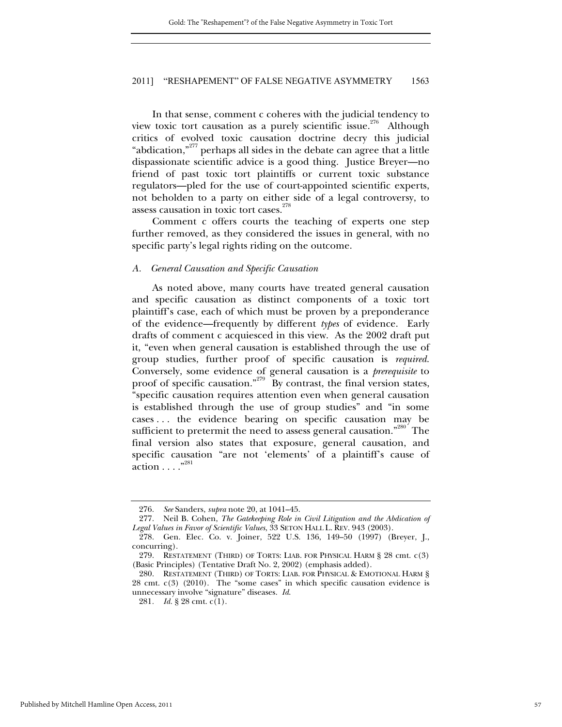In that sense, comment c coheres with the judicial tendency to view toxic tort causation as a purely scientific issue.<sup>276</sup> Although critics of evolved toxic causation doctrine decry this judicial "abdication,"277 perhaps all sides in the debate can agree that a little dispassionate scientific advice is a good thing. Justice Breyer—no friend of past toxic tort plaintiffs or current toxic substance regulators—pled for the use of court-appointed scientific experts, not beholden to a party on either side of a legal controversy, to assess causation in toxic tort cases.<sup>278</sup>

Comment c offers courts the teaching of experts one step further removed, as they considered the issues in general, with no specific party's legal rights riding on the outcome.

#### *A. General Causation and Specific Causation*

As noted above, many courts have treated general causation and specific causation as distinct components of a toxic tort plaintiff's case, each of which must be proven by a preponderance of the evidence—frequently by different *types* of evidence. Early drafts of comment c acquiesced in this view. As the 2002 draft put it, "even when general causation is established through the use of group studies, further proof of specific causation is *required*. Conversely, some evidence of general causation is a *prerequisite* to proof of specific causation."<sup>279</sup> By contrast, the final version states, "specific causation requires attention even when general causation is established through the use of group studies" and "in some cases . . . the evidence bearing on specific causation may be sufficient to pretermit the need to assess general causation."<sup>280</sup> The final version also states that exposure, general causation, and specific causation "are not 'elements' of a plaintiff's cause of action  $\dots$  .  $\overset{6}{\dots}$ 

<sup>276</sup>*. See* Sanders, *supra* note 20, at 1041–45.

 <sup>277.</sup> Neil B. Cohen, *The Gatekeeping Role in Civil Litigation and the Abdication of Legal Values in Favor of Scientific Values*, 33 SETON HALL L. REV. 943 (2003).

 <sup>278.</sup> Gen. Elec. Co. v. Joiner, 522 U.S. 136, 149–50 (1997) (Breyer, J., concurring).

 <sup>279.</sup> RESTATEMENT (THIRD) OF TORTS: LIAB. FOR PHYSICAL HARM § 28 cmt. c(3) (Basic Principles) (Tentative Draft No. 2, 2002) (emphasis added).

 <sup>280.</sup> RESTATEMENT (THIRD) OF TORTS: LIAB. FOR PHYSICAL & EMOTIONAL HARM § 28 cmt. c(3) (2010). The "some cases" in which specific causation evidence is unnecessary involve "signature" diseases. *Id*.

<sup>281</sup>*. Id.* § 28 cmt. c(1).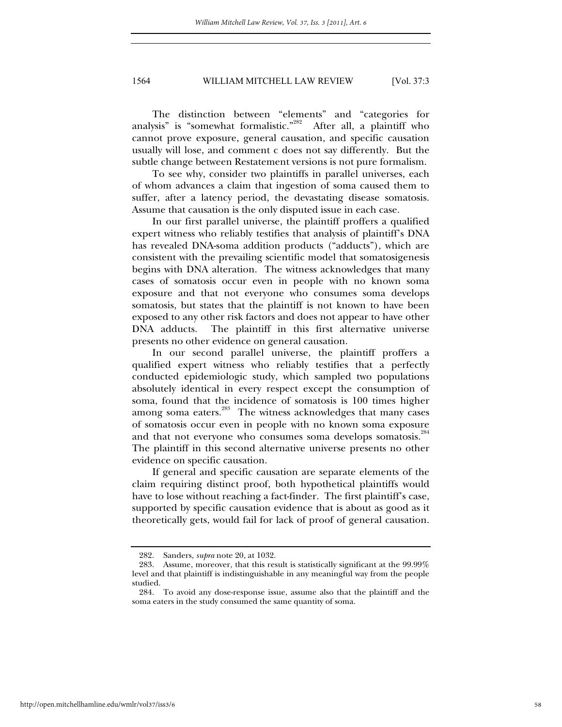The distinction between "elements" and "categories for analysis" is "somewhat formalistic."<sup>282</sup> After all, a plaintiff who cannot prove exposure, general causation, and specific causation usually will lose, and comment c does not say differently. But the subtle change between Restatement versions is not pure formalism.

To see why, consider two plaintiffs in parallel universes, each of whom advances a claim that ingestion of soma caused them to suffer, after a latency period, the devastating disease somatosis. Assume that causation is the only disputed issue in each case.

In our first parallel universe, the plaintiff proffers a qualified expert witness who reliably testifies that analysis of plaintiff's DNA has revealed DNA-soma addition products ("adducts"), which are consistent with the prevailing scientific model that somatosigenesis begins with DNA alteration. The witness acknowledges that many cases of somatosis occur even in people with no known soma exposure and that not everyone who consumes soma develops somatosis, but states that the plaintiff is not known to have been exposed to any other risk factors and does not appear to have other DNA adducts. The plaintiff in this first alternative universe presents no other evidence on general causation.

In our second parallel universe, the plaintiff proffers a qualified expert witness who reliably testifies that a perfectly conducted epidemiologic study, which sampled two populations absolutely identical in every respect except the consumption of soma, found that the incidence of somatosis is 100 times higher among soma eaters.<sup>283</sup> The witness acknowledges that many cases of somatosis occur even in people with no known soma exposure and that not everyone who consumes soma develops somatosis.<sup>284</sup> The plaintiff in this second alternative universe presents no other evidence on specific causation.

If general and specific causation are separate elements of the claim requiring distinct proof, both hypothetical plaintiffs would have to lose without reaching a fact-finder. The first plaintiff's case, supported by specific causation evidence that is about as good as it theoretically gets, would fail for lack of proof of general causation.

 <sup>282.</sup> Sanders, *supra* note 20, at 1032.

 <sup>283.</sup> Assume, moreover, that this result is statistically significant at the 99.99% level and that plaintiff is indistinguishable in any meaningful way from the people studied.

 <sup>284.</sup> To avoid any dose-response issue, assume also that the plaintiff and the soma eaters in the study consumed the same quantity of soma.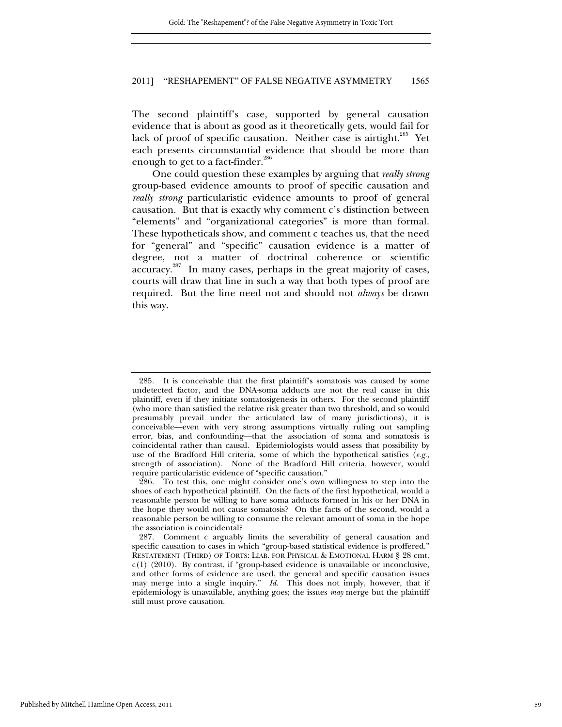The second plaintiff's case, supported by general causation evidence that is about as good as it theoretically gets, would fail for lack of proof of specific causation. Neither case is airtight.<sup>285</sup> Yet each presents circumstantial evidence that should be more than enough to get to a fact-finder. $286$ 

One could question these examples by arguing that *really strong* group-based evidence amounts to proof of specific causation and *really strong* particularistic evidence amounts to proof of general causation. But that is exactly why comment c's distinction between "elements" and "organizational categories" is more than formal. These hypotheticals show, and comment c teaches us, that the need for "general" and "specific" causation evidence is a matter of degree, not a matter of doctrinal coherence or scientific accuracy.<sup>287</sup> In many cases, perhaps in the great majority of cases, courts will draw that line in such a way that both types of proof are required. But the line need not and should not *always* be drawn this way.

 <sup>285.</sup> It is conceivable that the first plaintiff's somatosis was caused by some undetected factor, and the DNA-soma adducts are not the real cause in this plaintiff, even if they initiate somatosigenesis in others. For the second plaintiff (who more than satisfied the relative risk greater than two threshold, and so would presumably prevail under the articulated law of many jurisdictions), it is conceivable—even with very strong assumptions virtually ruling out sampling error, bias, and confounding—that the association of soma and somatosis is coincidental rather than causal. Epidemiologists would assess that possibility by use of the Bradford Hill criteria, some of which the hypothetical satisfies (*e.g.*, strength of association). None of the Bradford Hill criteria, however, would require particularistic evidence of "specific causation."

 <sup>286.</sup> To test this, one might consider one's own willingness to step into the shoes of each hypothetical plaintiff. On the facts of the first hypothetical, would a reasonable person be willing to have soma adducts formed in his or her DNA in the hope they would not cause somatosis? On the facts of the second, would a reasonable person be willing to consume the relevant amount of soma in the hope the association is coincidental?

 <sup>287.</sup> Comment c arguably limits the severability of general causation and specific causation to cases in which "group-based statistical evidence is proffered." RESTATEMENT (THIRD) OF TORTS: LIAB. FOR PHYSICAL & EMOTIONAL HARM § 28 cmt.  $c(1)$  (2010). By contrast, if "group-based evidence is unavailable or inconclusive, and other forms of evidence are used, the general and specific causation issues may merge into a single inquiry." *Id*. This does not imply, however, that if epidemiology is unavailable, anything goes; the issues *may* merge but the plaintiff still must prove causation.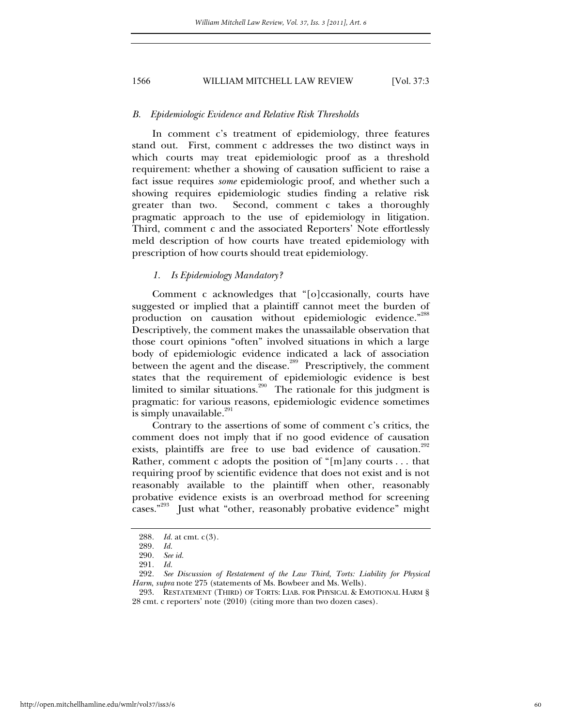#### *B. Epidemiologic Evidence and Relative Risk Thresholds*

In comment c's treatment of epidemiology, three features stand out. First, comment c addresses the two distinct ways in which courts may treat epidemiologic proof as a threshold requirement: whether a showing of causation sufficient to raise a fact issue requires *some* epidemiologic proof, and whether such a showing requires epidemiologic studies finding a relative risk greater than two. Second, comment c takes a thoroughly pragmatic approach to the use of epidemiology in litigation. Third, comment c and the associated Reporters' Note effortlessly meld description of how courts have treated epidemiology with prescription of how courts should treat epidemiology.

#### *1. Is Epidemiology Mandatory?*

Comment c acknowledges that "[o]ccasionally, courts have suggested or implied that a plaintiff cannot meet the burden of production on causation without epidemiologic evidence."<sup>288</sup> Descriptively, the comment makes the unassailable observation that those court opinions "often" involved situations in which a large body of epidemiologic evidence indicated a lack of association between the agent and the disease.<sup>289</sup> Prescriptively, the comment states that the requirement of epidemiologic evidence is best limited to similar situations.<sup>290</sup> The rationale for this judgment is pragmatic: for various reasons, epidemiologic evidence sometimes is simply unavailable. $^{291}$ 

Contrary to the assertions of some of comment c's critics, the comment does not imply that if no good evidence of causation exists, plaintiffs are free to use bad evidence of causation.<sup>292</sup> Rather, comment c adopts the position of "[m]any courts . . . that requiring proof by scientific evidence that does not exist and is not reasonably available to the plaintiff when other, reasonably probative evidence exists is an overbroad method for screening cases."293 Just what "other, reasonably probative evidence" might

<sup>288</sup>*. Id.* at cmt. c(3).

<sup>289</sup>*. Id.*

<sup>290</sup>*. See id.*

<sup>291</sup>*. Id.*

<sup>292</sup>*. See Discussion of Restatement of the Law Third, Torts: Liability for Physical Harm*, *supra* note 275 (statements of Ms. Bowbeer and Ms. Wells).

 <sup>293.</sup> RESTATEMENT (THIRD) OF TORTS: LIAB. FOR PHYSICAL & EMOTIONAL HARM § 28 cmt. c reporters' note (2010) (citing more than two dozen cases).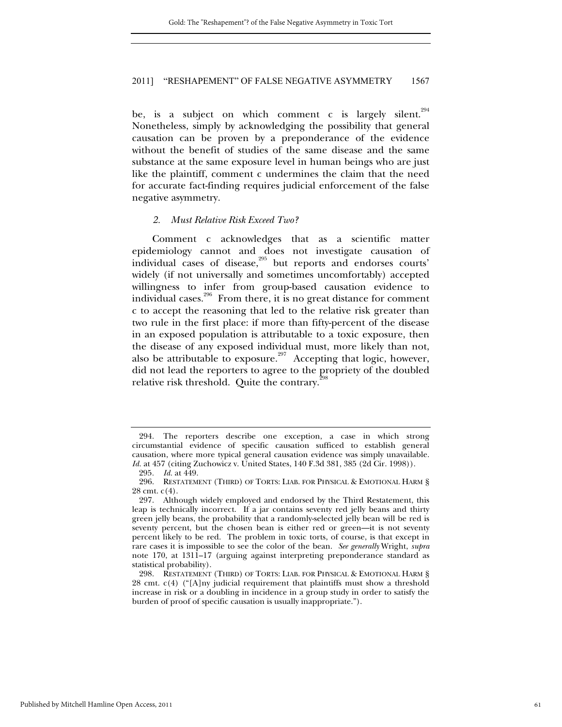be, is a subject on which comment c is largely silent.<sup>294</sup> Nonetheless, simply by acknowledging the possibility that general causation can be proven by a preponderance of the evidence without the benefit of studies of the same disease and the same substance at the same exposure level in human beings who are just like the plaintiff, comment c undermines the claim that the need for accurate fact-finding requires judicial enforcement of the false negative asymmetry.

#### *2. Must Relative Risk Exceed Two?*

Comment c acknowledges that as a scientific matter epidemiology cannot and does not investigate causation of individual cases of disease,<sup>295</sup> but reports and endorses courts' widely (if not universally and sometimes uncomfortably) accepted willingness to infer from group-based causation evidence to individual cases.<sup>296</sup> From there, it is no great distance for comment c to accept the reasoning that led to the relative risk greater than two rule in the first place: if more than fifty-percent of the disease in an exposed population is attributable to a toxic exposure, then the disease of any exposed individual must, more likely than not, also be attributable to exposure.<sup>297</sup> Accepting that logic, however, did not lead the reporters to agree to the propriety of the doubled relative risk threshold. Quite the contrary. $\hat{a}$ 

 <sup>294.</sup> The reporters describe one exception, a case in which strong circumstantial evidence of specific causation sufficed to establish general causation, where more typical general causation evidence was simply unavailable. *Id.* at 457 (citing Zuchowicz v. United States, 140 F.3d 381, 385 (2d Cir. 1998)).

<sup>295</sup>*. Id.* at 449.

 <sup>296.</sup> RESTATEMENT (THIRD) OF TORTS: LIAB. FOR PHYSICAL & EMOTIONAL HARM § 28 cmt. c(4).

 <sup>297.</sup> Although widely employed and endorsed by the Third Restatement, this leap is technically incorrect. If a jar contains seventy red jelly beans and thirty green jelly beans, the probability that a randomly-selected jelly bean will be red is seventy percent, but the chosen bean is either red or green—it is not seventy percent likely to be red. The problem in toxic torts, of course, is that except in rare cases it is impossible to see the color of the bean. *See generally* Wright, *supra* note 170, at 1311–17 (arguing against interpreting preponderance standard as statistical probability).

 <sup>298.</sup> RESTATEMENT (THIRD) OF TORTS: LIAB. FOR PHYSICAL & EMOTIONAL HARM § 28 cmt. c(4) ("[A]ny judicial requirement that plaintiffs must show a threshold increase in risk or a doubling in incidence in a group study in order to satisfy the burden of proof of specific causation is usually inappropriate.").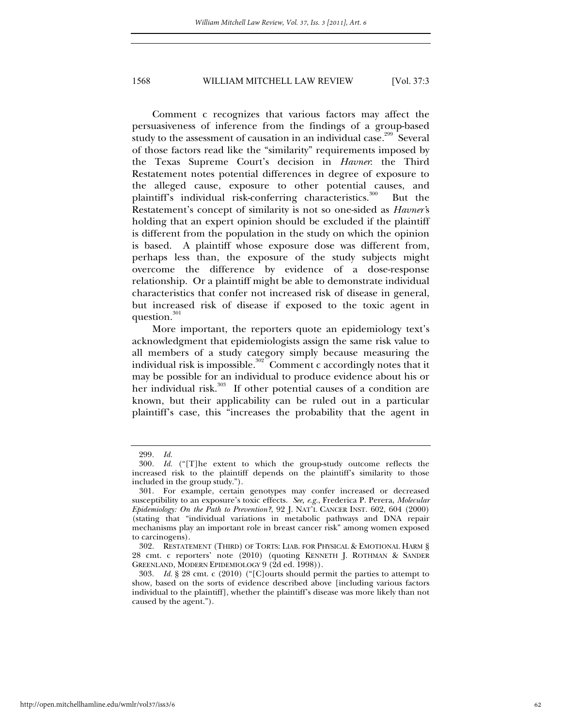Comment c recognizes that various factors may affect the persuasiveness of inference from the findings of a group-based study to the assessment of causation in an individual case.<sup>299</sup> Several of those factors read like the "similarity" requirements imposed by the Texas Supreme Court's decision in *Havner*: the Third Restatement notes potential differences in degree of exposure to the alleged cause, exposure to other potential causes, and plaintiff's individual risk-conferring characteristics.<sup>300</sup> But the Restatement's concept of similarity is not so one-sided as *Havner'*s holding that an expert opinion should be excluded if the plaintiff is different from the population in the study on which the opinion is based. A plaintiff whose exposure dose was different from, perhaps less than, the exposure of the study subjects might overcome the difference by evidence of a dose-response relationship. Or a plaintiff might be able to demonstrate individual characteristics that confer not increased risk of disease in general, but increased risk of disease if exposed to the toxic agent in question.<sup>301</sup>

More important, the reporters quote an epidemiology text's acknowledgment that epidemiologists assign the same risk value to all members of a study category simply because measuring the individual risk is impossible.<sup>302</sup> Comment c accordingly notes that it may be possible for an individual to produce evidence about his or her individual risk.<sup>303</sup> If other potential causes of a condition are known, but their applicability can be ruled out in a particular plaintiff's case, this "increases the probability that the agent in

<sup>299</sup>*. Id.*

<sup>300</sup>*. Id.* ("[T]he extent to which the group-study outcome reflects the increased risk to the plaintiff depends on the plaintiff's similarity to those included in the group study.").

 <sup>301.</sup> For example, certain genotypes may confer increased or decreased susceptibility to an exposure's toxic effects. *See, e.g.*, Frederica P. Perera, *Molecular Epidemiology: On the Path to Prevention?*, 92 J. NAT'L CANCER INST. 602, 604 (2000) (stating that "individual variations in metabolic pathways and DNA repair mechanisms play an important role in breast cancer risk" among women exposed to carcinogens).

 <sup>302.</sup> RESTATEMENT (THIRD) OF TORTS: LIAB. FOR PHYSICAL & EMOTIONAL HARM § 28 cmt. c reporters' note (2010) (quoting KENNETH J. ROTHMAN & SANDER GREENLAND, MODERN EPIDEMIOLOGY 9 (2d ed. 1998)).

<sup>303</sup>*. Id.* § 28 cmt. c (2010) ("[C]ourts should permit the parties to attempt to show, based on the sorts of evidence described above [including various factors individual to the plaintiff], whether the plaintiff's disease was more likely than not caused by the agent.").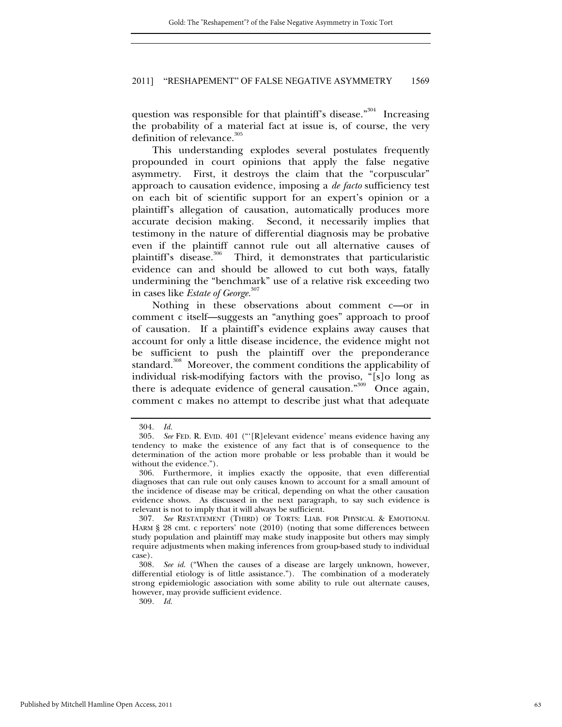question was responsible for that plaintiff's disease."<sup>304</sup> Increasing the probability of a material fact at issue is, of course, the very definition of relevance.<sup>305</sup>

This understanding explodes several postulates frequently propounded in court opinions that apply the false negative asymmetry. First, it destroys the claim that the "corpuscular" approach to causation evidence, imposing a *de facto* sufficiency test on each bit of scientific support for an expert's opinion or a plaintiff's allegation of causation, automatically produces more accurate decision making. Second, it necessarily implies that testimony in the nature of differential diagnosis may be probative even if the plaintiff cannot rule out all alternative causes of plaintiff's disease.<sup>306</sup> Third, it demonstrates that particularistic evidence can and should be allowed to cut both ways, fatally undermining the "benchmark" use of a relative risk exceeding two in cases like *Estate of George.*<sup>307</sup>

Nothing in these observations about comment c—or in comment c itself—suggests an "anything goes" approach to proof of causation. If a plaintiff's evidence explains away causes that account for only a little disease incidence, the evidence might not be sufficient to push the plaintiff over the preponderance standard.<sup>308</sup> Moreover, the comment conditions the applicability of individual risk-modifying factors with the proviso, "[s]o long as there is adequate evidence of general causation."<sup>309</sup> Once again, comment c makes no attempt to describe just what that adequate

309*. Id.*

<sup>304</sup>*. Id.*

<sup>305</sup>*. See* FED. R. EVID. 401 ("'[R]elevant evidence' means evidence having any tendency to make the existence of any fact that is of consequence to the determination of the action more probable or less probable than it would be without the evidence.").

 <sup>306.</sup> Furthermore, it implies exactly the opposite, that even differential diagnoses that can rule out only causes known to account for a small amount of the incidence of disease may be critical, depending on what the other causation evidence shows. As discussed in the next paragraph, to say such evidence is relevant is not to imply that it will always be sufficient.

<sup>307</sup>*. See* RESTATEMENT (THIRD) OF TORTS: LIAB. FOR PHYSICAL & EMOTIONAL HARM § 28 cmt. c reporters' note (2010) (noting that some differences between study population and plaintiff may make study inapposite but others may simply require adjustments when making inferences from group-based study to individual case).

<sup>308</sup>*. See id*. ("When the causes of a disease are largely unknown, however, differential etiology is of little assistance."). The combination of a moderately strong epidemiologic association with some ability to rule out alternate causes, however, may provide sufficient evidence.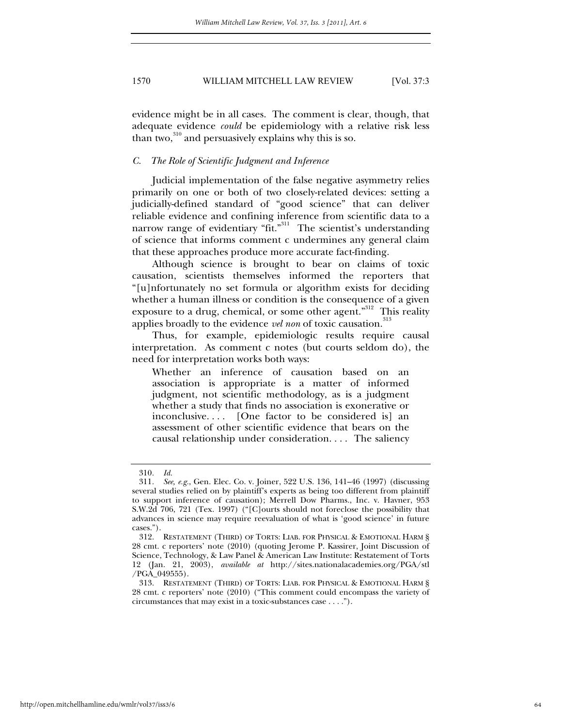evidence might be in all cases. The comment is clear, though, that adequate evidence *could* be epidemiology with a relative risk less than two, $310$  and persuasively explains why this is so.

### *C. The Role of Scientific Judgment and Inference*

Judicial implementation of the false negative asymmetry relies primarily on one or both of two closely-related devices: setting a judicially-defined standard of "good science" that can deliver reliable evidence and confining inference from scientific data to a narrow range of evidentiary "fit."<sup>311</sup> The scientist's understanding of science that informs comment c undermines any general claim that these approaches produce more accurate fact-finding.

Although science is brought to bear on claims of toxic causation, scientists themselves informed the reporters that "[u]nfortunately no set formula or algorithm exists for deciding whether a human illness or condition is the consequence of a given exposure to a drug, chemical, or some other agent."<sup>312</sup> This reality applies broadly to the evidence *vel non* of toxic causation.<sup>313</sup>

Thus, for example, epidemiologic results require causal interpretation. As comment c notes (but courts seldom do), the need for interpretation works both ways:

Whether an inference of causation based on an association is appropriate is a matter of informed judgment, not scientific methodology, as is a judgment whether a study that finds no association is exonerative or inconclusive. . . . [One factor to be considered is] an assessment of other scientific evidence that bears on the causal relationship under consideration. . . . The saliency

<sup>310</sup>*. Id.*

<sup>311</sup>*. See, e.g.*, Gen. Elec. Co. v. Joiner, 522 U.S. 136, 141–46 (1997) (discussing several studies relied on by plaintiff's experts as being too different from plaintiff to support inference of causation); Merrell Dow Pharms., Inc. v. Havner, 953 S.W.2d 706, 721 (Tex. 1997) ("[C]ourts should not foreclose the possibility that advances in science may require reevaluation of what is 'good science' in future cases.").

 <sup>312.</sup> RESTATEMENT (THIRD) OF TORTS: LIAB. FOR PHYSICAL & EMOTIONAL HARM § 28 cmt. c reporters' note (2010) (quoting Jerome P. Kassirer, Joint Discussion of Science, Technology, & Law Panel & American Law Institute: Restatement of Torts 12 (Jan. 21, 2003), *available at* http://sites.nationalacademies.org/PGA/stl /PGA\_049555).

 <sup>313.</sup> RESTATEMENT (THIRD) OF TORTS: LIAB. FOR PHYSICAL & EMOTIONAL HARM § 28 cmt. c reporters' note (2010) ("This comment could encompass the variety of circumstances that may exist in a toxic-substances case . . . .").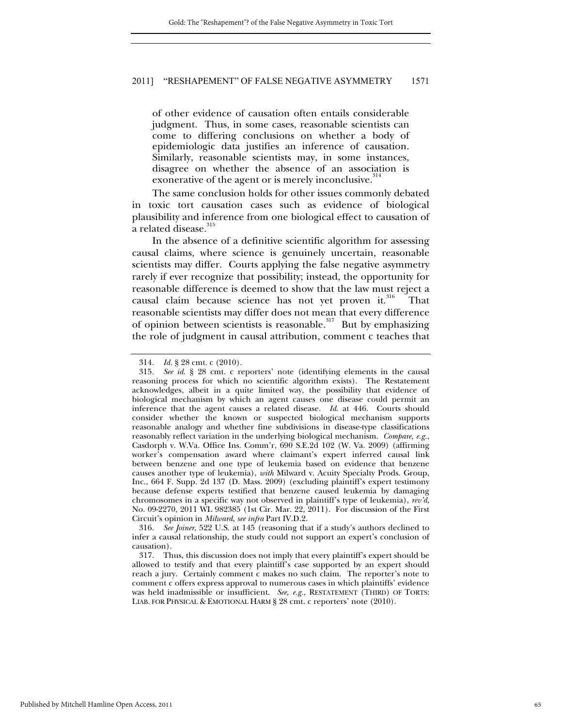of other evidence of causation often entails considerable judgment. Thus, in some cases, reasonable scientists can come to differing conclusions on whether a body of epidemiologic data justifies an inference of causation. Similarly, reasonable scientists may, in some instances, disagree on whether the absence of an association is exonerative of the agent or is merely inconclusive.<sup>314</sup>

The same conclusion holds for other issues commonly debated in toxic tort causation cases such as evidence of biological plausibility and inference from one biological effect to causation of a related disease.<sup>315</sup>

In the absence of a definitive scientific algorithm for assessing causal claims, where science is genuinely uncertain, reasonable scientists may differ. Courts applying the false negative asymmetry rarely if ever recognize that possibility; instead, the opportunity for reasonable difference is deemed to show that the law must reject a causal claim because science has not yet proven it.<sup>316</sup> That reasonable scientists may differ does not mean that every difference of opinion between scientists is reasonable.<sup>317</sup> But by emphasizing the role of judgment in causal attribution, comment c teaches that

316*. See Joiner*, 522 U.S. at 145 (reasoning that if a study's authors declined to infer a causal relationship, the study could not support an expert's conclusion of causation).

<sup>314</sup>*. Id.* § 28 cmt. c (2010).

<sup>315</sup>*. See id*. § 28 cmt. c reporters' note (identifying elements in the causal reasoning process for which no scientific algorithm exists). The Restatement acknowledges, albeit in a quite limited way, the possibility that evidence of biological mechanism by which an agent causes one disease could permit an inference that the agent causes a related disease. *Id*. at 446. Courts should consider whether the known or suspected biological mechanism supports reasonable analogy and whether fine subdivisions in disease-type classifications reasonably reflect variation in the underlying biological mechanism. *Compare, e.g.*, Casdorph v. W.Va. Office Ins. Comm'r, 690 S.E.2d 102 (W. Va. 2009) (affirming worker's compensation award where claimant's expert inferred causal link between benzene and one type of leukemia based on evidence that benzene causes another type of leukemia), *with* Milward v. Acuity Specialty Prods. Group, Inc., 664 F. Supp. 2d 137 (D. Mass. 2009) (excluding plaintiff's expert testimony because defense experts testified that benzene caused leukemia by damaging chromosomes in a specific way not observed in plaintiff's type of leukemia), *rev'd*, No. 09-2270, 2011 WL 982385 (1st Cir. Mar. 22, 2011). For discussion of the First Circuit's opinion in *Milward*, *see infra* Part IV.D.2.

 <sup>317.</sup> Thus, this discussion does not imply that every plaintiff's expert should be allowed to testify and that every plaintiff's case supported by an expert should reach a jury. Certainly comment c makes no such claim. The reporter's note to comment c offers express approval to numerous cases in which plaintiffs' evidence was held inadmissible or insufficient. *See, e.g.*, RESTATEMENT (THIRD) OF TORTS: LIAB. FOR PHYSICAL & EMOTIONAL HARM § 28 cmt. c reporters' note (2010).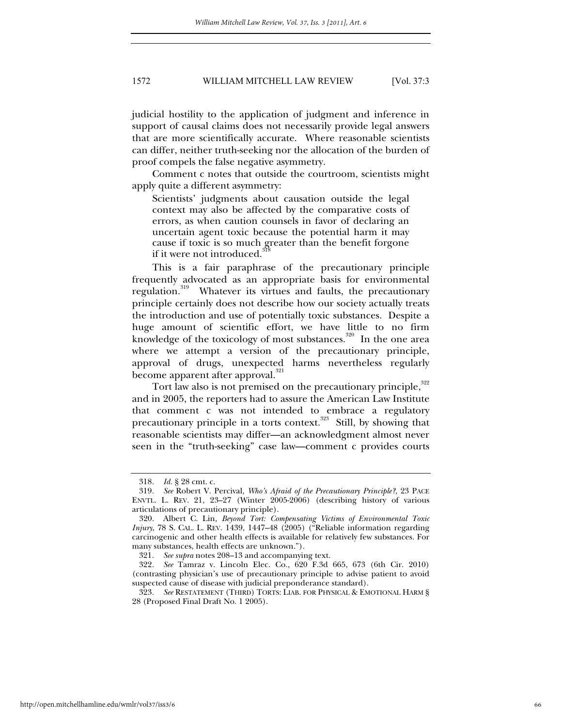judicial hostility to the application of judgment and inference in support of causal claims does not necessarily provide legal answers that are more scientifically accurate. Where reasonable scientists can differ, neither truth-seeking nor the allocation of the burden of proof compels the false negative asymmetry.

Comment c notes that outside the courtroom, scientists might apply quite a different asymmetry:

Scientists' judgments about causation outside the legal context may also be affected by the comparative costs of errors, as when caution counsels in favor of declaring an uncertain agent toxic because the potential harm it may cause if toxic is so much greater than the benefit forgone if it were not introduced.

This is a fair paraphrase of the precautionary principle frequently advocated as an appropriate basis for environmental regulation.<sup>319</sup> Whatever its virtues and faults, the precautionary principle certainly does not describe how our society actually treats the introduction and use of potentially toxic substances. Despite a huge amount of scientific effort, we have little to no firm knowledge of the toxicology of most substances.<sup>320</sup> In the one area where we attempt a version of the precautionary principle, approval of drugs, unexpected harms nevertheless regularly become apparent after approval.<sup>321</sup>

Tort law also is not premised on the precautionary principle, <sup>322</sup> and in 2005, the reporters had to assure the American Law Institute that comment c was not intended to embrace a regulatory precautionary principle in a torts context. $323$  Still, by showing that reasonable scientists may differ—an acknowledgment almost never seen in the "truth-seeking" case law—comment c provides courts

<sup>318</sup>*. Id.* § 28 cmt. c.

<sup>319</sup>*. See* Robert V. Percival, *Who's Afraid of the Precautionary Principle?*, 23 PACE ENVTL. L. REV. 21, 23–27 (Winter 2005-2006) (describing history of various articulations of precautionary principle).

 <sup>320.</sup> Albert C. Lin, *Beyond Tort: Compensating Victims of Environmental Toxic Injury*, 78 S. CAL. L. REV. 1439, 1447–48 (2005) ("Reliable information regarding carcinogenic and other health effects is available for relatively few substances. For many substances, health effects are unknown.").

<sup>321</sup>*. See supra* notes 208–13 and accompanying text.

<sup>322</sup>*. See* Tamraz v. Lincoln Elec. Co., 620 F.3d 665, 673 (6th Cir. 2010) (contrasting physician's use of precautionary principle to advise patient to avoid suspected cause of disease with judicial preponderance standard).

<sup>323</sup>*. See* RESTATEMENT (THIRD) TORTS: LIAB. FOR PHYSICAL & EMOTIONAL HARM § 28 (Proposed Final Draft No. 1 2005).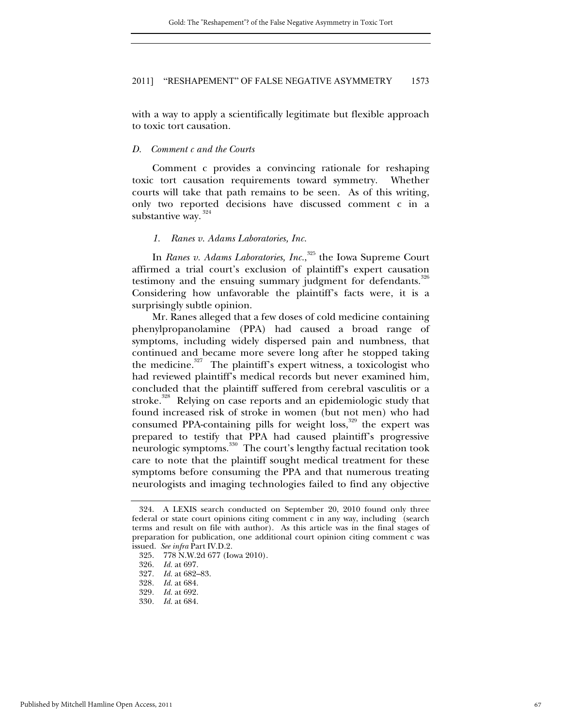with a way to apply a scientifically legitimate but flexible approach to toxic tort causation.

#### *D. Comment c and the Courts*

Comment c provides a convincing rationale for reshaping toxic tort causation requirements toward symmetry. Whether courts will take that path remains to be seen. As of this writing, only two reported decisions have discussed comment c in a substantive way. $324$ 

### *1. Ranes v. Adams Laboratories, Inc.*

In *Ranes v. Adams Laboratories, Inc.*, 325 the Iowa Supreme Court affirmed a trial court's exclusion of plaintiff's expert causation testimony and the ensuing summary judgment for defendants.<sup>326</sup> Considering how unfavorable the plaintiff's facts were, it is a surprisingly subtle opinion.

Mr. Ranes alleged that a few doses of cold medicine containing phenylpropanolamine (PPA) had caused a broad range of symptoms, including widely dispersed pain and numbness, that continued and became more severe long after he stopped taking the medicine. $327$  The plaintiff's expert witness, a toxicologist who had reviewed plaintiff's medical records but never examined him, concluded that the plaintiff suffered from cerebral vasculitis or a stroke.<sup>328</sup> Relying on case reports and an epidemiologic study that found increased risk of stroke in women (but not men) who had consumed PPA-containing pills for weight loss,<sup>329</sup> the expert was prepared to testify that PPA had caused plaintiff's progressive neurologic symptoms.<sup>330</sup> The court's lengthy factual recitation took care to note that the plaintiff sought medical treatment for these symptoms before consuming the PPA and that numerous treating neurologists and imaging technologies failed to find any objective

 <sup>324.</sup> A LEXIS search conducted on September 20, 2010 found only three federal or state court opinions citing comment c in any way, including (search terms and result on file with author). As this article was in the final stages of preparation for publication, one additional court opinion citing comment c was issued. *See infra* Part IV.D.2.

 <sup>325. 778</sup> N.W.2d 677 (Iowa 2010).

<sup>326</sup>*. Id.* at 697.

<sup>327</sup>*. Id.* at 682–83.

<sup>328</sup>*. Id.* at 684.

<sup>329</sup>*. Id.* at 692.

<sup>330</sup>*. Id.* at 684.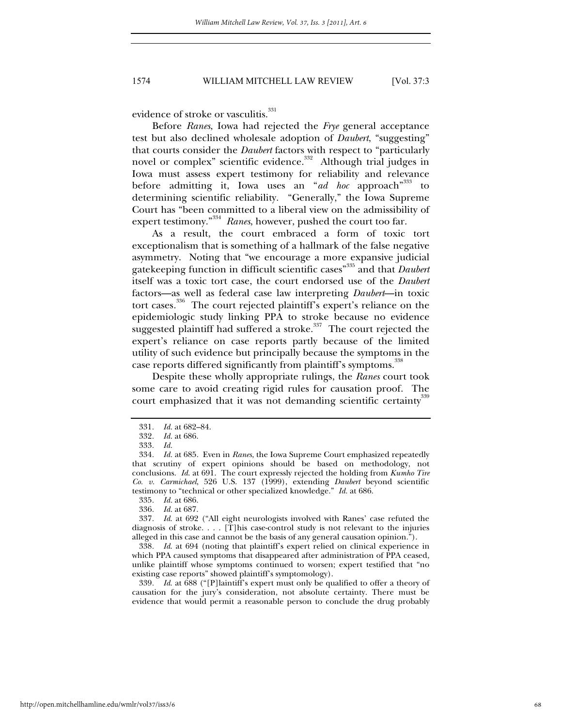evidence of stroke or vasculitis.<sup>331</sup>

Before *Ranes*, Iowa had rejected the *Frye* general acceptance test but also declined wholesale adoption of *Daubert*, "suggesting" that courts consider the *Daubert* factors with respect to "particularly novel or complex" scientific evidence.<sup>332</sup> Although trial judges in Iowa must assess expert testimony for reliability and relevance before admitting it, Iowa uses an "*ad hoc* approach<sup>"333</sup> to determining scientific reliability. "Generally," the Iowa Supreme Court has "been committed to a liberal view on the admissibility of expert testimony."334 *Ranes*, however, pushed the court too far.

As a result, the court embraced a form of toxic tort exceptionalism that is something of a hallmark of the false negative asymmetry. Noting that "we encourage a more expansive judicial gatekeeping function in difficult scientific cases"335 and that *Daubert* itself was a toxic tort case, the court endorsed use of the *Daubert* factors—as well as federal case law interpreting *Daubert*—in toxic tort cases*.* <sup>336</sup>The court rejected plaintiff's expert's reliance on the epidemiologic study linking PPA to stroke because no evidence suggested plaintiff had suffered a stroke.<sup>337</sup> The court rejected the expert's reliance on case reports partly because of the limited utility of such evidence but principally because the symptoms in the case reports differed significantly from plaintiff's symptoms.<sup>338</sup>

Despite these wholly appropriate rulings, the *Ranes* court took some care to avoid creating rigid rules for causation proof. The court emphasized that it was not demanding scientific certainty<sup>339</sup>

339*. Id*. at 688 ("[P]laintiff's expert must only be qualified to offer a theory of causation for the jury's consideration, not absolute certainty. There must be evidence that would permit a reasonable person to conclude the drug probably

http://open.mitchellhamline.edu/wmlr/vol37/iss3/6

<sup>331</sup>*. Id.* at 682–84.

<sup>332</sup>*. Id.* at 686.

<sup>333</sup>*. Id.*

<sup>334</sup>*. Id.* at 685. Even in *Ranes*, the Iowa Supreme Court emphasized repeatedly that scrutiny of expert opinions should be based on methodology, not conclusions. *Id*. at 691. The court expressly rejected the holding from *Kumho Tire Co. v. Carmichael*, 526 U.S. 137 (1999), extending *Daubert* beyond scientific testimony to "technical or other specialized knowledge." *Id.* at 686.

<sup>335</sup>*. Id.* at 686.

<sup>336</sup>*. Id.* at 687.

<sup>337</sup>*. Id*. at 692 ("All eight neurologists involved with Ranes' case refuted the diagnosis of stroke. . . . [T]his case-control study is not relevant to the injuries alleged in this case and cannot be the basis of any general causation opinion.").

<sup>338</sup>*. Id*. at 694 (noting that plaintiff's expert relied on clinical experience in which PPA caused symptoms that disappeared after administration of PPA ceased, unlike plaintiff whose symptoms continued to worsen; expert testified that "no existing case reports" showed plaintiff's symptomology).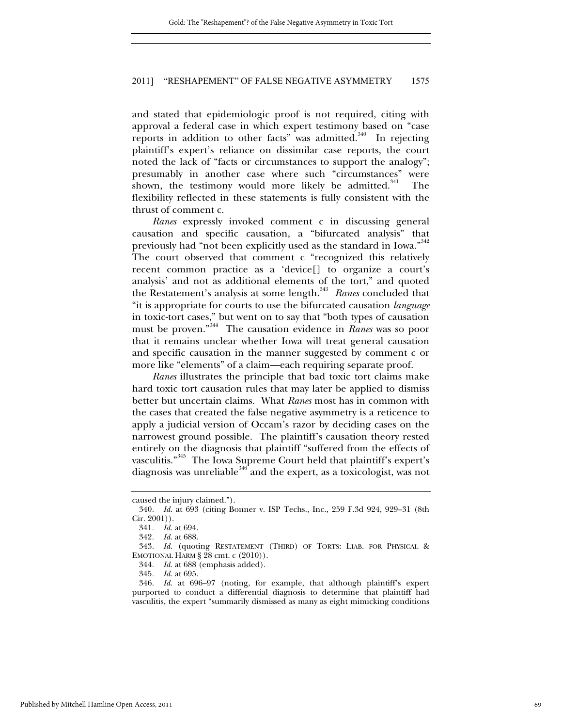and stated that epidemiologic proof is not required, citing with approval a federal case in which expert testimony based on "case reports in addition to other facts" was admitted.<sup>340</sup> In rejecting plaintiff's expert's reliance on dissimilar case reports, the court noted the lack of "facts or circumstances to support the analogy"; presumably in another case where such "circumstances" were shown, the testimony would more likely be admitted.<sup>341</sup> The flexibility reflected in these statements is fully consistent with the thrust of comment c.

*Ranes* expressly invoked comment c in discussing general causation and specific causation, a "bifurcated analysis" that previously had "not been explicitly used as the standard in Iowa."342 The court observed that comment c "recognized this relatively recent common practice as a 'device[] to organize a court's analysis' and not as additional elements of the tort," and quoted the Restatement's analysis at some length.<sup>343</sup> Ranes concluded that "it is appropriate for courts to use the bifurcated causation *language* in toxic-tort cases," but went on to say that "both types of causation must be proven."344 The causation evidence in *Ranes* was so poor that it remains unclear whether Iowa will treat general causation and specific causation in the manner suggested by comment c or more like "elements" of a claim—each requiring separate proof.

*Ranes* illustrates the principle that bad toxic tort claims make hard toxic tort causation rules that may later be applied to dismiss better but uncertain claims. What *Ranes* most has in common with the cases that created the false negative asymmetry is a reticence to apply a judicial version of Occam's razor by deciding cases on the narrowest ground possible. The plaintiff's causation theory rested entirely on the diagnosis that plaintiff "suffered from the effects of vasculitis."345 The Iowa Supreme Court held that plaintiff's expert's diagnosis was unreliable<sup>346</sup> and the expert, as a toxicologist, was not

caused the injury claimed.").

<sup>340</sup>*. Id.* at 693 (citing Bonner v. ISP Techs., Inc., 259 F.3d 924, 929–31 (8th Cir. 2001)).

<sup>341</sup>*. Id.* at 694.

<sup>342</sup>*. Id.* at 688.

<sup>343</sup>*. Id.* (quoting RESTATEMENT (THIRD) OF TORTS: LIAB. FOR PHYSICAL & EMOTIONAL HARM § 28 cmt. c (2010)).

<sup>344</sup>*. Id.* at 688 (emphasis added).

<sup>345</sup>*. Id.* at 695.

<sup>346</sup>*. Id.* at 696–97 (noting, for example, that although plaintiff's expert purported to conduct a differential diagnosis to determine that plaintiff had vasculitis, the expert "summarily dismissed as many as eight mimicking conditions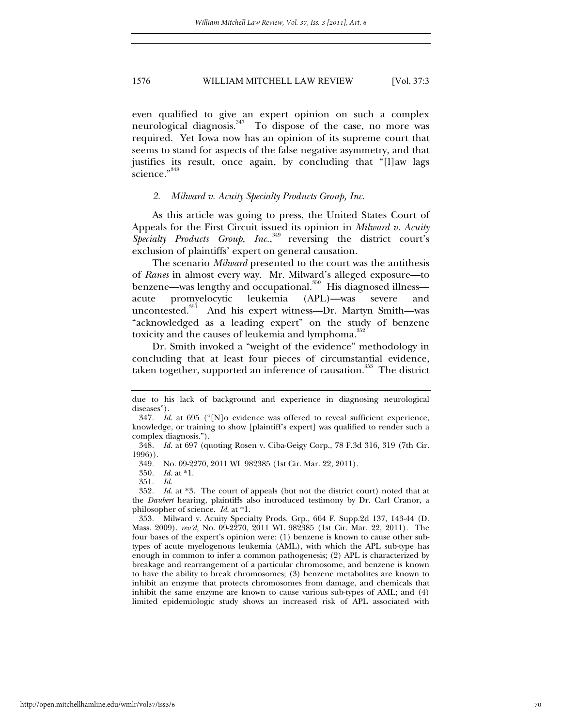even qualified to give an expert opinion on such a complex neurological diagnosis. $347$  To dispose of the case, no more was required. Yet Iowa now has an opinion of its supreme court that seems to stand for aspects of the false negative asymmetry, and that justifies its result, once again, by concluding that "[l]aw lags science."348

#### *2. Milward v. Acuity Specialty Products Group, Inc.*

As this article was going to press, the United States Court of Appeals for the First Circuit issued its opinion in *Milward v. Acuity*  Specialty Products Group, Inc.,<sup>349</sup> reversing the district court's exclusion of plaintiffs' expert on general causation.

The scenario *Milward* presented to the court was the antithesis of *Ranes* in almost every way. Mr. Milward's alleged exposure—to benzene—was lengthy and occupational.<sup>350</sup> His diagnosed illness acute promyelocytic leukemia (APL)—was severe and uncontested.<sup>351</sup> And his expert witness—Dr. Martyn Smith—was "acknowledged as a leading expert" on the study of benzene toxicity and the causes of leukemia and lymphoma.<sup>352</sup>

Dr. Smith invoked a "weight of the evidence" methodology in concluding that at least four pieces of circumstantial evidence, taken together, supported an inference of causation.<sup>353</sup> The district

due to his lack of background and experience in diagnosing neurological diseases").

<sup>347</sup>*. Id*. at 695 ("[N]o evidence was offered to reveal sufficient experience, knowledge, or training to show [plaintiff's expert] was qualified to render such a complex diagnosis.").

<sup>348</sup>*. Id.* at 697 (quoting Rosen v. Ciba-Geigy Corp., 78 F.3d 316, 319 (7th Cir. 1996)).

<sup>349</sup>*.* No. 09-2270, 2011 WL 982385 (1st Cir. Mar. 22, 2011).

<sup>350</sup>*. Id.* at \*1.

<sup>351</sup>*. Id*.

<sup>352</sup>*. Id.* at \*3. The court of appeals (but not the district court) noted that at the *Daubert* hearing, plaintiffs also introduced testimony by Dr. Carl Cranor, a philosopher of science. *Id*. at \*1.

<sup>353</sup>*.* Milward v. Acuity Specialty Prods. Grp., 664 F. Supp.2d 137, 143-44 (D. Mass. 2009), *rev'd*, No. 09-2270, 2011 WL 982385 (1st Cir. Mar. 22, 2011). The four bases of the expert's opinion were: (1) benzene is known to cause other subtypes of acute myelogenous leukemia (AML), with which the APL sub-type has enough in common to infer a common pathogenesis; (2) APL is characterized by breakage and rearrangement of a particular chromosome, and benzene is known to have the ability to break chromosomes; (3) benzene metabolites are known to inhibit an enzyme that protects chromosomes from damage, and chemicals that inhibit the same enzyme are known to cause various sub-types of AML; and (4) limited epidemiologic study shows an increased risk of APL associated with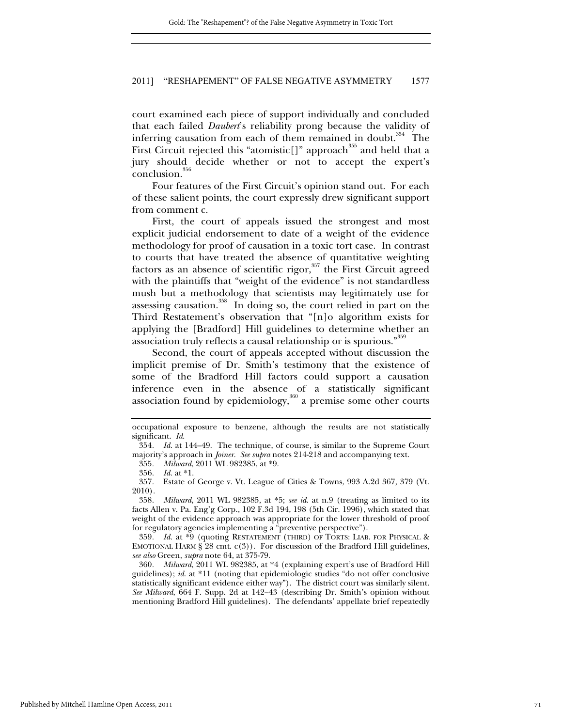court examined each piece of support individually and concluded that each failed *Daubert*'s reliability prong because the validity of inferring causation from each of them remained in doubt.<sup>354</sup> The First Circuit rejected this "atomistic[]" approach<sup>355</sup> and held that a jury should decide whether or not to accept the expert's conclusion.<sup>356</sup>

Four features of the First Circuit's opinion stand out. For each of these salient points, the court expressly drew significant support from comment c.

First, the court of appeals issued the strongest and most explicit judicial endorsement to date of a weight of the evidence methodology for proof of causation in a toxic tort case. In contrast to courts that have treated the absence of quantitative weighting factors as an absence of scientific rigor,  $357$  the First Circuit agreed with the plaintiffs that "weight of the evidence" is not standardless mush but a methodology that scientists may legitimately use for assessing causation.<sup>358</sup> In doing so, the court relied in part on the Third Restatement's observation that "[n]o algorithm exists for applying the [Bradford] Hill guidelines to determine whether an association truly reflects a causal relationship or is spurious."359

Second, the court of appeals accepted without discussion the implicit premise of Dr. Smith's testimony that the existence of some of the Bradford Hill factors could support a causation inference even in the absence of a statistically significant association found by epidemiology,  $360$  a premise some other courts

359*. Id.* at \*9 (quoting RESTATEMENT (THIRD) OF TORTS: LIAB. FOR PHYSICAL & EMOTIONAL HARM § 28 cmt.  $c(3)$ ). For discussion of the Bradford Hill guidelines, *see also* Green, *supra* note 64, at 375-79.

360*. Milward*, 2011 WL 982385, at \*4 (explaining expert's use of Bradford Hill guidelines); *id*. at \*11 (noting that epidemiologic studies "do not offer conclusive statistically significant evidence either way"). The district court was similarly silent. *See Milward*, 664 F. Supp. 2d at 142–43 (describing Dr. Smith's opinion without mentioning Bradford Hill guidelines). The defendants' appellate brief repeatedly

occupational exposure to benzene, although the results are not statistically significant. *Id*.

<sup>354</sup>*. Id.* at 144–49. The technique, of course, is similar to the Supreme Court majority's approach in *Joiner. See supra* notes 214-218 and accompanying text.

<sup>355</sup>*. Milward*, 2011 WL 982385, at \*9.

<sup>356</sup>*. Id.* at \*1.

<sup>357</sup>*.* Estate of George v. Vt. League of Cities & Towns, 993 A.2d 367, 379 (Vt. 2010)*.*

<sup>358</sup>*. Milward*, 2011 WL 982385, at \*5; *see id*. at n.9 (treating as limited to its facts Allen v. Pa. Eng'g Corp., 102 F.3d 194, 198 (5th Cir. 1996), which stated that weight of the evidence approach was appropriate for the lower threshold of proof for regulatory agencies implementing a "preventive perspective").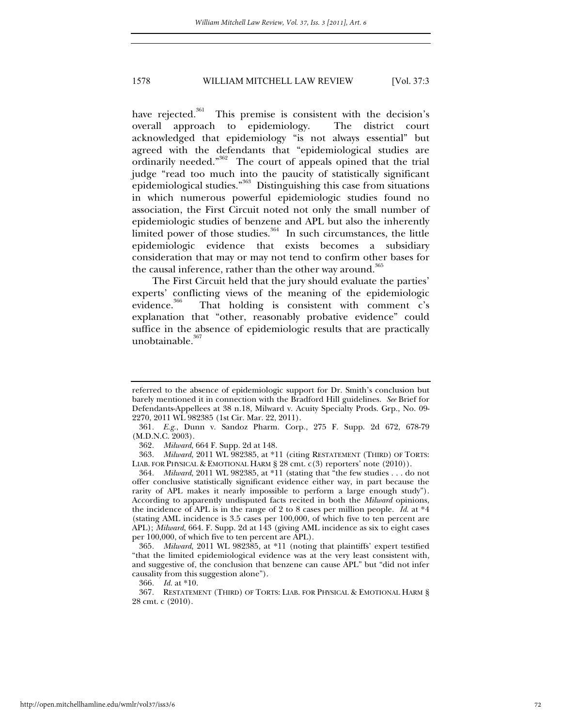# 1578 WILLIAM MITCHELL LAW REVIEW [Vol. 37:3

have rejected.<sup>361</sup> This premise is consistent with the decision's overall approach to epidemiology. The district court acknowledged that epidemiology "is not always essential" but agreed with the defendants that "epidemiological studies are ordinarily needed."362 The court of appeals opined that the trial judge "read too much into the paucity of statistically significant epidemiological studies.<sup>"363</sup> Distinguishing this case from situations in which numerous powerful epidemiologic studies found no association, the First Circuit noted not only the small number of epidemiologic studies of benzene and APL but also the inherently limited power of those studies.  $364$  In such circumstances, the little epidemiologic evidence that exists becomes a subsidiary consideration that may or may not tend to confirm other bases for the causal inference, rather than the other way around.<sup>365</sup>

The First Circuit held that the jury should evaluate the parties' experts' conflicting views of the meaning of the epidemiologic evidence. $366$  That holding is consistent with comment c's explanation that "other, reasonably probative evidence" could suffice in the absence of epidemiologic results that are practically unobtainable. $367$ 

referred to the absence of epidemiologic support for Dr. Smith's conclusion but barely mentioned it in connection with the Bradford Hill guidelines. *See* Brief for Defendants-Appellees at 38 n.18, Milward v. Acuity Specialty Prods. Grp., No. 09- 2270, 2011 WL 982385 (1st Cir. Mar. 22, 2011).

<sup>361</sup>*. E.g.*, Dunn v. Sandoz Pharm. Corp., 275 F. Supp. 2d 672, 678-79 (M.D.N.C. 2003).

<sup>362</sup>*. Milward*, 664 F. Supp. 2d at 148.

<sup>363</sup>*. Milward*, 2011 WL 982385, at \*11 (citing RESTATEMENT (THIRD) OF TORTS: LIAB. FOR PHYSICAL & EMOTIONAL HARM § 28 cmt. c(3) reporters' note (2010)).

<sup>364</sup>*. Milward*, 2011 WL 982385, at \*11 (stating that "the few studies . . . do not offer conclusive statistically significant evidence either way, in part because the rarity of APL makes it nearly impossible to perform a large enough study"). According to apparently undisputed facts recited in both the *Milward* opinions, the incidence of APL is in the range of 2 to 8 cases per million people. *Id*. at \*4 (stating AML incidence is 3.5 cases per 100,000, of which five to ten percent are APL); *Milward*, 664. F. Supp. 2d at 143 (giving AML incidence as six to eight cases per 100,000, of which five to ten percent are APL).

<sup>365</sup>*. Milward*, 2011 WL 982385, at \*11 (noting that plaintiffs' expert testified "that the limited epidemiological evidence was at the very least consistent with, and suggestive of, the conclusion that benzene can cause APL" but "did not infer causality from this suggestion alone").

<sup>366</sup>*. Id.* at \*10.

<sup>367</sup>*.* RESTATEMENT (THIRD) OF TORTS: LIAB. FOR PHYSICAL & EMOTIONAL HARM § 28 cmt. c (2010).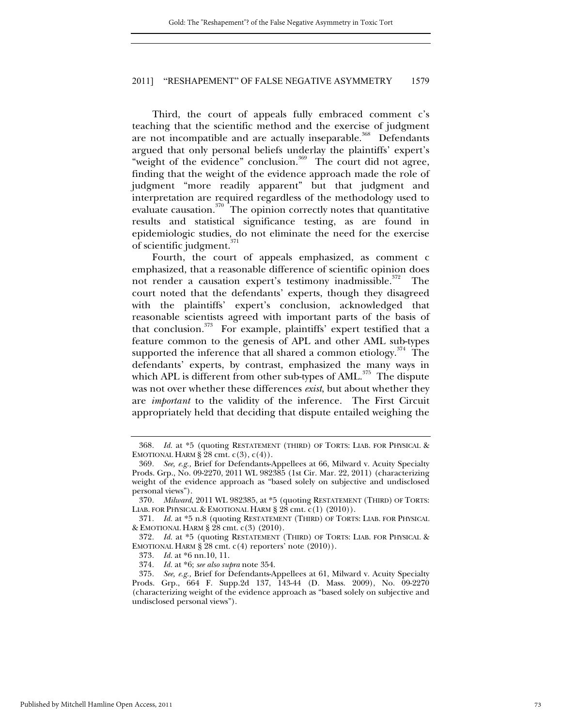# 2011] "RESHAPEMENT" OF FALSE NEGATIVE ASYMMETRY 1579

Third, the court of appeals fully embraced comment c's teaching that the scientific method and the exercise of judgment are not incompatible and are actually inseparable.<sup>368</sup> Defendants argued that only personal beliefs underlay the plaintiffs' expert's "weight of the evidence" conclusion.<sup>369</sup> The court did not agree, finding that the weight of the evidence approach made the role of judgment "more readily apparent" but that judgment and interpretation are required regardless of the methodology used to evaluate causation. $370 -$ The opinion correctly notes that quantitative results and statistical significance testing, as are found in epidemiologic studies, do not eliminate the need for the exercise of scientific judgment.<sup>371</sup>

Fourth, the court of appeals emphasized, as comment c emphasized, that a reasonable difference of scientific opinion does not render a causation expert's testimony inadmissible.<sup>372</sup> The court noted that the defendants' experts, though they disagreed with the plaintiffs' expert's conclusion, acknowledged that reasonable scientists agreed with important parts of the basis of that conclusion.<sup>373</sup> For example, plaintiffs' expert testified that a feature common to the genesis of APL and other AML sub-types supported the inference that all shared a common etiology.<sup>374</sup> The defendants' experts, by contrast, emphasized the many ways in which APL is different from other sub-types of  $AML$ <sup>375</sup>. The dispute was not over whether these differences *exist*, but about whether they are *important* to the validity of the inference. The First Circuit appropriately held that deciding that dispute entailed weighing the

<sup>368</sup>*. Id.* at \*5 (quoting RESTATEMENT (THIRD) OF TORTS: LIAB. FOR PHYSICAL & EMOTIONAL HARM  $\S 28$  cmt.  $c(3)$ ,  $c(4)$ ).

<sup>369</sup>*. See, e.g.,* Brief for Defendants-Appellees at 66, Milward v. Acuity Specialty Prods. Grp., No. 09-2270, 2011 WL 982385 (1st Cir. Mar. 22, 2011) (characterizing weight of the evidence approach as "based solely on subjective and undisclosed personal views").

<sup>370</sup>*. Milward*, 2011 WL 982385, at \*5 (quoting RESTATEMENT (THIRD) OF TORTS: LIAB. FOR PHYSICAL & EMOTIONAL HARM § 28 cmt. c(1) (2010)).

<sup>371</sup>*. Id.* at \*5 n.8 (quoting RESTATEMENT (THIRD) OF TORTS: LIAB. FOR PHYSICAL & EMOTIONAL HARM § 28 cmt. c(3) (2010).

<sup>372</sup>*. Id.* at \*5 (quoting RESTATEMENT (THIRD) OF TORTS: LIAB. FOR PHYSICAL & EMOTIONAL HARM  $\S$  28 cmt.  $c(4)$  reporters' note (2010)).

<sup>373</sup>*. Id.* at \*6 nn.10, 11.

<sup>374</sup>*. Id.* at \*6; *see also supra* note 354.

<sup>375</sup>*. See, e.g.,* Brief for Defendants-Appellees at 61, Milward v. Acuity Specialty Prods. Grp., 664 F. Supp.2d 137, 143-44 (D. Mass. 2009), No. 09-2270 (characterizing weight of the evidence approach as "based solely on subjective and undisclosed personal views").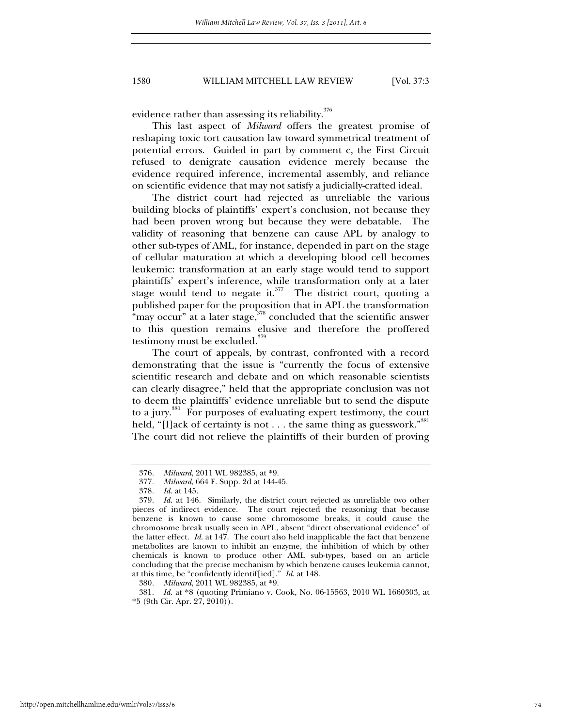### 1580 WILLIAM MITCHELL LAW REVIEW [Vol. 37:3

evidence rather than assessing its reliability. $376$ 

This last aspect of *Milward* offers the greatest promise of reshaping toxic tort causation law toward symmetrical treatment of potential errors. Guided in part by comment c, the First Circuit refused to denigrate causation evidence merely because the evidence required inference, incremental assembly, and reliance on scientific evidence that may not satisfy a judicially-crafted ideal.

The district court had rejected as unreliable the various building blocks of plaintiffs' expert's conclusion, not because they had been proven wrong but because they were debatable. The validity of reasoning that benzene can cause APL by analogy to other sub-types of AML, for instance, depended in part on the stage of cellular maturation at which a developing blood cell becomes leukemic: transformation at an early stage would tend to support plaintiffs' expert's inference, while transformation only at a later stage would tend to negate it. $377$  The district court, quoting a published paper for the proposition that in APL the transformation "may occur" at a later stage, $378$  concluded that the scientific answer to this question remains elusive and therefore the proffered testimony must be excluded.<sup>379</sup>

The court of appeals, by contrast, confronted with a record demonstrating that the issue is "currently the focus of extensive scientific research and debate and on which reasonable scientists can clearly disagree," held that the appropriate conclusion was not to deem the plaintiffs' evidence unreliable but to send the dispute to a jury.<sup>380</sup> For purposes of evaluating expert testimony, the court held, "[l]ack of certainty is not . . . the same thing as guesswork."  $381$ The court did not relieve the plaintiffs of their burden of proving

381*. Id.* at \*8 (quoting Primiano v. Cook, No. 06-15563, 2010 WL 1660303, at  $*5$  (9th Cir. Apr. 27, 2010)).

<sup>376</sup>*. Milward*, 2011 WL 982385, at \*9.

<sup>377</sup>*. Milward*, 664 F. Supp. 2d at 144-45.

<sup>378</sup>*. Id.* at 145.

<sup>379</sup>*. Id.* at 146. Similarly, the district court rejected as unreliable two other pieces of indirect evidence. The court rejected the reasoning that because benzene is known to cause some chromosome breaks, it could cause the chromosome break usually seen in APL, absent "direct observational evidence" of the latter effect. *Id*. at 147. The court also held inapplicable the fact that benzene metabolites are known to inhibit an enzyme, the inhibition of which by other chemicals is known to produce other AML sub-types, based on an article concluding that the precise mechanism by which benzene causes leukemia cannot, at this time, be "confidently identif[ied]." *Id*. at 148.

<sup>380</sup>*. Milward*, 2011 WL 982385, at \*9.